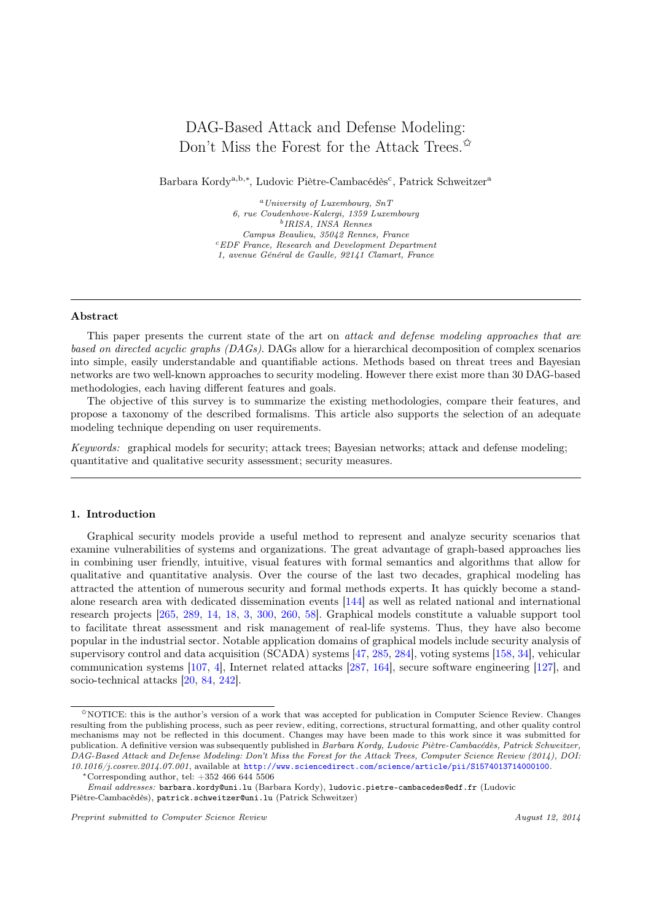# DAG-Based Attack and Defense Modeling: Don't Miss the Forest for the Attack Trees.

Barbara Kordy<sup>a, b,∗</sup>, Ludovic Piètre-Cambacédès<sup>c</sup>, Patrick Schweitzer<sup>a</sup>

 $a$ University of Luxembourg,  $SnT$ 6, rue Coudenhove-Kalergi, 1359 Luxembourg b IRISA, INSA Rennes Campus Beaulieu, 35042 Rennes, France <sup>c</sup>EDF France, Research and Development Department 1, avenue Général de Gaulle, 92141 Clamart, France

# Abstract

This paper presents the current state of the art on *attack and defense modeling approaches that are based on directed acyclic graphs (DAGs)*. DAGs allow for a hierarchical decomposition of complex scenarios into simple, easily understandable and quantifiable actions. Methods based on threat trees and Bayesian networks are two well-known approaches to security modeling. However there exist more than 30 DAG-based methodologies, each having different features and goals.

The objective of this survey is to summarize the existing methodologies, compare their features, and propose a taxonomy of the described formalisms. This article also supports the selection of an adequate modeling technique depending on user requirements.

*Keywords:* graphical models for security; attack trees; Bayesian networks; attack and defense modeling; quantitative and qualitative security assessment; security measures.

# 1. Introduction

Graphical security models provide a useful method to represent and analyze security scenarios that examine vulnerabilities of systems and organizations. The great advantage of graph-based approaches lies in combining user friendly, intuitive, visual features with formal semantics and algorithms that allow for qualitative and quantitative analysis. Over the course of the last two decades, graphical modeling has attracted the attention of numerous security and formal methods experts. It has quickly become a standalone research area with dedicated dissemination events [\[144\]](#page-42-0) as well as related national and international research projects [\[265](#page-46-0), [289](#page-47-0), [14](#page-37-0), [18](#page-38-0), [3](#page-37-1), [300,](#page-48-0) [260,](#page-46-1) [58\]](#page-39-0). Graphical models constitute a valuable support tool to facilitate threat assessment and risk management of real-life systems. Thus, they have also become popular in the industrial sector. Notable application domains of graphical models include security analysis of supervisory control and data acquisition (SCADA) systems [\[47,](#page-39-1) [285](#page-47-1), [284\]](#page-47-2), voting systems [\[158,](#page-42-1) [34](#page-38-1)], vehicular communication systems [\[107](#page-41-0), [4\]](#page-37-2), Internet related attacks [\[287,](#page-47-3) [164\]](#page-43-0), secure software engineering [\[127](#page-41-1)], and socio-technical attacks [\[20](#page-38-2), [84](#page-40-0), [242](#page-46-2)].

<sup>✩</sup>NOTICE: this is the author's version of a work that was accepted for publication in Computer Science Review. Changes resulting from the publishing process, such as peer review, editing, corrections, structural formatting, and other quality control mechanisms may not be reflected in this document. Changes may have been made to this work since it was submitted for publication. A definitive version was subsequently published in Barbara Kordy, Ludovic Piètre-Cambacédès, Patrick Schweitzer, DAG-Based Attack and Defense Modeling: Don't Miss the Forest for the Attack Trees, Computer Science Review (2014), DOI: 10.1016/j.cosrev.2014.07.001, available at <http://www.sciencedirect.com/science/article/pii/S1574013714000100>.

 $*$ Corresponding author, tel:  $+352,466,644,5506$ 

Email addresses: barbara.kordy@uni.lu (Barbara Kordy), ludovic.pietre-cambacedes@edf.fr (Ludovic Piètre-Cambacédès), patrick.schweitzer@uni.lu (Patrick Schweitzer)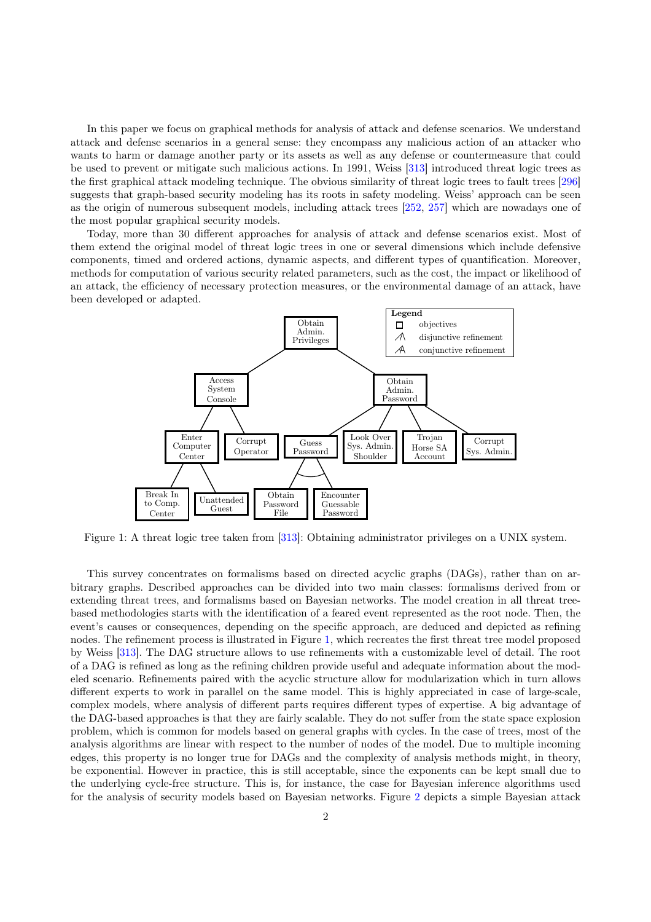In this paper we focus on graphical methods for analysis of attack and defense scenarios. We understand attack and defense scenarios in a general sense: they encompass any malicious action of an attacker who wants to harm or damage another party or its assets as well as any defense or countermeasure that could be used to prevent or mitigate such malicious actions. In 1991, Weiss [\[313](#page-48-1)] introduced threat logic trees as the first graphical attack modeling technique. The obvious similarity of threat logic trees to fault trees [\[296\]](#page-48-2) suggests that graph-based security modeling has its roots in safety modeling. Weiss' approach can be seen as the origin of numerous subsequent models, including attack trees [\[252](#page-46-3), [257](#page-46-4)] which are nowadays one of the most popular graphical security models.

Today, more than 30 different approaches for analysis of attack and defense scenarios exist. Most of them extend the original model of threat logic trees in one or several dimensions which include defensive components, timed and ordered actions, dynamic aspects, and different types of quantification. Moreover, methods for computation of various security related parameters, such as the cost, the impact or likelihood of an attack, the efficiency of necessary protection measures, or the environmental damage of an attack, have been developed or adapted.

<span id="page-1-0"></span>

Figure 1: A threat logic tree taken from [\[313\]](#page-48-1): Obtaining administrator privileges on a UNIX system.

This survey concentrates on formalisms based on directed acyclic graphs (DAGs), rather than on arbitrary graphs. Described approaches can be divided into two main classes: formalisms derived from or extending threat trees, and formalisms based on Bayesian networks. The model creation in all threat treebased methodologies starts with the identification of a feared event represented as the root node. Then, the event's causes or consequences, depending on the specific approach, are deduced and depicted as refining nodes. The refinement process is illustrated in Figure [1,](#page-1-0) which recreates the first threat tree model proposed by Weiss [\[313](#page-48-1)]. The DAG structure allows to use refinements with a customizable level of detail. The root of a DAG is refined as long as the refining children provide useful and adequate information about the modeled scenario. Refinements paired with the acyclic structure allow for modularization which in turn allows different experts to work in parallel on the same model. This is highly appreciated in case of large-scale, complex models, where analysis of different parts requires different types of expertise. A big advantage of the DAG-based approaches is that they are fairly scalable. They do not suffer from the state space explosion problem, which is common for models based on general graphs with cycles. In the case of trees, most of the analysis algorithms are linear with respect to the number of nodes of the model. Due to multiple incoming edges, this property is no longer true for DAGs and the complexity of analysis methods might, in theory, be exponential. However in practice, this is still acceptable, since the exponents can be kept small due to the underlying cycle-free structure. This is, for instance, the case for Bayesian inference algorithms used for the analysis of security models based on Bayesian networks. Figure [2](#page-2-0) depicts a simple Bayesian attack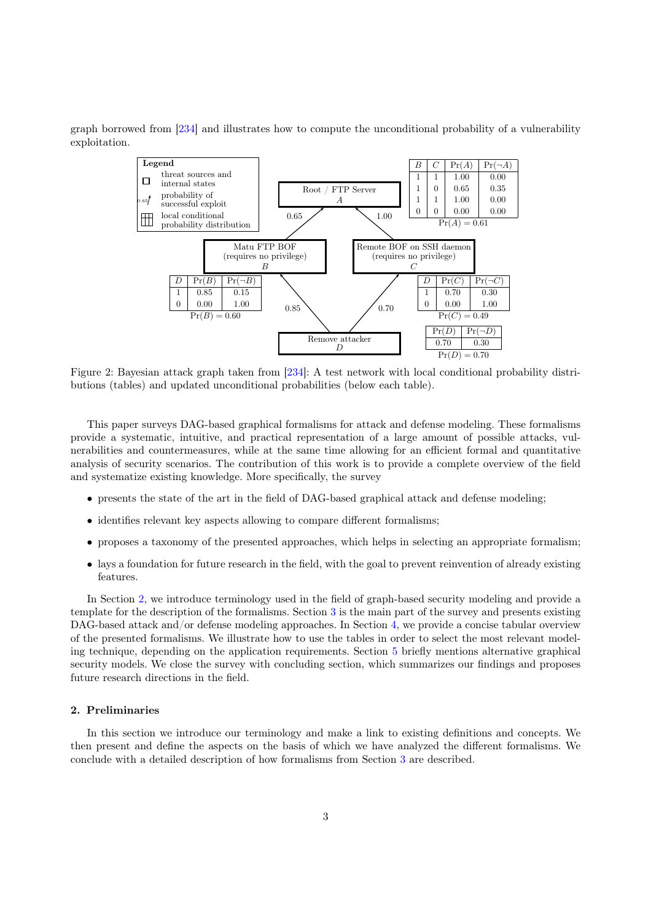<span id="page-2-0"></span>graph borrowed from [\[234](#page-45-0)] and illustrates how to compute the unconditional probability of a vulnerability exploitation.



Figure 2: Bayesian attack graph taken from [\[234](#page-45-0)]: A test network with local conditional probability distributions (tables) and updated unconditional probabilities (below each table).

This paper surveys DAG-based graphical formalisms for attack and defense modeling. These formalisms provide a systematic, intuitive, and practical representation of a large amount of possible attacks, vulnerabilities and countermeasures, while at the same time allowing for an efficient formal and quantitative analysis of security scenarios. The contribution of this work is to provide a complete overview of the field and systematize existing knowledge. More specifically, the survey

- presents the state of the art in the field of DAG-based graphical attack and defense modeling;
- identifies relevant key aspects allowing to compare different formalisms;
- proposes a taxonomy of the presented approaches, which helps in selecting an appropriate formalism;
- lays a foundation for future research in the field, with the goal to prevent reinvention of already existing features.

In Section [2,](#page-2-1) we introduce terminology used in the field of graph-based security modeling and provide a template for the description of the formalisms. Section [3](#page-8-0) is the main part of the survey and presents existing DAG-based attack and/or defense modeling approaches. In Section [4,](#page-27-0) we provide a concise tabular overview of the presented formalisms. We illustrate how to use the tables in order to select the most relevant modeling technique, depending on the application requirements. Section [5](#page-32-0) briefly mentions alternative graphical security models. We close the survey with concluding section, which summarizes our findings and proposes future research directions in the field.

# <span id="page-2-1"></span>2. Preliminaries

In this section we introduce our terminology and make a link to existing definitions and concepts. We then present and define the aspects on the basis of which we have analyzed the different formalisms. We conclude with a detailed description of how formalisms from Section [3](#page-8-0) are described.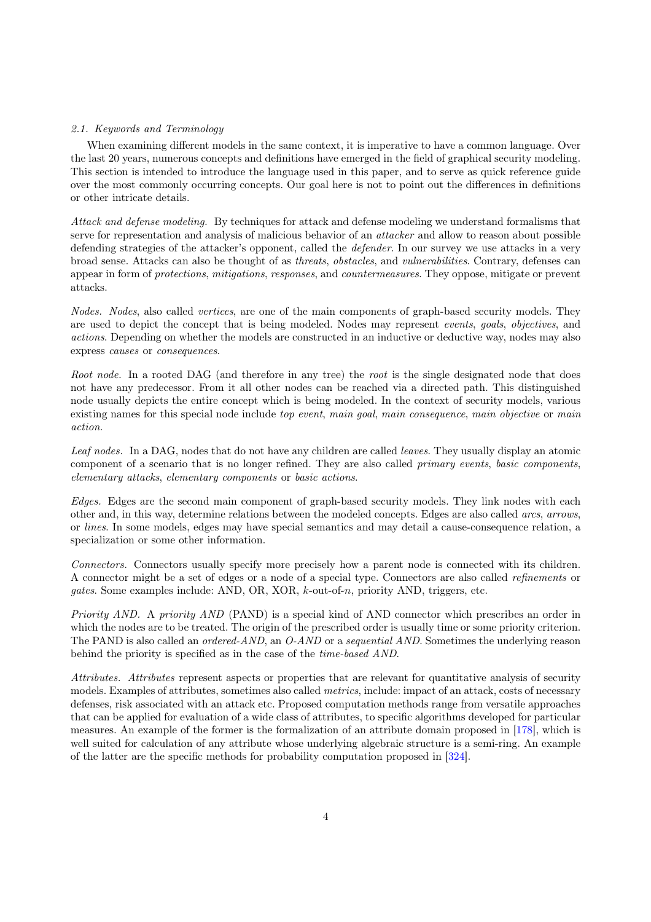# *2.1. Keywords and Terminology*

When examining different models in the same context, it is imperative to have a common language. Over the last 20 years, numerous concepts and definitions have emerged in the field of graphical security modeling. This section is intended to introduce the language used in this paper, and to serve as quick reference guide over the most commonly occurring concepts. Our goal here is not to point out the differences in definitions or other intricate details.

*Attack and defense modeling.* By techniques for attack and defense modeling we understand formalisms that serve for representation and analysis of malicious behavior of an *attacker* and allow to reason about possible defending strategies of the attacker's opponent, called the *defender*. In our survey we use attacks in a very broad sense. Attacks can also be thought of as *threats*, *obstacles*, and *vulnerabilities*. Contrary, defenses can appear in form of *protections*, *mitigations*, *responses*, and *countermeasures*. They oppose, mitigate or prevent attacks.

*Nodes. Nodes*, also called *vertices*, are one of the main components of graph-based security models. They are used to depict the concept that is being modeled. Nodes may represent *events*, *goals*, *objectives*, and *actions*. Depending on whether the models are constructed in an inductive or deductive way, nodes may also express *causes* or *consequences*.

*Root node.* In a rooted DAG (and therefore in any tree) the *root* is the single designated node that does not have any predecessor. From it all other nodes can be reached via a directed path. This distinguished node usually depicts the entire concept which is being modeled. In the context of security models, various existing names for this special node include *top event*, *main goal*, *main consequence*, *main objective* or *main action*.

*Leaf nodes.* In a DAG, nodes that do not have any children are called *leaves*. They usually display an atomic component of a scenario that is no longer refined. They are also called *primary events*, *basic components*, *elementary attacks*, *elementary components* or *basic actions*.

*Edges.* Edges are the second main component of graph-based security models. They link nodes with each other and, in this way, determine relations between the modeled concepts. Edges are also called *arcs*, *arrows*, or *lines*. In some models, edges may have special semantics and may detail a cause-consequence relation, a specialization or some other information.

*Connectors.* Connectors usually specify more precisely how a parent node is connected with its children. A connector might be a set of edges or a node of a special type. Connectors are also called *refinements* or *gates*. Some examples include: AND, OR, XOR, k-out-of-n, priority AND, triggers, etc.

*Priority AND.* A *priority AND* (PAND) is a special kind of AND connector which prescribes an order in which the nodes are to be treated. The origin of the prescribed order is usually time or some priority criterion. The PAND is also called an *ordered-AND*, an *O-AND* or a *sequential AND*. Sometimes the underlying reason behind the priority is specified as in the case of the *time-based AND*.

*Attributes. Attributes* represent aspects or properties that are relevant for quantitative analysis of security models. Examples of attributes, sometimes also called *metrics*, include: impact of an attack, costs of necessary defenses, risk associated with an attack etc. Proposed computation methods range from versatile approaches that can be applied for evaluation of a wide class of attributes, to specific algorithms developed for particular measures. An example of the former is the formalization of an attribute domain proposed in [\[178\]](#page-43-1), which is well suited for calculation of any attribute whose underlying algebraic structure is a semi-ring. An example of the latter are the specific methods for probability computation proposed in [\[324\]](#page-49-0).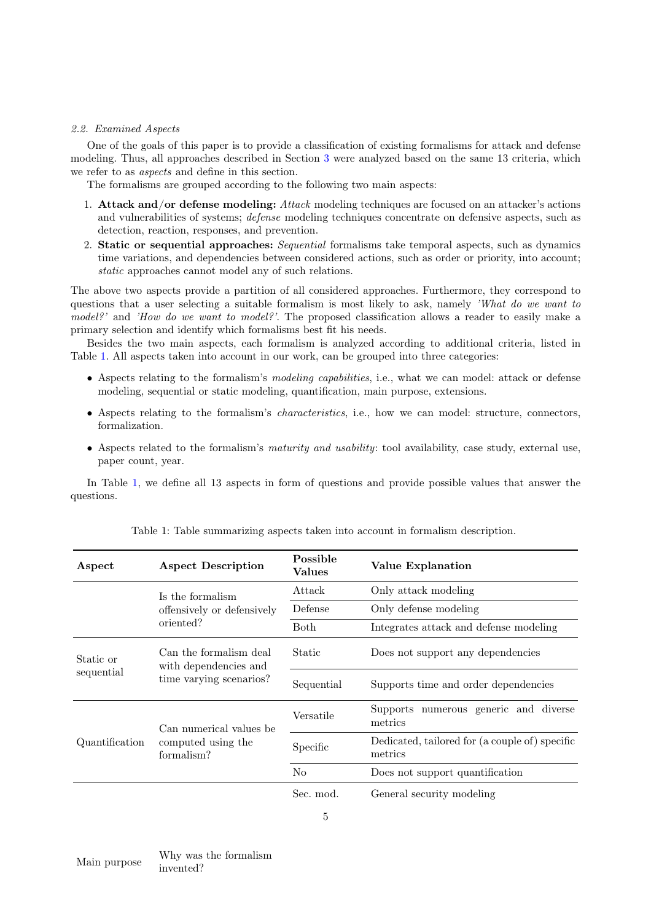# *2.2. Examined Aspects*

One of the goals of this paper is to provide a classification of existing formalisms for attack and defense modeling. Thus, all approaches described in Section [3](#page-8-0) were analyzed based on the same 13 criteria, which we refer to as *aspects* and define in this section.

The formalisms are grouped according to the following two main aspects:

- 1. Attack and/or defense modeling: *Attack* modeling techniques are focused on an attacker's actions and vulnerabilities of systems; *defense* modeling techniques concentrate on defensive aspects, such as detection, reaction, responses, and prevention.
- 2. Static or sequential approaches: *Sequential* formalisms take temporal aspects, such as dynamics time variations, and dependencies between considered actions, such as order or priority, into account; *static* approaches cannot model any of such relations.

The above two aspects provide a partition of all considered approaches. Furthermore, they correspond to questions that a user selecting a suitable formalism is most likely to ask, namely *'What do we want to model?'* and *'How do we want to model?'*. The proposed classification allows a reader to easily make a primary selection and identify which formalisms best fit his needs.

Besides the two main aspects, each formalism is analyzed according to additional criteria, listed in Table [1.](#page-4-0) All aspects taken into account in our work, can be grouped into three categories:

- Aspects relating to the formalism's *modeling capabilities*, i.e., what we can model: attack or defense modeling, sequential or static modeling, quantification, main purpose, extensions.
- Aspects relating to the formalism's *characteristics*, i.e., how we can model: structure, connectors, formalization.
- Aspects related to the formalism's *maturity and usability*: tool availability, case study, external use, paper count, year.

In Table [1,](#page-4-0) we define all 13 aspects in form of questions and provide possible values that answer the questions.

<span id="page-4-0"></span>

| Aspect                  | <b>Aspect Description</b>                                                  | Possible<br>Values | Value Explanation                                         |
|-------------------------|----------------------------------------------------------------------------|--------------------|-----------------------------------------------------------|
|                         | Is the formalism                                                           | Attack             | Only attack modeling                                      |
|                         | offensively or defensively                                                 | Defense            | Only defense modeling                                     |
|                         | oriented?                                                                  | <b>Both</b>        | Integrates attack and defense modeling                    |
| Static or<br>sequential | Can the formalism deal<br>with dependencies and<br>time varying scenarios? | <b>Static</b>      | Does not support any dependencies                         |
|                         |                                                                            | Sequential         | Supports time and order dependencies                      |
| Quantification          | Can numerical values be                                                    | Versatile          | Supports numerous generic and diverse<br>metrics          |
|                         | computed using the<br>formalism?                                           | Specific           | Dedicated, tailored for (a couple of) specific<br>metrics |
|                         |                                                                            | N <sub>o</sub>     | Does not support quantification                           |
|                         |                                                                            | Sec. mod.          | General security modeling                                 |

Table 1: Table summarizing aspects taken into account in formalism description.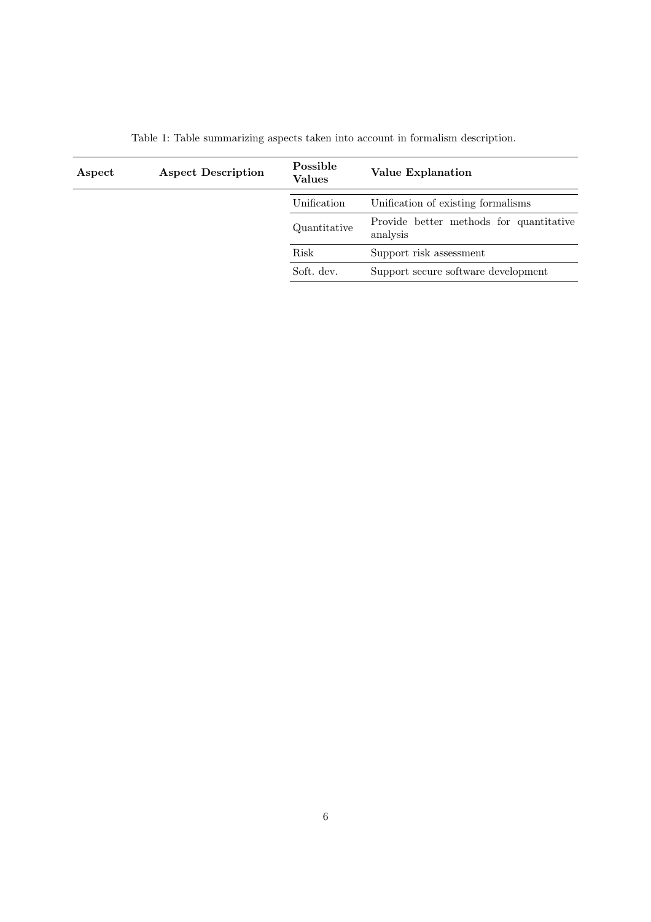| Aspect | <b>Aspect Description</b> | Possible<br>Values | Value Explanation                                   |
|--------|---------------------------|--------------------|-----------------------------------------------------|
|        |                           | Unification        | Unification of existing formalisms                  |
|        |                           | Quantitative       | Provide better methods for quantitative<br>analysis |
|        |                           | Risk               | Support risk assessment                             |
|        |                           | Soft. dev.         | Support secure software development                 |

Table 1: Table summarizing aspects taken into account in formalism description.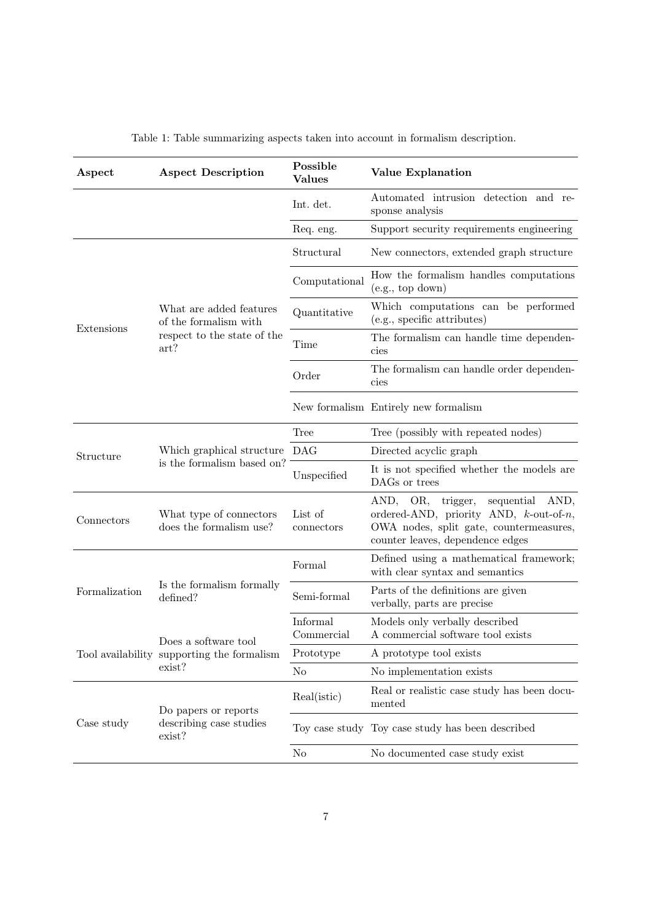| Aspect        | <b>Aspect Description</b>                               | Possible<br><b>Values</b> | Value Explanation                                                                                                                                                   |
|---------------|---------------------------------------------------------|---------------------------|---------------------------------------------------------------------------------------------------------------------------------------------------------------------|
|               |                                                         | Int. det.                 | Automated intrusion detection and re-<br>sponse analysis                                                                                                            |
|               |                                                         | Req. eng.                 | Support security requirements engineering                                                                                                                           |
|               |                                                         | Structural                | New connectors, extended graph structure                                                                                                                            |
|               |                                                         | Computational             | How the formalism handles computations<br>(e.g., top down)                                                                                                          |
| Extensions    | What are added features<br>of the formalism with        | Quantitative              | Which computations can be performed<br>(e.g., specific attributes)                                                                                                  |
|               | respect to the state of the<br>art?                     | Time                      | The formalism can handle time dependen-<br>cies                                                                                                                     |
|               |                                                         | Order                     | The formalism can handle order dependen-<br>cies                                                                                                                    |
|               |                                                         |                           | New formalism Entirely new formalism                                                                                                                                |
|               | Which graphical structure<br>is the formalism based on? | Tree                      | Tree (possibly with repeated nodes)                                                                                                                                 |
| Structure     |                                                         | DAG                       | Directed acyclic graph                                                                                                                                              |
|               |                                                         | Unspecified               | It is not specified whether the models are<br>DAGs or trees                                                                                                         |
| Connectors    | What type of connectors<br>does the formalism use?      | List of<br>connectors     | AND, OR, trigger,<br>sequential<br>AND,<br>ordered-AND, priority AND, $k$ -out-of-n,<br>OWA nodes, split gate, countermeasures,<br>counter leaves, dependence edges |
|               |                                                         | Formal                    | Defined using a mathematical framework;<br>with clear syntax and semantics                                                                                          |
| Formalization | Is the formalism formally<br>defined?                   | Semi-formal               | Parts of the definitions are given<br>verbally, parts are precise                                                                                                   |
|               | Does a software tool                                    | Informal<br>Commercial    | Models only verbally described<br>A commercial software tool exists                                                                                                 |
|               | Tool availability supporting the formalism              | Prototype                 | A prototype tool exists                                                                                                                                             |
|               | exist?                                                  | No                        | No implementation exists                                                                                                                                            |
|               | Do papers or reports                                    | Real(istic)               | Real or realistic case study has been docu-<br>mented                                                                                                               |
| Case study    | describing case studies<br>exist?                       |                           | Toy case study Toy case study has been described                                                                                                                    |
|               |                                                         | N <sub>o</sub>            | No documented case study exist                                                                                                                                      |

Table 1: Table summarizing aspects taken into account in formalism description.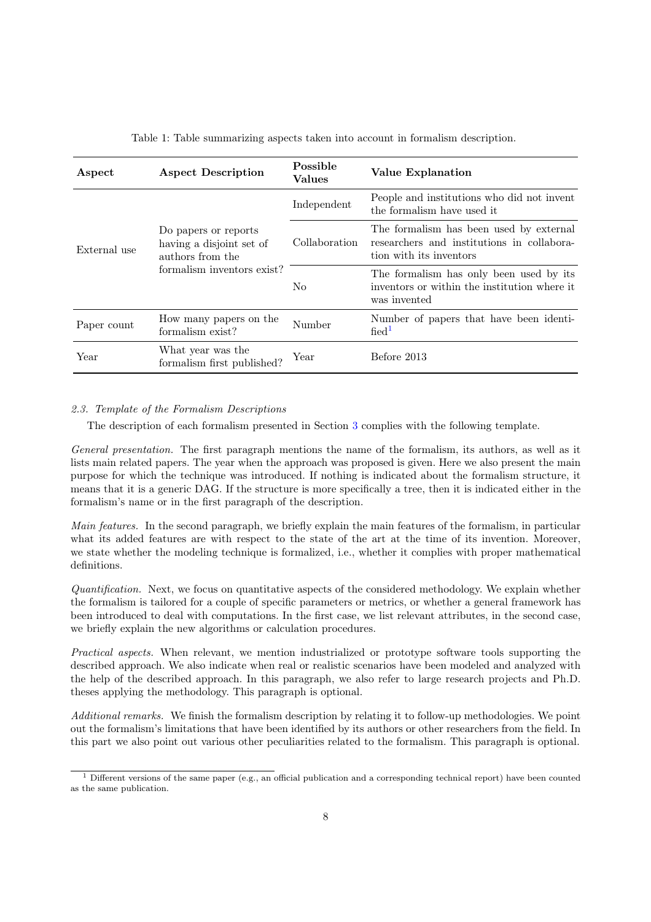| Aspect       | <b>Aspect Description</b>                                                                          | Possible<br>Values | Value Explanation                                                                                                |
|--------------|----------------------------------------------------------------------------------------------------|--------------------|------------------------------------------------------------------------------------------------------------------|
| External use |                                                                                                    | Independent        | People and institutions who did not invent<br>the formalism have used it                                         |
|              | Do papers or reports<br>having a disjoint set of<br>authors from the<br>formalism inventors exist? | Collaboration      | The formalism has been used by external<br>researchers and institutions in collabora-<br>tion with its inventors |
|              |                                                                                                    | No                 | The formalism has only been used by its<br>inventors or within the institution where it<br>was invented          |
| Paper count  | How many papers on the<br>formalism exist?                                                         | Number             | Number of papers that have been identi-<br>$\text{fied}^1$                                                       |
| Year         | What year was the<br>formalism first published?                                                    | Year               | Before 2013                                                                                                      |

# Table 1: Table summarizing aspects taken into account in formalism description.

# <span id="page-7-1"></span>*2.3. Template of the Formalism Descriptions*

The description of each formalism presented in Section [3](#page-8-0) complies with the following template.

*General presentation.* The first paragraph mentions the name of the formalism, its authors, as well as it lists main related papers. The year when the approach was proposed is given. Here we also present the main purpose for which the technique was introduced. If nothing is indicated about the formalism structure, it means that it is a generic DAG. If the structure is more specifically a tree, then it is indicated either in the formalism's name or in the first paragraph of the description.

*Main features.* In the second paragraph, we briefly explain the main features of the formalism, in particular what its added features are with respect to the state of the art at the time of its invention. Moreover, we state whether the modeling technique is formalized, i.e., whether it complies with proper mathematical definitions.

*Quantification.* Next, we focus on quantitative aspects of the considered methodology. We explain whether the formalism is tailored for a couple of specific parameters or metrics, or whether a general framework has been introduced to deal with computations. In the first case, we list relevant attributes, in the second case, we briefly explain the new algorithms or calculation procedures.

*Practical aspects.* When relevant, we mention industrialized or prototype software tools supporting the described approach. We also indicate when real or realistic scenarios have been modeled and analyzed with the help of the described approach. In this paragraph, we also refer to large research projects and Ph.D. theses applying the methodology. This paragraph is optional.

*Additional remarks.* We finish the formalism description by relating it to follow-up methodologies. We point out the formalism's limitations that have been identified by its authors or other researchers from the field. In this part we also point out various other peculiarities related to the formalism. This paragraph is optional.

<span id="page-7-0"></span><sup>&</sup>lt;sup>1</sup> Different versions of the same paper (e.g., an official publication and a corresponding technical report) have been counted as the same publication.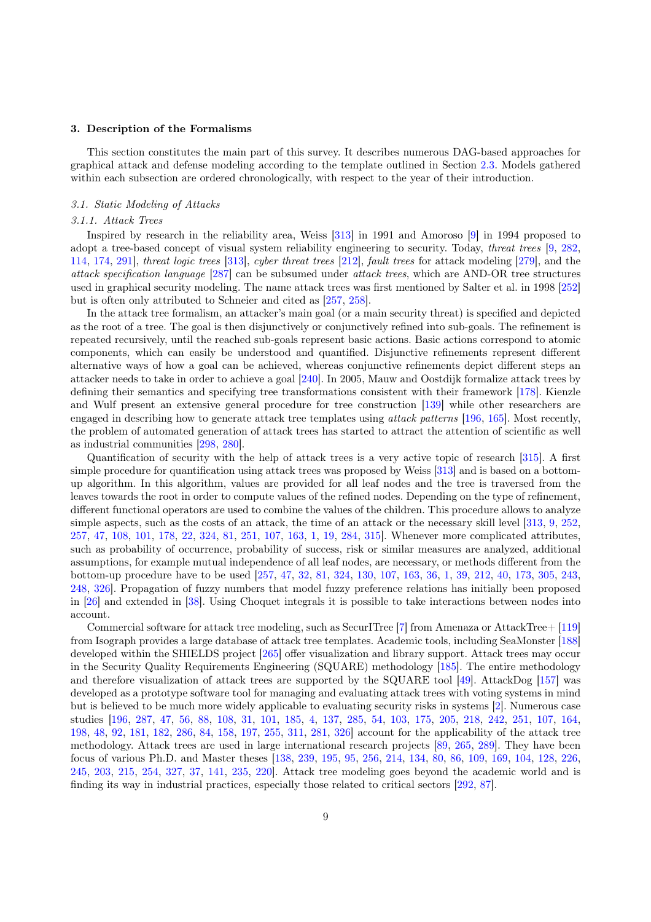# <span id="page-8-0"></span>3. Description of the Formalisms

This section constitutes the main part of this survey. It describes numerous DAG-based approaches for graphical attack and defense modeling according to the template outlined in Section [2.3.](#page-7-1) Models gathered within each subsection are ordered chronologically, with respect to the year of their introduction.

#### <span id="page-8-1"></span>*3.1. Static Modeling of Attacks*

# *3.1.1. Attack Trees*

Inspired by research in the reliability area, Weiss [\[313\]](#page-48-1) in 1991 and Amoroso [\[9](#page-37-3)] in 1994 proposed to adopt a tree-based concept of visual system reliability engineering to security. Today, *threat trees* [\[9](#page-37-3), [282,](#page-47-4) [114](#page-41-2), [174](#page-43-2), [291](#page-47-5)], *threat logic trees* [\[313\]](#page-48-1), *cyber threat trees* [\[212](#page-45-1)], *fault trees* for attack modeling [\[279\]](#page-47-6), and the *attack specification language* [\[287](#page-47-3)] can be subsumed under *attack trees*, which are AND-OR tree structures used in graphical security modeling. The name attack trees was first mentioned by Salter et al. in 1998 [\[252\]](#page-46-3) but is often only attributed to Schneier and cited as [\[257,](#page-46-4) [258\]](#page-46-5).

In the attack tree formalism, an attacker's main goal (or a main security threat) is specified and depicted as the root of a tree. The goal is then disjunctively or conjunctively refined into sub-goals. The refinement is repeated recursively, until the reached sub-goals represent basic actions. Basic actions correspond to atomic components, which can easily be understood and quantified. Disjunctive refinements represent different alternative ways of how a goal can be achieved, whereas conjunctive refinements depict different steps an attacker needs to take in order to achieve a goal [\[240](#page-45-2)]. In 2005, Mauw and Oostdijk formalize attack trees by defining their semantics and specifying tree transformations consistent with their framework [\[178\]](#page-43-1). Kienzle and Wulf present an extensive general procedure for tree construction [\[139](#page-42-2)] while other researchers are engaged in describing how to generate attack tree templates using *attack patterns* [\[196,](#page-44-0) [165\]](#page-43-3). Most recently, the problem of automated generation of attack trees has started to attract the attention of scientific as well as industrial communities [\[298](#page-48-3), [280](#page-47-7)].

Quantification of security with the help of attack trees is a very active topic of research [\[315\]](#page-48-4). A first simple procedure for quantification using attack trees was proposed by Weiss [\[313](#page-48-1)] and is based on a bottomup algorithm. In this algorithm, values are provided for all leaf nodes and the tree is traversed from the leaves towards the root in order to compute values of the refined nodes. Depending on the type of refinement, different functional operators are used to combine the values of the children. This procedure allows to analyze simple aspects, such as the costs of an attack, the time of an attack or the necessary skill level [\[313](#page-48-1), [9](#page-37-3), [252,](#page-46-3) [257](#page-46-4), [47,](#page-39-1) [108](#page-41-3), [101](#page-40-1), [178,](#page-43-1) [22](#page-38-3), [324](#page-49-0), [81,](#page-40-2) [251](#page-46-6), [107](#page-41-0), [163,](#page-43-4) [1](#page-37-4), [19,](#page-38-4) [284,](#page-47-2) [315](#page-48-4)]. Whenever more complicated attributes, such as probability of occurrence, probability of success, risk or similar measures are analyzed, additional assumptions, for example mutual independence of all leaf nodes, are necessary, or methods different from the bottom-up procedure have to be used [\[257](#page-46-4), [47](#page-39-1), [32,](#page-38-5) [81,](#page-40-2) [324](#page-49-0), [130](#page-41-4), [107](#page-41-0), [163,](#page-43-4) [36,](#page-38-6) [1,](#page-37-4) [39](#page-38-7), [212](#page-45-1), [40](#page-38-8), [173,](#page-43-5) [305,](#page-48-5) [243,](#page-46-7) [248](#page-46-8), [326\]](#page-49-1). Propagation of fuzzy numbers that model fuzzy preference relations has initially been proposed in [\[26](#page-38-9)] and extended in [\[38](#page-38-10)]. Using Choquet integrals it is possible to take interactions between nodes into account.

Commercial software for attack tree modeling, such as SecurITree [\[7\]](#page-37-5) from Amenaza or AttackTree+ [\[119\]](#page-41-5) from Isograph provides a large database of attack tree templates. Academic tools, including SeaMonster [\[188\]](#page-44-1) developed within the SHIELDS project [\[265\]](#page-46-0) offer visualization and library support. Attack trees may occur in the Security Quality Requirements Engineering (SQUARE) methodology [\[185](#page-43-6)]. The entire methodology and therefore visualization of attack trees are supported by the SQUARE tool [\[49](#page-39-2)]. AttackDog [\[157](#page-42-3)] was developed as a prototype software tool for managing and evaluating attack trees with voting systems in mind but is believed to be much more widely applicable to evaluating security risks in systems [\[2\]](#page-37-6). Numerous case studies [\[196,](#page-44-0) [287](#page-47-3), [47](#page-39-1), [56,](#page-39-3) [88](#page-40-3), [108](#page-41-3), [31,](#page-38-11) [101](#page-40-1), [185](#page-43-6), [4,](#page-37-2) [137,](#page-42-4) [285](#page-47-1), [54,](#page-39-4) [103,](#page-41-6) [175](#page-43-7), [205](#page-44-2), [218,](#page-45-3) [242](#page-46-2), [251](#page-46-6), [107,](#page-41-0) [164,](#page-43-0) [198](#page-44-3), [48,](#page-39-5) [92](#page-40-4), [181](#page-43-8), [182,](#page-43-9) [286](#page-47-8), [84](#page-40-0), [158,](#page-42-1) [197](#page-44-4), [255](#page-46-9), [311,](#page-48-6) [281](#page-47-9), [326](#page-49-1)] account for the applicability of the attack tree methodology. Attack trees are used in large international research projects [\[89](#page-40-5), [265,](#page-46-0) [289\]](#page-47-0). They have been focus of various Ph.D. and Master theses [\[138](#page-42-5), [239](#page-45-4), [195,](#page-44-5) [95](#page-40-6), [256](#page-46-10), [214,](#page-45-5) [134,](#page-42-6) [80](#page-40-7), [86,](#page-40-8) [109,](#page-41-7) [169](#page-43-10), [104](#page-41-8), [128,](#page-41-9) [226,](#page-45-6) [245](#page-46-11), [203](#page-44-6), [215](#page-45-7), [254,](#page-46-12) [327,](#page-49-2) [37](#page-38-12), [141](#page-42-7), [235,](#page-45-8) [220\]](#page-45-9). Attack tree modeling goes beyond the academic world and is finding its way in industrial practices, especially those related to critical sectors [\[292,](#page-47-10) [87\]](#page-40-9).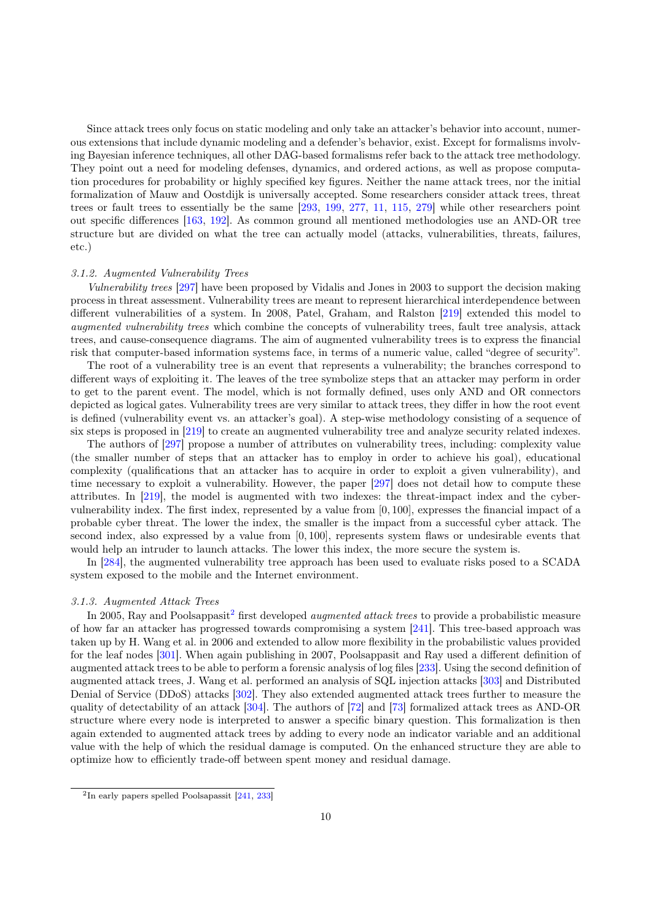Since attack trees only focus on static modeling and only take an attacker's behavior into account, numerous extensions that include dynamic modeling and a defender's behavior, exist. Except for formalisms involving Bayesian inference techniques, all other DAG-based formalisms refer back to the attack tree methodology. They point out a need for modeling defenses, dynamics, and ordered actions, as well as propose computation procedures for probability or highly specified key figures. Neither the name attack trees, nor the initial formalization of Mauw and Oostdijk is universally accepted. Some researchers consider attack trees, threat trees or fault trees to essentially be the same [\[293](#page-47-11), [199](#page-44-7), [277](#page-47-12), [11](#page-37-7), [115](#page-41-10), [279](#page-47-6)] while other researchers point out specific differences [\[163](#page-43-4), [192](#page-44-8)]. As common ground all mentioned methodologies use an AND-OR tree structure but are divided on what the tree can actually model (attacks, vulnerabilities, threats, failures, etc.)

# <span id="page-9-2"></span>*3.1.2. Augmented Vulnerability Trees*

*Vulnerability trees* [\[297](#page-48-7)] have been proposed by Vidalis and Jones in 2003 to support the decision making process in threat assessment. Vulnerability trees are meant to represent hierarchical interdependence between different vulnerabilities of a system. In 2008, Patel, Graham, and Ralston [\[219\]](#page-45-10) extended this model to *augmented vulnerability trees* which combine the concepts of vulnerability trees, fault tree analysis, attack trees, and cause-consequence diagrams. The aim of augmented vulnerability trees is to express the financial risk that computer-based information systems face, in terms of a numeric value, called "degree of security".

The root of a vulnerability tree is an event that represents a vulnerability; the branches correspond to different ways of exploiting it. The leaves of the tree symbolize steps that an attacker may perform in order to get to the parent event. The model, which is not formally defined, uses only AND and OR connectors depicted as logical gates. Vulnerability trees are very similar to attack trees, they differ in how the root event is defined (vulnerability event vs. an attacker's goal). A step-wise methodology consisting of a sequence of six steps is proposed in [\[219\]](#page-45-10) to create an augmented vulnerability tree and analyze security related indexes.

The authors of [\[297\]](#page-48-7) propose a number of attributes on vulnerability trees, including: complexity value (the smaller number of steps that an attacker has to employ in order to achieve his goal), educational complexity (qualifications that an attacker has to acquire in order to exploit a given vulnerability), and time necessary to exploit a vulnerability. However, the paper [\[297\]](#page-48-7) does not detail how to compute these attributes. In [\[219](#page-45-10)], the model is augmented with two indexes: the threat-impact index and the cybervulnerability index. The first index, represented by a value from [0, 100], expresses the financial impact of a probable cyber threat. The lower the index, the smaller is the impact from a successful cyber attack. The second index, also expressed by a value from [0, 100], represents system flaws or undesirable events that would help an intruder to launch attacks. The lower this index, the more secure the system is.

In [\[284\]](#page-47-2), the augmented vulnerability tree approach has been used to evaluate risks posed to a SCADA system exposed to the mobile and the Internet environment.

### <span id="page-9-1"></span>*3.1.3. Augmented Attack Trees*

In 2005, Ray and Poolsappasit[2](#page-9-0) first developed *augmented attack trees* to provide a probabilistic measure of how far an attacker has progressed towards compromising a system [\[241](#page-45-11)]. This tree-based approach was taken up by H. Wang et al. in 2006 and extended to allow more flexibility in the probabilistic values provided for the leaf nodes [\[301\]](#page-48-8). When again publishing in 2007, Poolsappasit and Ray used a different definition of augmented attack trees to be able to perform a forensic analysis of log files [\[233\]](#page-45-12). Using the second definition of augmented attack trees, J. Wang et al. performed an analysis of SQL injection attacks [\[303](#page-48-9)] and Distributed Denial of Service (DDoS) attacks [\[302](#page-48-10)]. They also extended augmented attack trees further to measure the quality of detectability of an attack [\[304\]](#page-48-11). The authors of [\[72](#page-39-6)] and [\[73](#page-39-7)] formalized attack trees as AND-OR structure where every node is interpreted to answer a specific binary question. This formalization is then again extended to augmented attack trees by adding to every node an indicator variable and an additional value with the help of which the residual damage is computed. On the enhanced structure they are able to optimize how to efficiently trade-off between spent money and residual damage.

<span id="page-9-0"></span><sup>&</sup>lt;sup>2</sup>In early papers spelled Poolsapassit [\[241,](#page-45-11) [233\]](#page-45-12)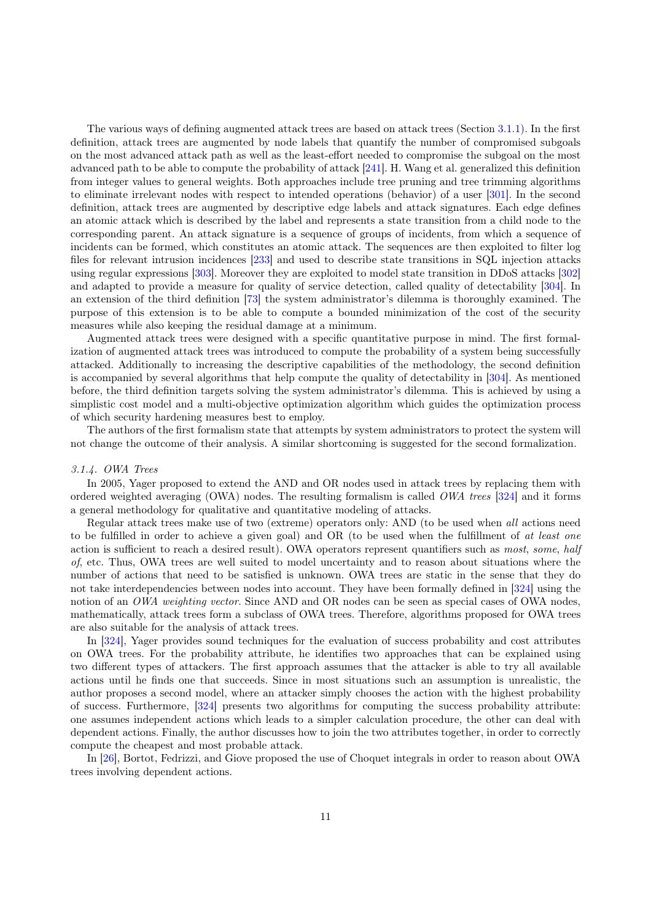The various ways of defining augmented attack trees are based on attack trees (Section [3.1.1\)](#page-8-1). In the first definition, attack trees are augmented by node labels that quantify the number of compromised subgoals on the most advanced attack path as well as the least-effort needed to compromise the subgoal on the most advanced path to be able to compute the probability of attack [\[241\]](#page-45-11). H. Wang et al. generalized this definition from integer values to general weights. Both approaches include tree pruning and tree trimming algorithms to eliminate irrelevant nodes with respect to intended operations (behavior) of a user [\[301](#page-48-8)]. In the second definition, attack trees are augmented by descriptive edge labels and attack signatures. Each edge defines an atomic attack which is described by the label and represents a state transition from a child node to the corresponding parent. An attack signature is a sequence of groups of incidents, from which a sequence of incidents can be formed, which constitutes an atomic attack. The sequences are then exploited to filter log files for relevant intrusion incidences [\[233\]](#page-45-12) and used to describe state transitions in SQL injection attacks using regular expressions [\[303](#page-48-9)]. Moreover they are exploited to model state transition in DDoS attacks [\[302\]](#page-48-10) and adapted to provide a measure for quality of service detection, called quality of detectability [\[304](#page-48-11)]. In an extension of the third definition [\[73\]](#page-39-7) the system administrator's dilemma is thoroughly examined. The purpose of this extension is to be able to compute a bounded minimization of the cost of the security measures while also keeping the residual damage at a minimum.

Augmented attack trees were designed with a specific quantitative purpose in mind. The first formalization of augmented attack trees was introduced to compute the probability of a system being successfully attacked. Additionally to increasing the descriptive capabilities of the methodology, the second definition is accompanied by several algorithms that help compute the quality of detectability in [\[304](#page-48-11)]. As mentioned before, the third definition targets solving the system administrator's dilemma. This is achieved by using a simplistic cost model and a multi-objective optimization algorithm which guides the optimization process of which security hardening measures best to employ.

The authors of the first formalism state that attempts by system administrators to protect the system will not change the outcome of their analysis. A similar shortcoming is suggested for the second formalization.

#### <span id="page-10-0"></span>*3.1.4. OWA Trees*

In 2005, Yager proposed to extend the AND and OR nodes used in attack trees by replacing them with ordered weighted averaging (OWA) nodes. The resulting formalism is called *OWA trees* [\[324](#page-49-0)] and it forms a general methodology for qualitative and quantitative modeling of attacks.

Regular attack trees make use of two (extreme) operators only: AND (to be used when *all* actions need to be fulfilled in order to achieve a given goal) and OR (to be used when the fulfillment of *at least one* action is sufficient to reach a desired result). OWA operators represent quantifiers such as *most*, *some*, *half of*, etc. Thus, OWA trees are well suited to model uncertainty and to reason about situations where the number of actions that need to be satisfied is unknown. OWA trees are static in the sense that they do not take interdependencies between nodes into account. They have been formally defined in [\[324\]](#page-49-0) using the notion of an *OWA weighting vector*. Since AND and OR nodes can be seen as special cases of OWA nodes, mathematically, attack trees form a subclass of OWA trees. Therefore, algorithms proposed for OWA trees are also suitable for the analysis of attack trees.

In [\[324](#page-49-0)], Yager provides sound techniques for the evaluation of success probability and cost attributes on OWA trees. For the probability attribute, he identifies two approaches that can be explained using two different types of attackers. The first approach assumes that the attacker is able to try all available actions until he finds one that succeeds. Since in most situations such an assumption is unrealistic, the author proposes a second model, where an attacker simply chooses the action with the highest probability of success. Furthermore, [\[324\]](#page-49-0) presents two algorithms for computing the success probability attribute: one assumes independent actions which leads to a simpler calculation procedure, the other can deal with dependent actions. Finally, the author discusses how to join the two attributes together, in order to correctly compute the cheapest and most probable attack.

In [\[26](#page-38-9)], Bortot, Fedrizzi, and Giove proposed the use of Choquet integrals in order to reason about OWA trees involving dependent actions.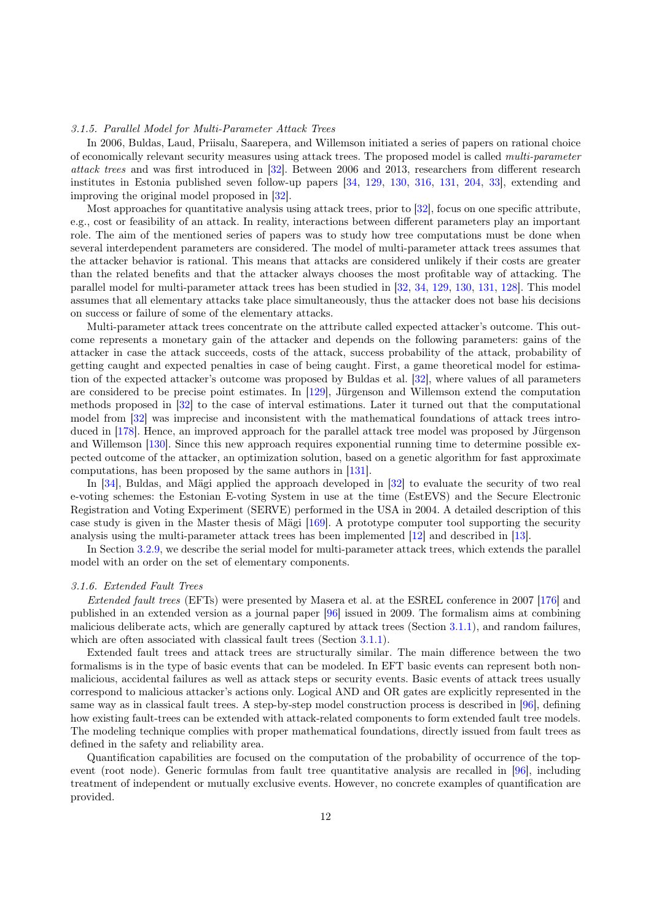# <span id="page-11-0"></span>*3.1.5. Parallel Model for Multi-Parameter Attack Trees*

In 2006, Buldas, Laud, Priisalu, Saarepera, and Willemson initiated a series of papers on rational choice of economically relevant security measures using attack trees. The proposed model is called *multi-parameter attack trees* and was first introduced in [\[32](#page-38-5)]. Between 2006 and 2013, researchers from different research institutes in Estonia published seven follow-up papers [\[34](#page-38-1), [129](#page-41-11), [130,](#page-41-4) [316](#page-48-12), [131,](#page-42-8) [204](#page-44-9), [33](#page-38-13)], extending and improving the original model proposed in [\[32](#page-38-5)].

Most approaches for quantitative analysis using attack trees, prior to [\[32](#page-38-5)], focus on one specific attribute, e.g., cost or feasibility of an attack. In reality, interactions between different parameters play an important role. The aim of the mentioned series of papers was to study how tree computations must be done when several interdependent parameters are considered. The model of multi-parameter attack trees assumes that the attacker behavior is rational. This means that attacks are considered unlikely if their costs are greater than the related benefits and that the attacker always chooses the most profitable way of attacking. The parallel model for multi-parameter attack trees has been studied in [\[32](#page-38-5), [34](#page-38-1), [129](#page-41-11), [130](#page-41-4), [131](#page-42-8), [128\]](#page-41-9). This model assumes that all elementary attacks take place simultaneously, thus the attacker does not base his decisions on success or failure of some of the elementary attacks.

Multi-parameter attack trees concentrate on the attribute called expected attacker's outcome. This outcome represents a monetary gain of the attacker and depends on the following parameters: gains of the attacker in case the attack succeeds, costs of the attack, success probability of the attack, probability of getting caught and expected penalties in case of being caught. First, a game theoretical model for estimation of the expected attacker's outcome was proposed by Buldas et al. [\[32](#page-38-5)], where values of all parameters are considered to be precise point estimates. In [\[129](#page-41-11)], Jürgenson and Willemson extend the computation methods proposed in [\[32\]](#page-38-5) to the case of interval estimations. Later it turned out that the computational model from [\[32\]](#page-38-5) was imprecise and inconsistent with the mathematical foundations of attack trees introduced in [\[178\]](#page-43-1). Hence, an improved approach for the parallel attack tree model was proposed by Jürgenson and Willemson [\[130\]](#page-41-4). Since this new approach requires exponential running time to determine possible expected outcome of the attacker, an optimization solution, based on a genetic algorithm for fast approximate computations, has been proposed by the same authors in [\[131](#page-42-8)].

In [\[34](#page-38-1)], Buldas, and Mägi applied the approach developed in [\[32](#page-38-5)] to evaluate the security of two real e-voting schemes: the Estonian E-voting System in use at the time (EstEVS) and the Secure Electronic Registration and Voting Experiment (SERVE) performed in the USA in 2004. A detailed description of this case study is given in the Master thesis of Mägi [\[169](#page-43-10)]. A prototype computer tool supporting the security analysis using the multi-parameter attack trees has been implemented [\[12](#page-37-8)] and described in [\[13](#page-37-9)].

In Section [3.2.9,](#page-16-0) we describe the serial model for multi-parameter attack trees, which extends the parallel model with an order on the set of elementary components.

#### <span id="page-11-1"></span>*3.1.6. Extended Fault Trees*

*Extended fault trees* (EFTs) were presented by Masera et al. at the ESREL conference in 2007 [\[176\]](#page-43-11) and published in an extended version as a journal paper [\[96\]](#page-40-10) issued in 2009. The formalism aims at combining malicious deliberate acts, which are generally captured by attack trees (Section [3.1.1\)](#page-8-1), and random failures, which are often associated with classical fault trees (Section [3.1.1\)](#page-8-1).

Extended fault trees and attack trees are structurally similar. The main difference between the two formalisms is in the type of basic events that can be modeled. In EFT basic events can represent both nonmalicious, accidental failures as well as attack steps or security events. Basic events of attack trees usually correspond to malicious attacker's actions only. Logical AND and OR gates are explicitly represented in the same way as in classical fault trees. A step-by-step model construction process is described in [\[96\]](#page-40-10), defining how existing fault-trees can be extended with attack-related components to form extended fault tree models. The modeling technique complies with proper mathematical foundations, directly issued from fault trees as defined in the safety and reliability area.

Quantification capabilities are focused on the computation of the probability of occurrence of the top-event (root node). Generic formulas from fault tree quantitative analysis are recalled in [\[96\]](#page-40-10), including treatment of independent or mutually exclusive events. However, no concrete examples of quantification are provided.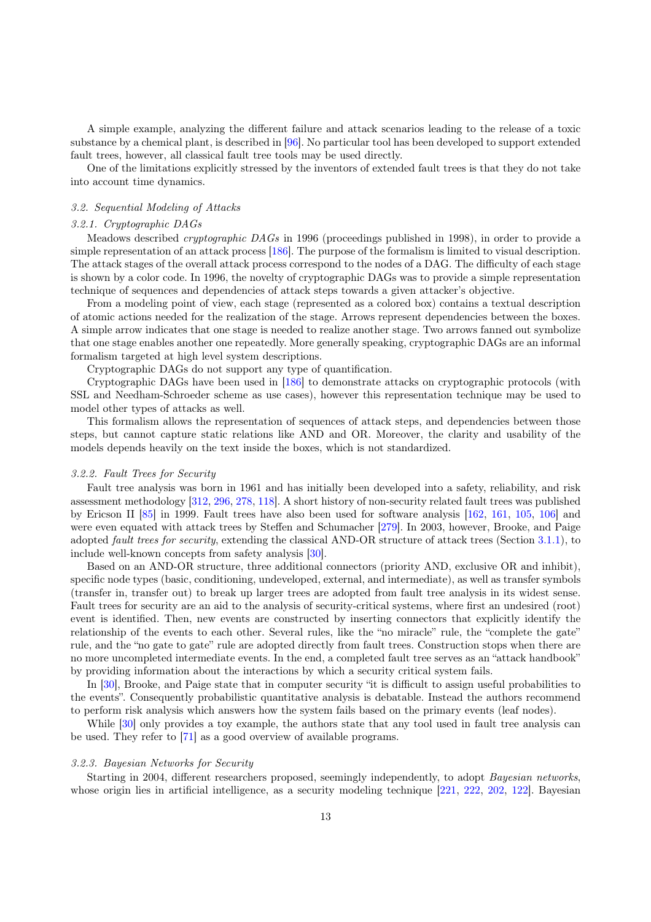A simple example, analyzing the different failure and attack scenarios leading to the release of a toxic substance by a chemical plant, is described in [\[96\]](#page-40-10). No particular tool has been developed to support extended fault trees, however, all classical fault tree tools may be used directly.

One of the limitations explicitly stressed by the inventors of extended fault trees is that they do not take into account time dynamics.

# <span id="page-12-1"></span>*3.2. Sequential Modeling of Attacks*

#### *3.2.1. Cryptographic DAGs*

Meadows described *cryptographic DAGs* in 1996 (proceedings published in 1998), in order to provide a simple representation of an attack process [\[186](#page-44-10)]. The purpose of the formalism is limited to visual description. The attack stages of the overall attack process correspond to the nodes of a DAG. The difficulty of each stage is shown by a color code. In 1996, the novelty of cryptographic DAGs was to provide a simple representation technique of sequences and dependencies of attack steps towards a given attacker's objective.

From a modeling point of view, each stage (represented as a colored box) contains a textual description of atomic actions needed for the realization of the stage. Arrows represent dependencies between the boxes. A simple arrow indicates that one stage is needed to realize another stage. Two arrows fanned out symbolize that one stage enables another one repeatedly. More generally speaking, cryptographic DAGs are an informal formalism targeted at high level system descriptions.

Cryptographic DAGs do not support any type of quantification.

Cryptographic DAGs have been used in [\[186\]](#page-44-10) to demonstrate attacks on cryptographic protocols (with SSL and Needham-Schroeder scheme as use cases), however this representation technique may be used to model other types of attacks as well.

This formalism allows the representation of sequences of attack steps, and dependencies between those steps, but cannot capture static relations like AND and OR. Moreover, the clarity and usability of the models depends heavily on the text inside the boxes, which is not standardized.

# <span id="page-12-2"></span>*3.2.2. Fault Trees for Security*

Fault tree analysis was born in 1961 and has initially been developed into a safety, reliability, and risk assessment methodology [\[312](#page-48-13), [296](#page-48-2), [278,](#page-47-13) [118\]](#page-41-12). A short history of non-security related fault trees was published by Ericson II [\[85\]](#page-40-11) in 1999. Fault trees have also been used for software analysis [\[162](#page-43-12), [161](#page-43-13), [105,](#page-41-13) [106\]](#page-41-14) and were even equated with attack trees by Steffen and Schumacher [\[279](#page-47-6)]. In 2003, however, Brooke, and Paige adopted *fault trees for security*, extending the classical AND-OR structure of attack trees (Section [3.1.1\)](#page-8-1), to include well-known concepts from safety analysis [\[30](#page-38-14)].

Based on an AND-OR structure, three additional connectors (priority AND, exclusive OR and inhibit), specific node types (basic, conditioning, undeveloped, external, and intermediate), as well as transfer symbols (transfer in, transfer out) to break up larger trees are adopted from fault tree analysis in its widest sense. Fault trees for security are an aid to the analysis of security-critical systems, where first an undesired (root) event is identified. Then, new events are constructed by inserting connectors that explicitly identify the relationship of the events to each other. Several rules, like the "no miracle" rule, the "complete the gate" rule, and the "no gate to gate" rule are adopted directly from fault trees. Construction stops when there are no more uncompleted intermediate events. In the end, a completed fault tree serves as an "attack handbook" by providing information about the interactions by which a security critical system fails.

In [\[30\]](#page-38-14), Brooke, and Paige state that in computer security "it is difficult to assign useful probabilities to the events". Consequently probabilistic quantitative analysis is debatable. Instead the authors recommend to perform risk analysis which answers how the system fails based on the primary events (leaf nodes).

While  $[30]$  only provides a toy example, the authors state that any tool used in fault tree analysis can be used. They refer to [\[71](#page-39-8)] as a good overview of available programs.

# <span id="page-12-0"></span>*3.2.3. Bayesian Networks for Security*

Starting in 2004, different researchers proposed, seemingly independently, to adopt *Bayesian networks*, whose origin lies in artificial intelligence, as a security modeling technique [\[221](#page-45-13), [222,](#page-45-14) [202,](#page-44-11) [122\]](#page-41-15). Bayesian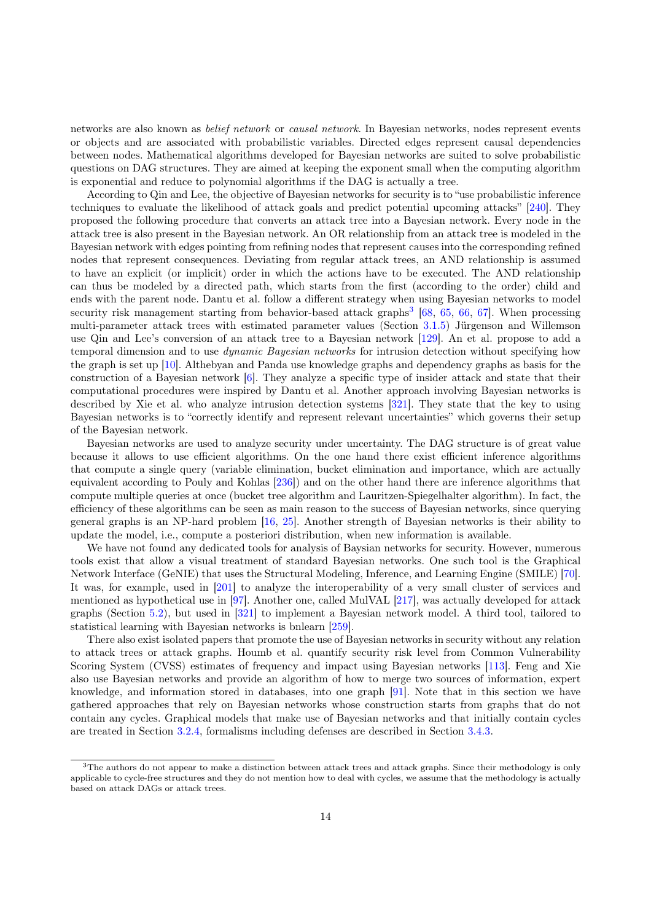networks are also known as *belief network* or *causal network*. In Bayesian networks, nodes represent events or objects and are associated with probabilistic variables. Directed edges represent causal dependencies between nodes. Mathematical algorithms developed for Bayesian networks are suited to solve probabilistic questions on DAG structures. They are aimed at keeping the exponent small when the computing algorithm is exponential and reduce to polynomial algorithms if the DAG is actually a tree.

According to Qin and Lee, the objective of Bayesian networks for security is to "use probabilistic inference techniques to evaluate the likelihood of attack goals and predict potential upcoming attacks" [\[240\]](#page-45-2). They proposed the following procedure that converts an attack tree into a Bayesian network. Every node in the attack tree is also present in the Bayesian network. An OR relationship from an attack tree is modeled in the Bayesian network with edges pointing from refining nodes that represent causes into the corresponding refined nodes that represent consequences. Deviating from regular attack trees, an AND relationship is assumed to have an explicit (or implicit) order in which the actions have to be executed. The AND relationship can thus be modeled by a directed path, which starts from the first (according to the order) child and ends with the parent node. Dantu et al. follow a different strategy when using Bayesian networks to model security risk management starting from behavior-based attack graphs<sup>[3](#page-13-0)</sup>  $[68, 65, 66, 67]$  $[68, 65, 66, 67]$  $[68, 65, 66, 67]$  $[68, 65, 66, 67]$  $[68, 65, 66, 67]$  $[68, 65, 66, 67]$  $[68, 65, 66, 67]$  $[68, 65, 66, 67]$ . When processing multi-parameter attack trees with estimated parameter values (Section [3.1.5\)](#page-11-0) Jürgenson and Willemson use Qin and Lee's conversion of an attack tree to a Bayesian network [\[129\]](#page-41-11). An et al. propose to add a temporal dimension and to use *dynamic Bayesian networks* for intrusion detection without specifying how the graph is set up [\[10](#page-37-10)]. Althebyan and Panda use knowledge graphs and dependency graphs as basis for the construction of a Bayesian network [\[6\]](#page-37-11). They analyze a specific type of insider attack and state that their computational procedures were inspired by Dantu et al. Another approach involving Bayesian networks is described by Xie et al. who analyze intrusion detection systems [\[321\]](#page-49-3). They state that the key to using Bayesian networks is to "correctly identify and represent relevant uncertainties" which governs their setup of the Bayesian network.

Bayesian networks are used to analyze security under uncertainty. The DAG structure is of great value because it allows to use efficient algorithms. On the one hand there exist efficient inference algorithms that compute a single query (variable elimination, bucket elimination and importance, which are actually equivalent according to Pouly and Kohlas [\[236\]](#page-45-15)) and on the other hand there are inference algorithms that compute multiple queries at once (bucket tree algorithm and Lauritzen-Spiegelhalter algorithm). In fact, the efficiency of these algorithms can be seen as main reason to the success of Bayesian networks, since querying general graphs is an NP-hard problem [\[16,](#page-37-12) [25](#page-38-15)]. Another strength of Bayesian networks is their ability to update the model, i.e., compute a posteriori distribution, when new information is available.

We have not found any dedicated tools for analysis of Baysian networks for security. However, numerous tools exist that allow a visual treatment of standard Bayesian networks. One such tool is the Graphical Network Interface (GeNIE) that uses the Structural Modeling, Inference, and Learning Engine (SMILE) [\[70](#page-39-13)]. It was, for example, used in [\[201\]](#page-44-12) to analyze the interoperability of a very small cluster of services and mentioned as hypothetical use in [\[97\]](#page-40-12). Another one, called MulVAL [\[217](#page-45-16)], was actually developed for attack graphs (Section [5.2\)](#page-33-0), but used in [\[321](#page-49-3)] to implement a Bayesian network model. A third tool, tailored to statistical learning with Bayesian networks is bnlearn [\[259](#page-46-13)].

There also exist isolated papers that promote the use of Bayesian networks in security without any relation to attack trees or attack graphs. Houmb et al. quantify security risk level from Common Vulnerability Scoring System (CVSS) estimates of frequency and impact using Bayesian networks [\[113](#page-41-16)]. Feng and Xie also use Bayesian networks and provide an algorithm of how to merge two sources of information, expert knowledge, and information stored in databases, into one graph [\[91](#page-40-13)]. Note that in this section we have gathered approaches that rely on Bayesian networks whose construction starts from graphs that do not contain any cycles. Graphical models that make use of Bayesian networks and that initially contain cycles are treated in Section [3.2.4,](#page-14-0) formalisms including defenses are described in Section [3.4.3.](#page-23-0)

<span id="page-13-0"></span><sup>&</sup>lt;sup>3</sup>The authors do not appear to make a distinction between attack trees and attack graphs. Since their methodology is only applicable to cycle-free structures and they do not mention how to deal with cycles, we assume that the methodology is actually based on attack DAGs or attack trees.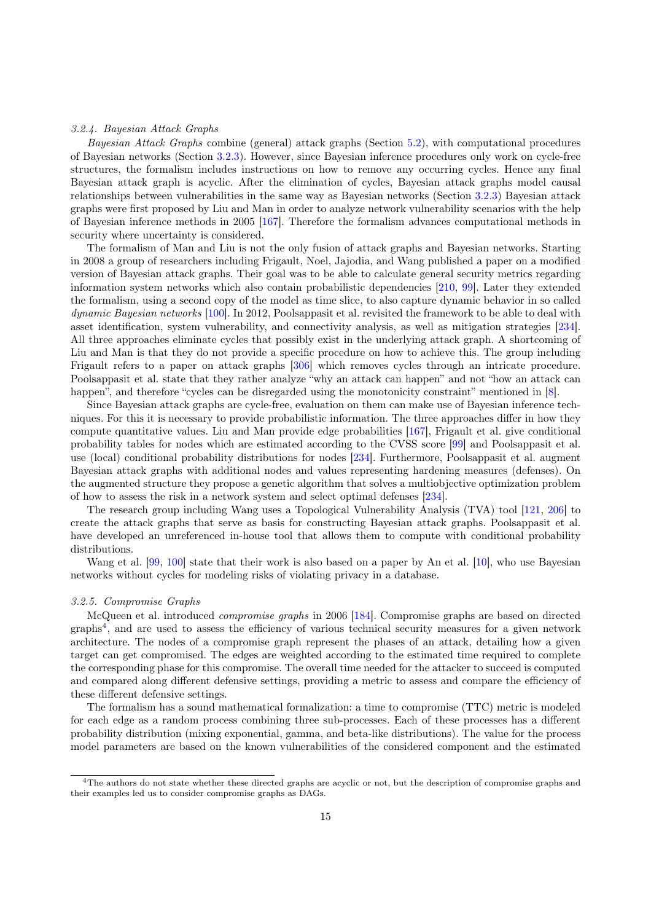### <span id="page-14-0"></span>*3.2.4. Bayesian Attack Graphs*

*Bayesian Attack Graphs* combine (general) attack graphs (Section [5.2\)](#page-33-0), with computational procedures of Bayesian networks (Section [3.2.3\)](#page-12-0). However, since Bayesian inference procedures only work on cycle-free structures, the formalism includes instructions on how to remove any occurring cycles. Hence any final Bayesian attack graph is acyclic. After the elimination of cycles, Bayesian attack graphs model causal relationships between vulnerabilities in the same way as Bayesian networks (Section [3.2.3\)](#page-12-0) Bayesian attack graphs were first proposed by Liu and Man in order to analyze network vulnerability scenarios with the help of Bayesian inference methods in 2005 [\[167](#page-43-14)]. Therefore the formalism advances computational methods in security where uncertainty is considered.

The formalism of Man and Liu is not the only fusion of attack graphs and Bayesian networks. Starting in 2008 a group of researchers including Frigault, Noel, Jajodia, and Wang published a paper on a modified version of Bayesian attack graphs. Their goal was to be able to calculate general security metrics regarding information system networks which also contain probabilistic dependencies [\[210,](#page-44-13) [99](#page-40-14)]. Later they extended the formalism, using a second copy of the model as time slice, to also capture dynamic behavior in so called *dynamic Bayesian networks* [\[100](#page-40-15)]. In 2012, Poolsappasit et al. revisited the framework to be able to deal with asset identification, system vulnerability, and connectivity analysis, as well as mitigation strategies [\[234](#page-45-0)]. All three approaches eliminate cycles that possibly exist in the underlying attack graph. A shortcoming of Liu and Man is that they do not provide a specific procedure on how to achieve this. The group including Frigault refers to a paper on attack graphs [\[306](#page-48-14)] which removes cycles through an intricate procedure. Poolsappasit et al. state that they rather analyze "why an attack can happen" and not "how an attack can happen", and therefore "cycles can be disregarded using the monotonicity constraint" mentioned in [\[8](#page-37-13)].

Since Bayesian attack graphs are cycle-free, evaluation on them can make use of Bayesian inference techniques. For this it is necessary to provide probabilistic information. The three approaches differ in how they compute quantitative values. Liu and Man provide edge probabilities [\[167\]](#page-43-14), Frigault et al. give conditional probability tables for nodes which are estimated according to the CVSS score [\[99](#page-40-14)] and Poolsappasit et al. use (local) conditional probability distributions for nodes [\[234\]](#page-45-0). Furthermore, Poolsappasit et al. augment Bayesian attack graphs with additional nodes and values representing hardening measures (defenses). On the augmented structure they propose a genetic algorithm that solves a multiobjective optimization problem of how to assess the risk in a network system and select optimal defenses [\[234\]](#page-45-0).

The research group including Wang uses a Topological Vulnerability Analysis (TVA) tool [\[121](#page-41-17), [206\]](#page-44-14) to create the attack graphs that serve as basis for constructing Bayesian attack graphs. Poolsappasit et al. have developed an unreferenced in-house tool that allows them to compute with conditional probability distributions.

Wang et al. [\[99](#page-40-14), [100](#page-40-15)] state that their work is also based on a paper by An et al. [\[10](#page-37-10)], who use Bayesian networks without cycles for modeling risks of violating privacy in a database.

#### <span id="page-14-2"></span>*3.2.5. Compromise Graphs*

McQueen et al. introduced *compromise graphs* in 2006 [\[184\]](#page-43-15). Compromise graphs are based on directed graphs<sup>[4](#page-14-1)</sup>, and are used to assess the efficiency of various technical security measures for a given network architecture. The nodes of a compromise graph represent the phases of an attack, detailing how a given target can get compromised. The edges are weighted according to the estimated time required to complete the corresponding phase for this compromise. The overall time needed for the attacker to succeed is computed and compared along different defensive settings, providing a metric to assess and compare the efficiency of these different defensive settings.

The formalism has a sound mathematical formalization: a time to compromise (TTC) metric is modeled for each edge as a random process combining three sub-processes. Each of these processes has a different probability distribution (mixing exponential, gamma, and beta-like distributions). The value for the process model parameters are based on the known vulnerabilities of the considered component and the estimated

<span id="page-14-1"></span><sup>4</sup>The authors do not state whether these directed graphs are acyclic or not, but the description of compromise graphs and their examples led us to consider compromise graphs as DAGs.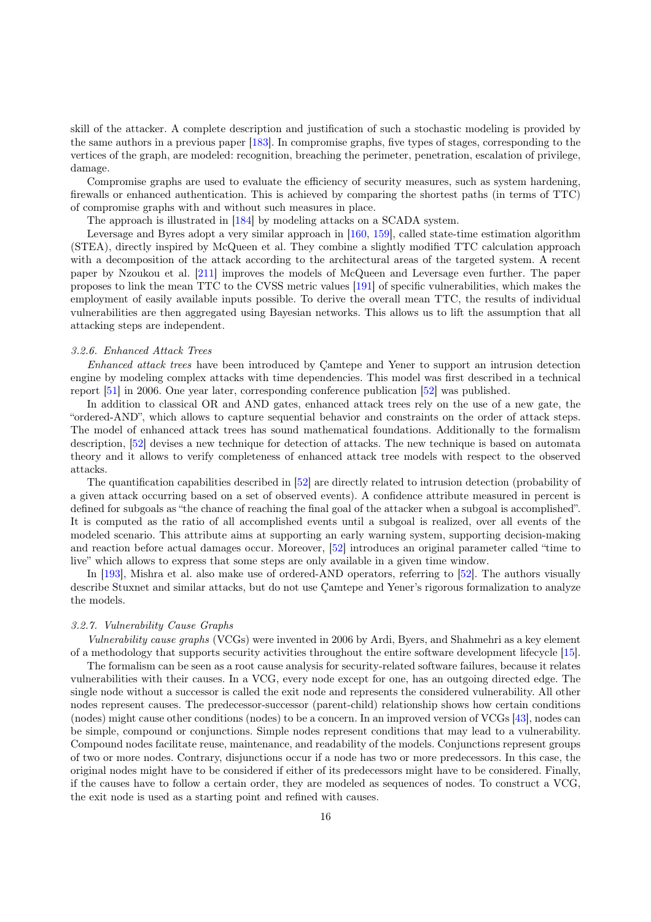skill of the attacker. A complete description and justification of such a stochastic modeling is provided by the same authors in a previous paper [\[183](#page-43-16)]. In compromise graphs, five types of stages, corresponding to the vertices of the graph, are modeled: recognition, breaching the perimeter, penetration, escalation of privilege, damage.

Compromise graphs are used to evaluate the efficiency of security measures, such as system hardening, firewalls or enhanced authentication. This is achieved by comparing the shortest paths (in terms of TTC) of compromise graphs with and without such measures in place.

The approach is illustrated in [\[184\]](#page-43-15) by modeling attacks on a SCADA system.

Leversage and Byres adopt a very similar approach in [\[160](#page-43-17), [159](#page-43-18)], called state-time estimation algorithm (STEA), directly inspired by McQueen et al. They combine a slightly modified TTC calculation approach with a decomposition of the attack according to the architectural areas of the targeted system. A recent paper by Nzoukou et al. [\[211\]](#page-44-15) improves the models of McQueen and Leversage even further. The paper proposes to link the mean TTC to the CVSS metric values [\[191](#page-44-16)] of specific vulnerabilities, which makes the employment of easily available inputs possible. To derive the overall mean TTC, the results of individual vulnerabilities are then aggregated using Bayesian networks. This allows us to lift the assumption that all attacking steps are independent.

#### <span id="page-15-1"></span>*3.2.6. Enhanced Attack Trees*

*Enhanced attack trees* have been introduced by Çamtepe and Yener to support an intrusion detection engine by modeling complex attacks with time dependencies. This model was first described in a technical report [\[51](#page-39-14)] in 2006. One year later, corresponding conference publication [\[52](#page-39-15)] was published.

In addition to classical OR and AND gates, enhanced attack trees rely on the use of a new gate, the "ordered-AND", which allows to capture sequential behavior and constraints on the order of attack steps. The model of enhanced attack trees has sound mathematical foundations. Additionally to the formalism description, [\[52](#page-39-15)] devises a new technique for detection of attacks. The new technique is based on automata theory and it allows to verify completeness of enhanced attack tree models with respect to the observed attacks.

The quantification capabilities described in [\[52\]](#page-39-15) are directly related to intrusion detection (probability of a given attack occurring based on a set of observed events). A confidence attribute measured in percent is defined for subgoals as "the chance of reaching the final goal of the attacker when a subgoal is accomplished". It is computed as the ratio of all accomplished events until a subgoal is realized, over all events of the modeled scenario. This attribute aims at supporting an early warning system, supporting decision-making and reaction before actual damages occur. Moreover, [\[52\]](#page-39-15) introduces an original parameter called "time to live" which allows to express that some steps are only available in a given time window.

In [\[193](#page-44-17)], Mishra et al. also make use of ordered-AND operators, referring to [\[52\]](#page-39-15). The authors visually describe Stuxnet and similar attacks, but do not use Çamtepe and Yener's rigorous formalization to analyze the models.

# <span id="page-15-0"></span>*3.2.7. Vulnerability Cause Graphs*

*Vulnerability cause graphs* (VCGs) were invented in 2006 by Ardi, Byers, and Shahmehri as a key element of a methodology that supports security activities throughout the entire software development lifecycle [\[15](#page-37-14)].

The formalism can be seen as a root cause analysis for security-related software failures, because it relates vulnerabilities with their causes. In a VCG, every node except for one, has an outgoing directed edge. The single node without a successor is called the exit node and represents the considered vulnerability. All other nodes represent causes. The predecessor-successor (parent-child) relationship shows how certain conditions (nodes) might cause other conditions (nodes) to be a concern. In an improved version of VCGs [\[43\]](#page-38-16), nodes can be simple, compound or conjunctions. Simple nodes represent conditions that may lead to a vulnerability. Compound nodes facilitate reuse, maintenance, and readability of the models. Conjunctions represent groups of two or more nodes. Contrary, disjunctions occur if a node has two or more predecessors. In this case, the original nodes might have to be considered if either of its predecessors might have to be considered. Finally, if the causes have to follow a certain order, they are modeled as sequences of nodes. To construct a VCG, the exit node is used as a starting point and refined with causes.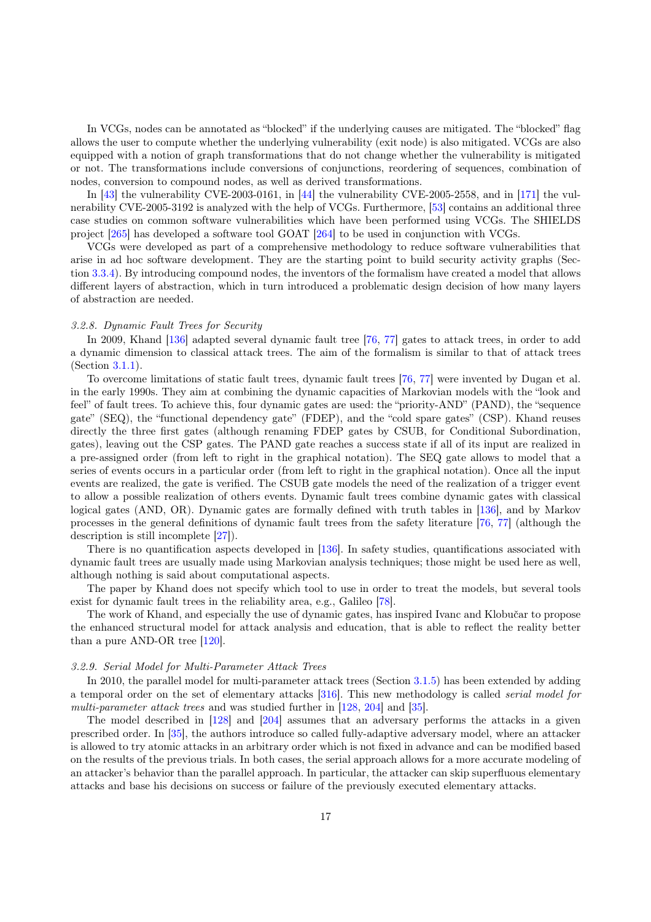In VCGs, nodes can be annotated as "blocked" if the underlying causes are mitigated. The "blocked" flag allows the user to compute whether the underlying vulnerability (exit node) is also mitigated. VCGs are also equipped with a notion of graph transformations that do not change whether the vulnerability is mitigated or not. The transformations include conversions of conjunctions, reordering of sequences, combination of nodes, conversion to compound nodes, as well as derived transformations.

In [\[43\]](#page-38-16) the vulnerability CVE-2003-0161, in [\[44](#page-38-17)] the vulnerability CVE-2005-2558, and in [\[171](#page-43-19)] the vulnerability CVE-2005-3192 is analyzed with the help of VCGs. Furthermore, [\[53\]](#page-39-16) contains an additional three case studies on common software vulnerabilities which have been performed using VCGs. The SHIELDS project [\[265](#page-46-0)] has developed a software tool GOAT [\[264](#page-46-14)] to be used in conjunction with VCGs.

VCGs were developed as part of a comprehensive methodology to reduce software vulnerabilities that arise in ad hoc software development. They are the starting point to build security activity graphs (Section [3.3.4\)](#page-19-0). By introducing compound nodes, the inventors of the formalism have created a model that allows different layers of abstraction, which in turn introduced a problematic design decision of how many layers of abstraction are needed.

# <span id="page-16-1"></span>*3.2.8. Dynamic Fault Trees for Security*

In 2009, Khand [\[136](#page-42-9)] adapted several dynamic fault tree [\[76,](#page-40-16) [77](#page-40-17)] gates to attack trees, in order to add a dynamic dimension to classical attack trees. The aim of the formalism is similar to that of attack trees (Section [3.1.1\)](#page-8-1).

To overcome limitations of static fault trees, dynamic fault trees [\[76](#page-40-16), [77](#page-40-17)] were invented by Dugan et al. in the early 1990s. They aim at combining the dynamic capacities of Markovian models with the "look and feel" of fault trees. To achieve this, four dynamic gates are used: the "priority-AND" (PAND), the "sequence gate" (SEQ), the "functional dependency gate" (FDEP), and the "cold spare gates" (CSP). Khand reuses directly the three first gates (although renaming FDEP gates by CSUB, for Conditional Subordination, gates), leaving out the CSP gates. The PAND gate reaches a success state if all of its input are realized in a pre-assigned order (from left to right in the graphical notation). The SEQ gate allows to model that a series of events occurs in a particular order (from left to right in the graphical notation). Once all the input events are realized, the gate is verified. The CSUB gate models the need of the realization of a trigger event to allow a possible realization of others events. Dynamic fault trees combine dynamic gates with classical logical gates (AND, OR). Dynamic gates are formally defined with truth tables in [\[136](#page-42-9)], and by Markov processes in the general definitions of dynamic fault trees from the safety literature [\[76](#page-40-16), [77\]](#page-40-17) (although the description is still incomplete [\[27](#page-38-18)]).

There is no quantification aspects developed in [\[136](#page-42-9)]. In safety studies, quantifications associated with dynamic fault trees are usually made using Markovian analysis techniques; those might be used here as well, although nothing is said about computational aspects.

The paper by Khand does not specify which tool to use in order to treat the models, but several tools exist for dynamic fault trees in the reliability area, e.g., Galileo [\[78](#page-40-18)].

The work of Khand, and especially the use of dynamic gates, has inspired Ivanc and Klobučar to propose the enhanced structural model for attack analysis and education, that is able to reflect the reality better than a pure AND-OR tree [\[120\]](#page-41-18).

### <span id="page-16-0"></span>*3.2.9. Serial Model for Multi-Parameter Attack Trees*

In 2010, the parallel model for multi-parameter attack trees (Section [3.1.5\)](#page-11-0) has been extended by adding a temporal order on the set of elementary attacks [\[316](#page-48-12)]. This new methodology is called *serial model for multi-parameter attack trees* and was studied further in [\[128,](#page-41-9) [204](#page-44-9)] and [\[35](#page-38-19)].

The model described in [\[128\]](#page-41-9) and [\[204](#page-44-9)] assumes that an adversary performs the attacks in a given prescribed order. In [\[35](#page-38-19)], the authors introduce so called fully-adaptive adversary model, where an attacker is allowed to try atomic attacks in an arbitrary order which is not fixed in advance and can be modified based on the results of the previous trials. In both cases, the serial approach allows for a more accurate modeling of an attacker's behavior than the parallel approach. In particular, the attacker can skip superfluous elementary attacks and base his decisions on success or failure of the previously executed elementary attacks.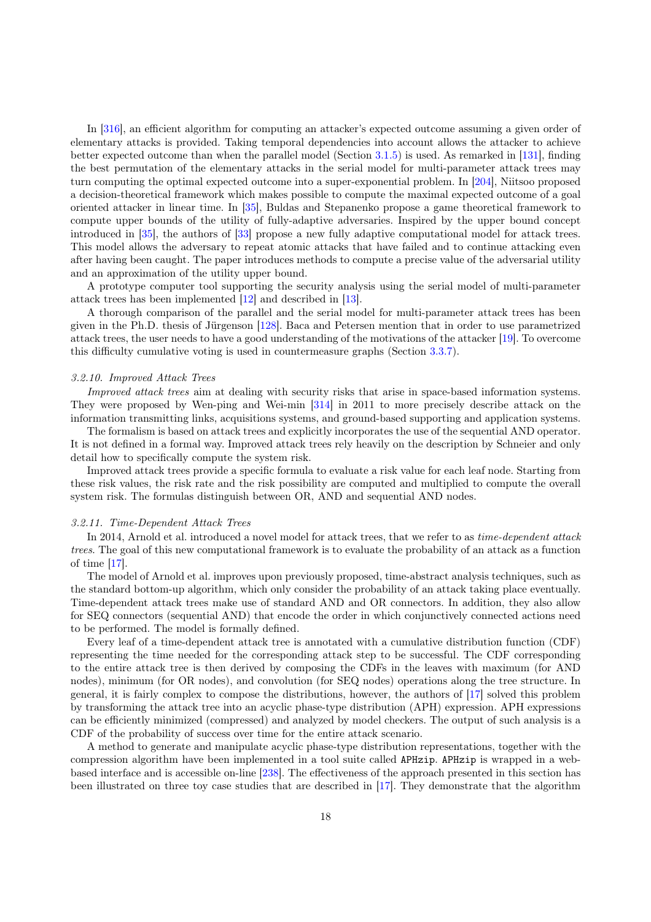In [\[316\]](#page-48-12), an efficient algorithm for computing an attacker's expected outcome assuming a given order of elementary attacks is provided. Taking temporal dependencies into account allows the attacker to achieve better expected outcome than when the parallel model (Section [3.1.5\)](#page-11-0) is used. As remarked in [\[131](#page-42-8)], finding the best permutation of the elementary attacks in the serial model for multi-parameter attack trees may turn computing the optimal expected outcome into a super-exponential problem. In [\[204\]](#page-44-9), Niitsoo proposed a decision-theoretical framework which makes possible to compute the maximal expected outcome of a goal oriented attacker in linear time. In [\[35](#page-38-19)], Buldas and Stepanenko propose a game theoretical framework to compute upper bounds of the utility of fully-adaptive adversaries. Inspired by the upper bound concept introduced in [\[35\]](#page-38-19), the authors of [\[33](#page-38-13)] propose a new fully adaptive computational model for attack trees. This model allows the adversary to repeat atomic attacks that have failed and to continue attacking even after having been caught. The paper introduces methods to compute a precise value of the adversarial utility and an approximation of the utility upper bound.

A prototype computer tool supporting the security analysis using the serial model of multi-parameter attack trees has been implemented [\[12\]](#page-37-8) and described in [\[13\]](#page-37-9).

A thorough comparison of the parallel and the serial model for multi-parameter attack trees has been given in the Ph.D. thesis of Jürgenson [\[128\]](#page-41-9). Baca and Petersen mention that in order to use parametrized attack trees, the user needs to have a good understanding of the motivations of the attacker [\[19\]](#page-38-4). To overcome this difficulty cumulative voting is used in countermeasure graphs (Section [3.3.7\)](#page-21-0).

#### <span id="page-17-0"></span>*3.2.10. Improved Attack Trees*

*Improved attack trees* aim at dealing with security risks that arise in space-based information systems. They were proposed by Wen-ping and Wei-min [\[314\]](#page-48-15) in 2011 to more precisely describe attack on the information transmitting links, acquisitions systems, and ground-based supporting and application systems.

The formalism is based on attack trees and explicitly incorporates the use of the sequential AND operator. It is not defined in a formal way. Improved attack trees rely heavily on the description by Schneier and only detail how to specifically compute the system risk.

Improved attack trees provide a specific formula to evaluate a risk value for each leaf node. Starting from these risk values, the risk rate and the risk possibility are computed and multiplied to compute the overall system risk. The formulas distinguish between OR, AND and sequential AND nodes.

# <span id="page-17-1"></span>*3.2.11. Time-Dependent Attack Trees*

In 2014, Arnold et al. introduced a novel model for attack trees, that we refer to as *time-dependent attack trees*. The goal of this new computational framework is to evaluate the probability of an attack as a function of time [\[17](#page-37-15)].

The model of Arnold et al. improves upon previously proposed, time-abstract analysis techniques, such as the standard bottom-up algorithm, which only consider the probability of an attack taking place eventually. Time-dependent attack trees make use of standard AND and OR connectors. In addition, they also allow for SEQ connectors (sequential AND) that encode the order in which conjunctively connected actions need to be performed. The model is formally defined.

Every leaf of a time-dependent attack tree is annotated with a cumulative distribution function (CDF) representing the time needed for the corresponding attack step to be successful. The CDF corresponding to the entire attack tree is then derived by composing the CDFs in the leaves with maximum (for AND nodes), minimum (for OR nodes), and convolution (for SEQ nodes) operations along the tree structure. In general, it is fairly complex to compose the distributions, however, the authors of [\[17](#page-37-15)] solved this problem by transforming the attack tree into an acyclic phase-type distribution (APH) expression. APH expressions can be efficiently minimized (compressed) and analyzed by model checkers. The output of such analysis is a CDF of the probability of success over time for the entire attack scenario.

A method to generate and manipulate acyclic phase-type distribution representations, together with the compression algorithm have been implemented in a tool suite called APHzip. APHzip is wrapped in a webbased interface and is accessible on-line [\[238\]](#page-45-17). The effectiveness of the approach presented in this section has been illustrated on three toy case studies that are described in [\[17\]](#page-37-15). They demonstrate that the algorithm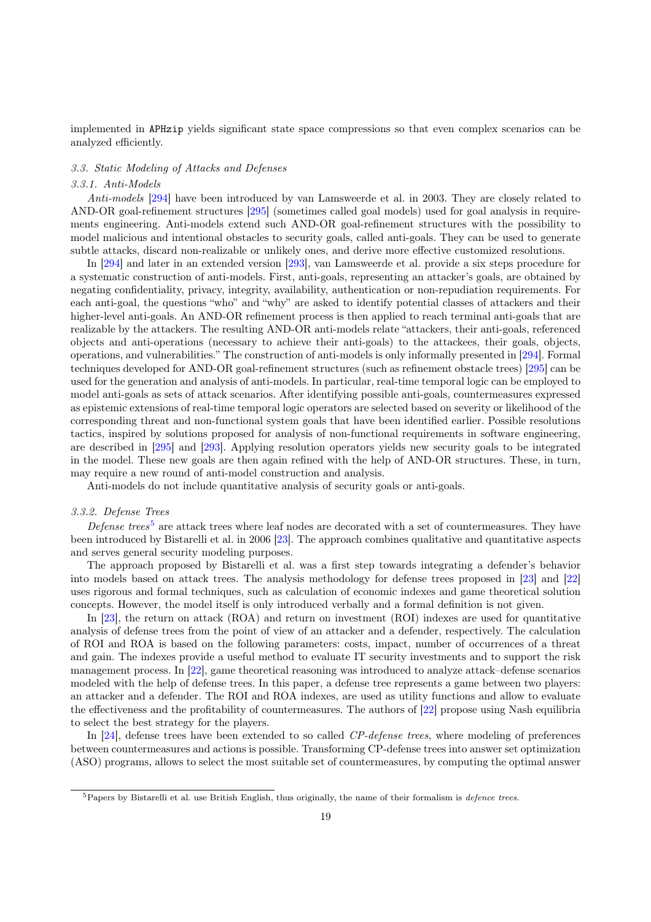implemented in APHzip yields significant state space compressions so that even complex scenarios can be analyzed efficiently.

# <span id="page-18-2"></span>*3.3. Static Modeling of Attacks and Defenses*

# *3.3.1. Anti-Models*

*Anti-models* [\[294](#page-48-16)] have been introduced by van Lamsweerde et al. in 2003. They are closely related to AND-OR goal-refinement structures [\[295](#page-48-17)] (sometimes called goal models) used for goal analysis in requirements engineering. Anti-models extend such AND-OR goal-refinement structures with the possibility to model malicious and intentional obstacles to security goals, called anti-goals. They can be used to generate subtle attacks, discard non-realizable or unlikely ones, and derive more effective customized resolutions.

In [\[294\]](#page-48-16) and later in an extended version [\[293](#page-47-11)], van Lamsweerde et al. provide a six steps procedure for a systematic construction of anti-models. First, anti-goals, representing an attacker's goals, are obtained by negating confidentiality, privacy, integrity, availability, authentication or non-repudiation requirements. For each anti-goal, the questions "who" and "why" are asked to identify potential classes of attackers and their higher-level anti-goals. An AND-OR refinement process is then applied to reach terminal anti-goals that are realizable by the attackers. The resulting AND-OR anti-models relate "attackers, their anti-goals, referenced objects and anti-operations (necessary to achieve their anti-goals) to the attackees, their goals, objects, operations, and vulnerabilities." The construction of anti-models is only informally presented in [\[294](#page-48-16)]. Formal techniques developed for AND-OR goal-refinement structures (such as refinement obstacle trees) [\[295\]](#page-48-17) can be used for the generation and analysis of anti-models. In particular, real-time temporal logic can be employed to model anti-goals as sets of attack scenarios. After identifying possible anti-goals, countermeasures expressed as epistemic extensions of real-time temporal logic operators are selected based on severity or likelihood of the corresponding threat and non-functional system goals that have been identified earlier. Possible resolutions tactics, inspired by solutions proposed for analysis of non-functional requirements in software engineering, are described in [\[295\]](#page-48-17) and [\[293](#page-47-11)]. Applying resolution operators yields new security goals to be integrated in the model. These new goals are then again refined with the help of AND-OR structures. These, in turn, may require a new round of anti-model construction and analysis.

Anti-models do not include quantitative analysis of security goals or anti-goals.

#### <span id="page-18-1"></span>*3.3.2. Defense Trees*

*Defense trees*<sup>[5](#page-18-0)</sup> are attack trees where leaf nodes are decorated with a set of countermeasures. They have been introduced by Bistarelli et al. in 2006 [\[23](#page-38-20)]. The approach combines qualitative and quantitative aspects and serves general security modeling purposes.

The approach proposed by Bistarelli et al. was a first step towards integrating a defender's behavior into models based on attack trees. The analysis methodology for defense trees proposed in [\[23\]](#page-38-20) and [\[22\]](#page-38-3) uses rigorous and formal techniques, such as calculation of economic indexes and game theoretical solution concepts. However, the model itself is only introduced verbally and a formal definition is not given.

In [\[23](#page-38-20)], the return on attack (ROA) and return on investment (ROI) indexes are used for quantitative analysis of defense trees from the point of view of an attacker and a defender, respectively. The calculation of ROI and ROA is based on the following parameters: costs, impact, number of occurrences of a threat and gain. The indexes provide a useful method to evaluate IT security investments and to support the risk management process. In [\[22](#page-38-3)], game theoretical reasoning was introduced to analyze attack–defense scenarios modeled with the help of defense trees. In this paper, a defense tree represents a game between two players: an attacker and a defender. The ROI and ROA indexes, are used as utility functions and allow to evaluate the effectiveness and the profitability of countermeasures. The authors of [\[22\]](#page-38-3) propose using Nash equilibria to select the best strategy for the players.

In [\[24](#page-38-21)], defense trees have been extended to so called *CP-defense trees*, where modeling of preferences between countermeasures and actions is possible. Transforming CP-defense trees into answer set optimization (ASO) programs, allows to select the most suitable set of countermeasures, by computing the optimal answer

<span id="page-18-0"></span> $5P$ apers by Bistarelli et al. use British English, thus originally, the name of their formalism is *defence trees*.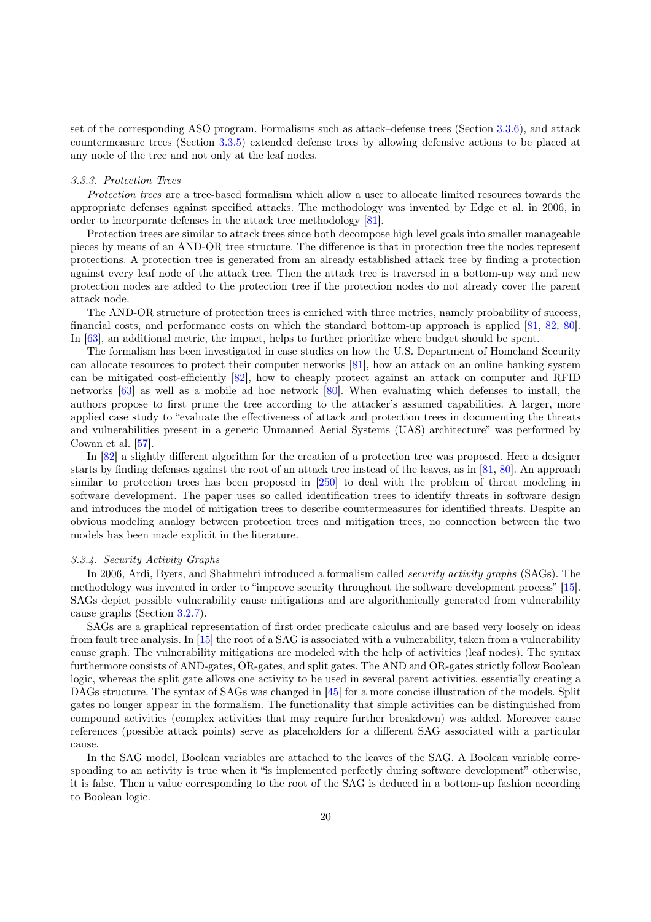set of the corresponding ASO program. Formalisms such as attack–defense trees (Section [3.3.6\)](#page-20-0), and attack countermeasure trees (Section [3.3.5\)](#page-20-1) extended defense trees by allowing defensive actions to be placed at any node of the tree and not only at the leaf nodes.

#### <span id="page-19-1"></span>*3.3.3. Protection Trees*

*Protection trees* are a tree-based formalism which allow a user to allocate limited resources towards the appropriate defenses against specified attacks. The methodology was invented by Edge et al. in 2006, in order to incorporate defenses in the attack tree methodology [\[81](#page-40-2)].

Protection trees are similar to attack trees since both decompose high level goals into smaller manageable pieces by means of an AND-OR tree structure. The difference is that in protection tree the nodes represent protections. A protection tree is generated from an already established attack tree by finding a protection against every leaf node of the attack tree. Then the attack tree is traversed in a bottom-up way and new protection nodes are added to the protection tree if the protection nodes do not already cover the parent attack node.

The AND-OR structure of protection trees is enriched with three metrics, namely probability of success, financial costs, and performance costs on which the standard bottom-up approach is applied [\[81,](#page-40-2) [82,](#page-40-19) [80](#page-40-7)]. In [\[63\]](#page-39-17), an additional metric, the impact, helps to further prioritize where budget should be spent.

The formalism has been investigated in case studies on how the U.S. Department of Homeland Security can allocate resources to protect their computer networks [\[81\]](#page-40-2), how an attack on an online banking system can be mitigated cost-efficiently [\[82](#page-40-19)], how to cheaply protect against an attack on computer and RFID networks [\[63\]](#page-39-17) as well as a mobile ad hoc network [\[80\]](#page-40-7). When evaluating which defenses to install, the authors propose to first prune the tree according to the attacker's assumed capabilities. A larger, more applied case study to "evaluate the effectiveness of attack and protection trees in documenting the threats and vulnerabilities present in a generic Unmanned Aerial Systems (UAS) architecture" was performed by Cowan et al. [\[57](#page-39-18)].

In [\[82\]](#page-40-19) a slightly different algorithm for the creation of a protection tree was proposed. Here a designer starts by finding defenses against the root of an attack tree instead of the leaves, as in [\[81](#page-40-2), [80\]](#page-40-7). An approach similar to protection trees has been proposed in [\[250](#page-46-15)] to deal with the problem of threat modeling in software development. The paper uses so called identification trees to identify threats in software design and introduces the model of mitigation trees to describe countermeasures for identified threats. Despite an obvious modeling analogy between protection trees and mitigation trees, no connection between the two models has been made explicit in the literature.

# <span id="page-19-0"></span>*3.3.4. Security Activity Graphs*

In 2006, Ardi, Byers, and Shahmehri introduced a formalism called *security activity graphs* (SAGs). The methodology was invented in order to "improve security throughout the software development process" [\[15](#page-37-14)]. SAGs depict possible vulnerability cause mitigations and are algorithmically generated from vulnerability cause graphs (Section [3.2.7\)](#page-15-0).

SAGs are a graphical representation of first order predicate calculus and are based very loosely on ideas from fault tree analysis. In [\[15](#page-37-14)] the root of a SAG is associated with a vulnerability, taken from a vulnerability cause graph. The vulnerability mitigations are modeled with the help of activities (leaf nodes). The syntax furthermore consists of AND-gates, OR-gates, and split gates. The AND and OR-gates strictly follow Boolean logic, whereas the split gate allows one activity to be used in several parent activities, essentially creating a DAGs structure. The syntax of SAGs was changed in [\[45\]](#page-38-22) for a more concise illustration of the models. Split gates no longer appear in the formalism. The functionality that simple activities can be distinguished from compound activities (complex activities that may require further breakdown) was added. Moreover cause references (possible attack points) serve as placeholders for a different SAG associated with a particular cause.

In the SAG model, Boolean variables are attached to the leaves of the SAG. A Boolean variable corresponding to an activity is true when it "is implemented perfectly during software development" otherwise, it is false. Then a value corresponding to the root of the SAG is deduced in a bottom-up fashion according to Boolean logic.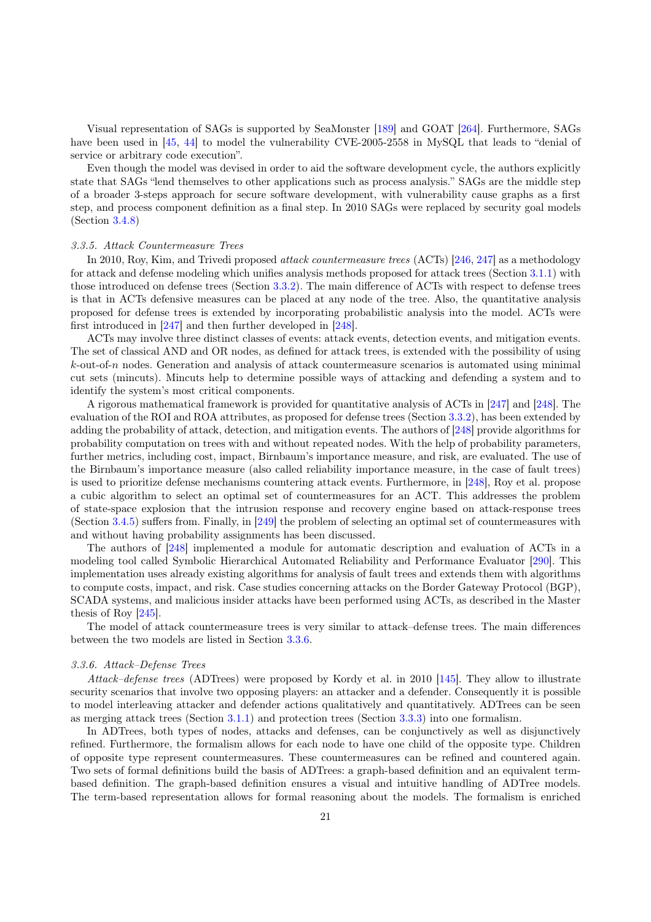Visual representation of SAGs is supported by SeaMonster [\[189\]](#page-44-18) and GOAT [\[264](#page-46-14)]. Furthermore, SAGs have been used in [\[45](#page-38-22), [44](#page-38-17)] to model the vulnerability CVE-2005-2558 in MySQL that leads to "denial of service or arbitrary code execution".

Even though the model was devised in order to aid the software development cycle, the authors explicitly state that SAGs "lend themselves to other applications such as process analysis." SAGs are the middle step of a broader 3-steps approach for secure software development, with vulnerability cause graphs as a first step, and process component definition as a final step. In 2010 SAGs were replaced by security goal models (Section [3.4.8\)](#page-26-0)

# <span id="page-20-1"></span>*3.3.5. Attack Countermeasure Trees*

In 2010, Roy, Kim, and Trivedi proposed *attack countermeasure trees* (ACTs) [\[246](#page-46-16), [247\]](#page-46-17) as a methodology for attack and defense modeling which unifies analysis methods proposed for attack trees (Section [3.1.1\)](#page-8-1) with those introduced on defense trees (Section [3.3.2\)](#page-18-1). The main difference of ACTs with respect to defense trees is that in ACTs defensive measures can be placed at any node of the tree. Also, the quantitative analysis proposed for defense trees is extended by incorporating probabilistic analysis into the model. ACTs were first introduced in [\[247](#page-46-17)] and then further developed in [\[248](#page-46-8)].

ACTs may involve three distinct classes of events: attack events, detection events, and mitigation events. The set of classical AND and OR nodes, as defined for attack trees, is extended with the possibility of using  $k$ -out-of-n nodes. Generation and analysis of attack countermeasure scenarios is automated using minimal cut sets (mincuts). Mincuts help to determine possible ways of attacking and defending a system and to identify the system's most critical components.

A rigorous mathematical framework is provided for quantitative analysis of ACTs in [\[247\]](#page-46-17) and [\[248](#page-46-8)]. The evaluation of the ROI and ROA attributes, as proposed for defense trees (Section [3.3.2\)](#page-18-1), has been extended by adding the probability of attack, detection, and mitigation events. The authors of [\[248\]](#page-46-8) provide algorithms for probability computation on trees with and without repeated nodes. With the help of probability parameters, further metrics, including cost, impact, Birnbaum's importance measure, and risk, are evaluated. The use of the Birnbaum's importance measure (also called reliability importance measure, in the case of fault trees) is used to prioritize defense mechanisms countering attack events. Furthermore, in [\[248\]](#page-46-8), Roy et al. propose a cubic algorithm to select an optimal set of countermeasures for an ACT. This addresses the problem of state-space explosion that the intrusion response and recovery engine based on attack-response trees (Section [3.4.5\)](#page-24-0) suffers from. Finally, in [\[249](#page-46-18)] the problem of selecting an optimal set of countermeasures with and without having probability assignments has been discussed.

The authors of [\[248](#page-46-8)] implemented a module for automatic description and evaluation of ACTs in a modeling tool called Symbolic Hierarchical Automated Reliability and Performance Evaluator [\[290\]](#page-47-14). This implementation uses already existing algorithms for analysis of fault trees and extends them with algorithms to compute costs, impact, and risk. Case studies concerning attacks on the Border Gateway Protocol (BGP), SCADA systems, and malicious insider attacks have been performed using ACTs, as described in the Master thesis of Roy [\[245\]](#page-46-11).

The model of attack countermeasure trees is very similar to attack–defense trees. The main differences between the two models are listed in Section [3.3.6.](#page-20-0)

# <span id="page-20-0"></span>*3.3.6. Attack–Defense Trees*

*Attack–defense trees* (ADTrees) were proposed by Kordy et al. in 2010 [\[145\]](#page-42-10). They allow to illustrate security scenarios that involve two opposing players: an attacker and a defender. Consequently it is possible to model interleaving attacker and defender actions qualitatively and quantitatively. ADTrees can be seen as merging attack trees (Section [3.1.1\)](#page-8-1) and protection trees (Section [3.3.3\)](#page-19-1) into one formalism.

In ADTrees, both types of nodes, attacks and defenses, can be conjunctively as well as disjunctively refined. Furthermore, the formalism allows for each node to have one child of the opposite type. Children of opposite type represent countermeasures. These countermeasures can be refined and countered again. Two sets of formal definitions build the basis of ADTrees: a graph-based definition and an equivalent termbased definition. The graph-based definition ensures a visual and intuitive handling of ADTree models. The term-based representation allows for formal reasoning about the models. The formalism is enriched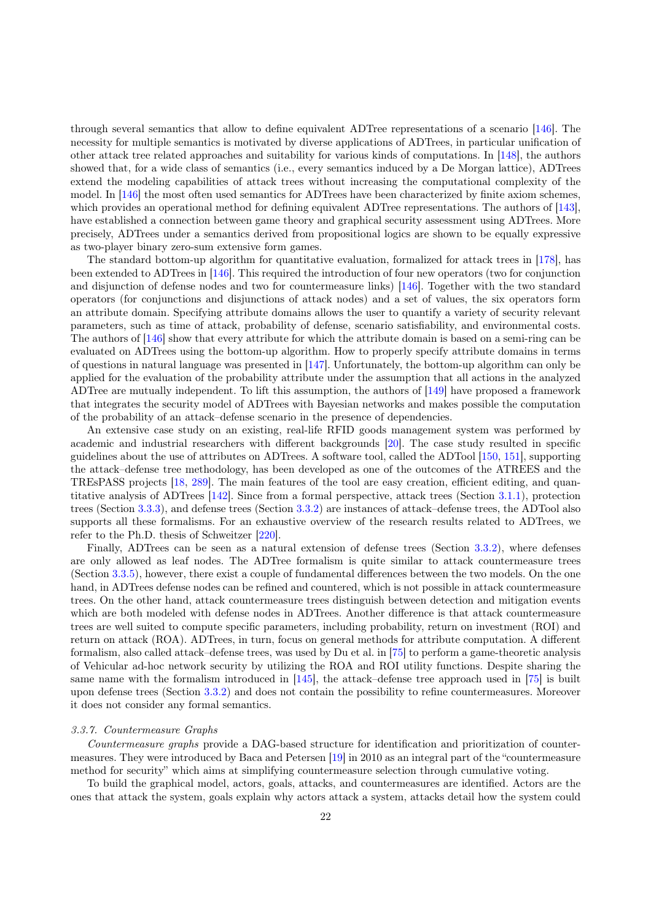through several semantics that allow to define equivalent ADTree representations of a scenario [\[146](#page-42-11)]. The necessity for multiple semantics is motivated by diverse applications of ADTrees, in particular unification of other attack tree related approaches and suitability for various kinds of computations. In [\[148](#page-42-12)], the authors showed that, for a wide class of semantics (i.e., every semantics induced by a De Morgan lattice), ADTrees extend the modeling capabilities of attack trees without increasing the computational complexity of the model. In [\[146](#page-42-11)] the most often used semantics for ADTrees have been characterized by finite axiom schemes, which provides an operational method for defining equivalent ADTree representations. The authors of [\[143](#page-42-13)], have established a connection between game theory and graphical security assessment using ADTrees. More precisely, ADTrees under a semantics derived from propositional logics are shown to be equally expressive as two-player binary zero-sum extensive form games.

The standard bottom-up algorithm for quantitative evaluation, formalized for attack trees in [\[178](#page-43-1)], has been extended to ADTrees in [\[146](#page-42-11)]. This required the introduction of four new operators (two for conjunction and disjunction of defense nodes and two for countermeasure links) [\[146\]](#page-42-11). Together with the two standard operators (for conjunctions and disjunctions of attack nodes) and a set of values, the six operators form an attribute domain. Specifying attribute domains allows the user to quantify a variety of security relevant parameters, such as time of attack, probability of defense, scenario satisfiability, and environmental costs. The authors of [\[146](#page-42-11)] show that every attribute for which the attribute domain is based on a semi-ring can be evaluated on ADTrees using the bottom-up algorithm. How to properly specify attribute domains in terms of questions in natural language was presented in [\[147\]](#page-42-14). Unfortunately, the bottom-up algorithm can only be applied for the evaluation of the probability attribute under the assumption that all actions in the analyzed ADTree are mutually independent. To lift this assumption, the authors of [\[149\]](#page-42-15) have proposed a framework that integrates the security model of ADTrees with Bayesian networks and makes possible the computation of the probability of an attack–defense scenario in the presence of dependencies.

An extensive case study on an existing, real-life RFID goods management system was performed by academic and industrial researchers with different backgrounds [\[20](#page-38-2)]. The case study resulted in specific guidelines about the use of attributes on ADTrees. A software tool, called the ADTool [\[150](#page-42-16), [151\]](#page-42-17), supporting the attack–defense tree methodology, has been developed as one of the outcomes of the ATREES and the TREsPASS projects [\[18,](#page-38-0) [289](#page-47-0)]. The main features of the tool are easy creation, efficient editing, and quantitative analysis of ADTrees [\[142](#page-42-18)]. Since from a formal perspective, attack trees (Section [3.1.1\)](#page-8-1), protection trees (Section [3.3.3\)](#page-19-1), and defense trees (Section [3.3.2\)](#page-18-1) are instances of attack–defense trees, the ADTool also supports all these formalisms. For an exhaustive overview of the research results related to ADTrees, we refer to the Ph.D. thesis of Schweitzer [\[220](#page-45-9)].

Finally, ADTrees can be seen as a natural extension of defense trees (Section [3.3.2\)](#page-18-1), where defenses are only allowed as leaf nodes. The ADTree formalism is quite similar to attack countermeasure trees (Section [3.3.5\)](#page-20-1), however, there exist a couple of fundamental differences between the two models. On the one hand, in ADTrees defense nodes can be refined and countered, which is not possible in attack countermeasure trees. On the other hand, attack countermeasure trees distinguish between detection and mitigation events which are both modeled with defense nodes in ADTrees. Another difference is that attack countermeasure trees are well suited to compute specific parameters, including probability, return on investment (ROI) and return on attack (ROA). ADTrees, in turn, focus on general methods for attribute computation. A different formalism, also called attack–defense trees, was used by Du et al. in [\[75](#page-40-20)] to perform a game-theoretic analysis of Vehicular ad-hoc network security by utilizing the ROA and ROI utility functions. Despite sharing the same name with the formalism introduced in [\[145\]](#page-42-10), the attack–defense tree approach used in [\[75\]](#page-40-20) is built upon defense trees (Section [3.3.2\)](#page-18-1) and does not contain the possibility to refine countermeasures. Moreover it does not consider any formal semantics.

#### <span id="page-21-0"></span>*3.3.7. Countermeasure Graphs*

*Countermeasure graphs* provide a DAG-based structure for identification and prioritization of countermeasures. They were introduced by Baca and Petersen [\[19](#page-38-4)] in 2010 as an integral part of the "countermeasure method for security" which aims at simplifying countermeasure selection through cumulative voting.

To build the graphical model, actors, goals, attacks, and countermeasures are identified. Actors are the ones that attack the system, goals explain why actors attack a system, attacks detail how the system could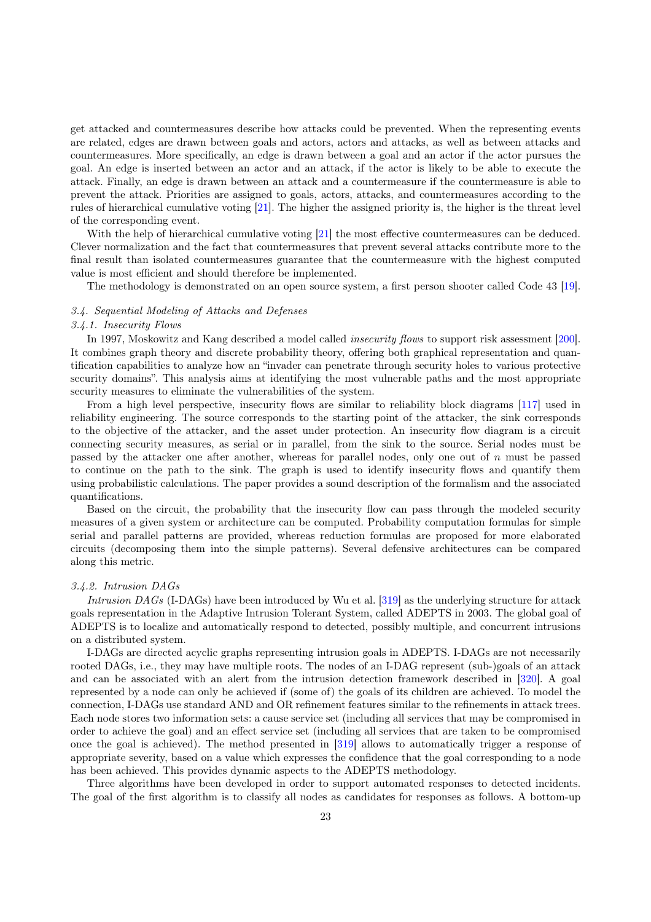get attacked and countermeasures describe how attacks could be prevented. When the representing events are related, edges are drawn between goals and actors, actors and attacks, as well as between attacks and countermeasures. More specifically, an edge is drawn between a goal and an actor if the actor pursues the goal. An edge is inserted between an actor and an attack, if the actor is likely to be able to execute the attack. Finally, an edge is drawn between an attack and a countermeasure if the countermeasure is able to prevent the attack. Priorities are assigned to goals, actors, attacks, and countermeasures according to the rules of hierarchical cumulative voting [\[21](#page-38-23)]. The higher the assigned priority is, the higher is the threat level of the corresponding event.

With the help of hierarchical cumulative voting [\[21](#page-38-23)] the most effective countermeasures can be deduced. Clever normalization and the fact that countermeasures that prevent several attacks contribute more to the final result than isolated countermeasures guarantee that the countermeasure with the highest computed value is most efficient and should therefore be implemented.

The methodology is demonstrated on an open source system, a first person shooter called Code 43 [\[19](#page-38-4)].

# <span id="page-22-0"></span>*3.4. Sequential Modeling of Attacks and Defenses*

#### *3.4.1. Insecurity Flows*

In 1997, Moskowitz and Kang described a model called *insecurity flows* to support risk assessment [\[200](#page-44-19)]. It combines graph theory and discrete probability theory, offering both graphical representation and quantification capabilities to analyze how an "invader can penetrate through security holes to various protective security domains". This analysis aims at identifying the most vulnerable paths and the most appropriate security measures to eliminate the vulnerabilities of the system.

From a high level perspective, insecurity flows are similar to reliability block diagrams [\[117](#page-41-19)] used in reliability engineering. The source corresponds to the starting point of the attacker, the sink corresponds to the objective of the attacker, and the asset under protection. An insecurity flow diagram is a circuit connecting security measures, as serial or in parallel, from the sink to the source. Serial nodes must be passed by the attacker one after another, whereas for parallel nodes, only one out of n must be passed to continue on the path to the sink. The graph is used to identify insecurity flows and quantify them using probabilistic calculations. The paper provides a sound description of the formalism and the associated quantifications.

Based on the circuit, the probability that the insecurity flow can pass through the modeled security measures of a given system or architecture can be computed. Probability computation formulas for simple serial and parallel patterns are provided, whereas reduction formulas are proposed for more elaborated circuits (decomposing them into the simple patterns). Several defensive architectures can be compared along this metric.

#### <span id="page-22-1"></span>*3.4.2. Intrusion DAGs*

*Intrusion DAGs* (I-DAGs) have been introduced by Wu et al. [\[319\]](#page-49-4) as the underlying structure for attack goals representation in the Adaptive Intrusion Tolerant System, called ADEPTS in 2003. The global goal of ADEPTS is to localize and automatically respond to detected, possibly multiple, and concurrent intrusions on a distributed system.

I-DAGs are directed acyclic graphs representing intrusion goals in ADEPTS. I-DAGs are not necessarily rooted DAGs, i.e., they may have multiple roots. The nodes of an I-DAG represent (sub-)goals of an attack and can be associated with an alert from the intrusion detection framework described in [\[320\]](#page-49-5). A goal represented by a node can only be achieved if (some of) the goals of its children are achieved. To model the connection, I-DAGs use standard AND and OR refinement features similar to the refinements in attack trees. Each node stores two information sets: a cause service set (including all services that may be compromised in order to achieve the goal) and an effect service set (including all services that are taken to be compromised once the goal is achieved). The method presented in [\[319](#page-49-4)] allows to automatically trigger a response of appropriate severity, based on a value which expresses the confidence that the goal corresponding to a node has been achieved. This provides dynamic aspects to the ADEPTS methodology.

Three algorithms have been developed in order to support automated responses to detected incidents. The goal of the first algorithm is to classify all nodes as candidates for responses as follows. A bottom-up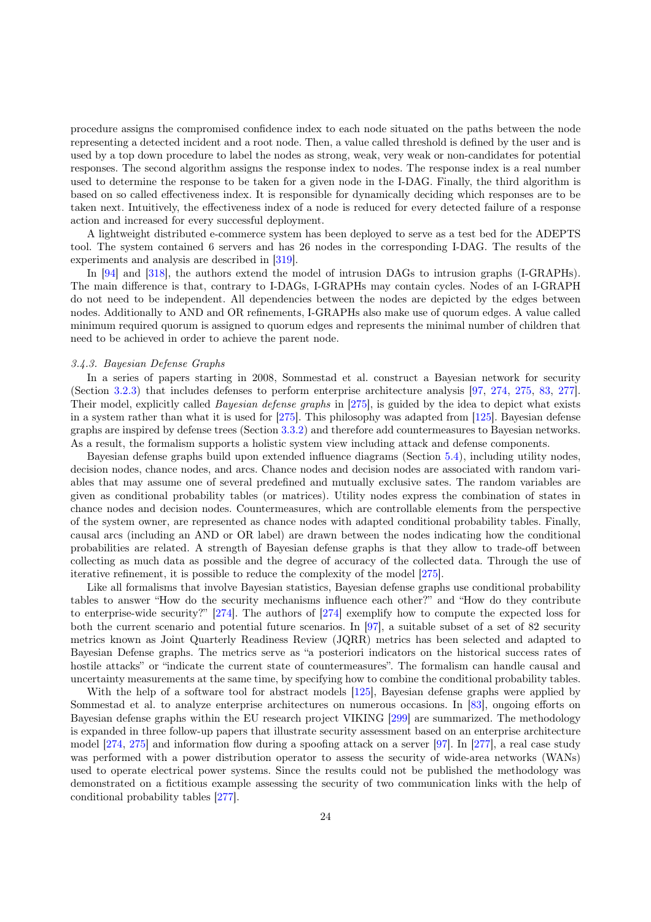procedure assigns the compromised confidence index to each node situated on the paths between the node representing a detected incident and a root node. Then, a value called threshold is defined by the user and is used by a top down procedure to label the nodes as strong, weak, very weak or non-candidates for potential responses. The second algorithm assigns the response index to nodes. The response index is a real number used to determine the response to be taken for a given node in the I-DAG. Finally, the third algorithm is based on so called effectiveness index. It is responsible for dynamically deciding which responses are to be taken next. Intuitively, the effectiveness index of a node is reduced for every detected failure of a response action and increased for every successful deployment.

A lightweight distributed e-commerce system has been deployed to serve as a test bed for the ADEPTS tool. The system contained 6 servers and has 26 nodes in the corresponding I-DAG. The results of the experiments and analysis are described in [\[319](#page-49-4)].

In [\[94\]](#page-40-21) and [\[318\]](#page-48-18), the authors extend the model of intrusion DAGs to intrusion graphs (I-GRAPHs). The main difference is that, contrary to I-DAGs, I-GRAPHs may contain cycles. Nodes of an I-GRAPH do not need to be independent. All dependencies between the nodes are depicted by the edges between nodes. Additionally to AND and OR refinements, I-GRAPHs also make use of quorum edges. A value called minimum required quorum is assigned to quorum edges and represents the minimal number of children that need to be achieved in order to achieve the parent node.

# <span id="page-23-0"></span>*3.4.3. Bayesian Defense Graphs*

In a series of papers starting in 2008, Sommestad et al. construct a Bayesian network for security (Section [3.2.3\)](#page-12-0) that includes defenses to perform enterprise architecture analysis [\[97,](#page-40-12) [274,](#page-47-15) [275,](#page-47-16) [83](#page-40-22), [277](#page-47-12)]. Their model, explicitly called *Bayesian defense graphs* in [\[275](#page-47-16)], is guided by the idea to depict what exists in a system rather than what it is used for [\[275\]](#page-47-16). This philosophy was adapted from [\[125](#page-41-20)]. Bayesian defense graphs are inspired by defense trees (Section [3.3.2\)](#page-18-1) and therefore add countermeasures to Bayesian networks. As a result, the formalism supports a holistic system view including attack and defense components.

Bayesian defense graphs build upon extended influence diagrams (Section [5.4\)](#page-35-0), including utility nodes, decision nodes, chance nodes, and arcs. Chance nodes and decision nodes are associated with random variables that may assume one of several predefined and mutually exclusive sates. The random variables are given as conditional probability tables (or matrices). Utility nodes express the combination of states in chance nodes and decision nodes. Countermeasures, which are controllable elements from the perspective of the system owner, are represented as chance nodes with adapted conditional probability tables. Finally, causal arcs (including an AND or OR label) are drawn between the nodes indicating how the conditional probabilities are related. A strength of Bayesian defense graphs is that they allow to trade-off between collecting as much data as possible and the degree of accuracy of the collected data. Through the use of iterative refinement, it is possible to reduce the complexity of the model [\[275](#page-47-16)].

Like all formalisms that involve Bayesian statistics, Bayesian defense graphs use conditional probability tables to answer "How do the security mechanisms influence each other?" and "How do they contribute to enterprise-wide security?" [\[274\]](#page-47-15). The authors of [\[274\]](#page-47-15) exemplify how to compute the expected loss for both the current scenario and potential future scenarios. In [\[97\]](#page-40-12), a suitable subset of a set of 82 security metrics known as Joint Quarterly Readiness Review (JQRR) metrics has been selected and adapted to Bayesian Defense graphs. The metrics serve as "a posteriori indicators on the historical success rates of hostile attacks" or "indicate the current state of countermeasures". The formalism can handle causal and uncertainty measurements at the same time, by specifying how to combine the conditional probability tables.

With the help of a software tool for abstract models [\[125\]](#page-41-20), Bayesian defense graphs were applied by Sommestad et al. to analyze enterprise architectures on numerous occasions. In [\[83](#page-40-22)], ongoing efforts on Bayesian defense graphs within the EU research project VIKING [\[299](#page-48-19)] are summarized. The methodology is expanded in three follow-up papers that illustrate security assessment based on an enterprise architecture model [\[274](#page-47-15), [275](#page-47-16)] and information flow during a spoofing attack on a server [\[97\]](#page-40-12). In [\[277](#page-47-12)], a real case study was performed with a power distribution operator to assess the security of wide-area networks (WANs) used to operate electrical power systems. Since the results could not be published the methodology was demonstrated on a fictitious example assessing the security of two communication links with the help of conditional probability tables [\[277](#page-47-12)].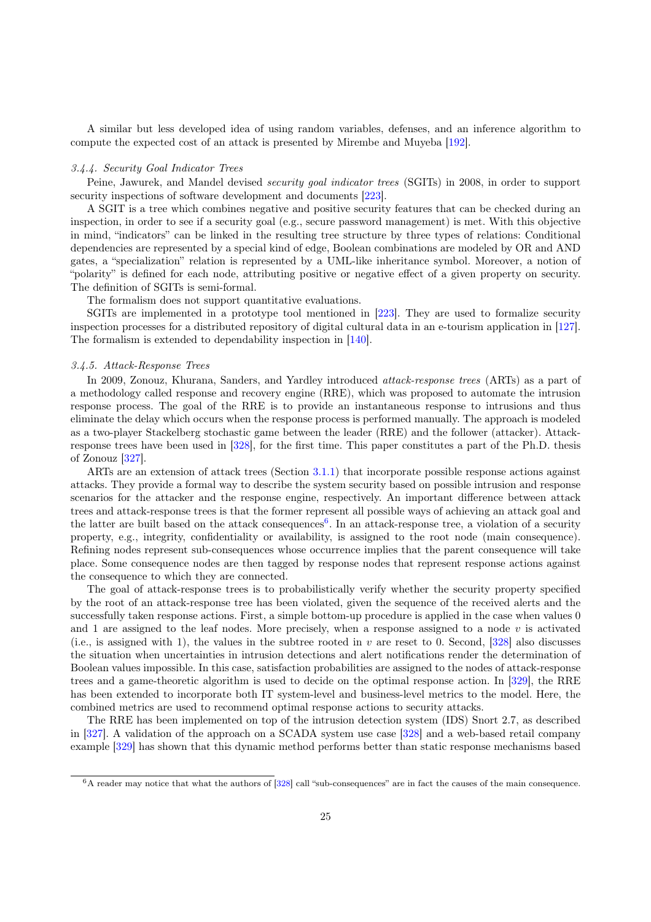A similar but less developed idea of using random variables, defenses, and an inference algorithm to compute the expected cost of an attack is presented by Mirembe and Muyeba [\[192\]](#page-44-8).

### <span id="page-24-2"></span>*3.4.4. Security Goal Indicator Trees*

Peine, Jawurek, and Mandel devised *security goal indicator trees* (SGITs) in 2008, in order to support security inspections of software development and documents  $[223]$ .

A SGIT is a tree which combines negative and positive security features that can be checked during an inspection, in order to see if a security goal (e.g., secure password management) is met. With this objective in mind, "indicators" can be linked in the resulting tree structure by three types of relations: Conditional dependencies are represented by a special kind of edge, Boolean combinations are modeled by OR and AND gates, a "specialization" relation is represented by a UML-like inheritance symbol. Moreover, a notion of "polarity" is defined for each node, attributing positive or negative effect of a given property on security. The definition of SGITs is semi-formal.

The formalism does not support quantitative evaluations.

SGITs are implemented in a prototype tool mentioned in [\[223](#page-45-18)]. They are used to formalize security inspection processes for a distributed repository of digital cultural data in an e-tourism application in [\[127](#page-41-1)]. The formalism is extended to dependability inspection in [\[140\]](#page-42-19).

# <span id="page-24-0"></span>*3.4.5. Attack-Response Trees*

In 2009, Zonouz, Khurana, Sanders, and Yardley introduced *attack-response trees* (ARTs) as a part of a methodology called response and recovery engine (RRE), which was proposed to automate the intrusion response process. The goal of the RRE is to provide an instantaneous response to intrusions and thus eliminate the delay which occurs when the response process is performed manually. The approach is modeled as a two-player Stackelberg stochastic game between the leader (RRE) and the follower (attacker). Attackresponse trees have been used in [\[328](#page-49-6)], for the first time. This paper constitutes a part of the Ph.D. thesis of Zonouz [\[327](#page-49-2)].

ARTs are an extension of attack trees (Section [3.1.1\)](#page-8-1) that incorporate possible response actions against attacks. They provide a formal way to describe the system security based on possible intrusion and response scenarios for the attacker and the response engine, respectively. An important difference between attack trees and attack-response trees is that the former represent all possible ways of achieving an attack goal and the latter are built based on the attack consequences<sup>[6](#page-24-1)</sup>. In an attack-response tree, a violation of a security property, e.g., integrity, confidentiality or availability, is assigned to the root node (main consequence). Refining nodes represent sub-consequences whose occurrence implies that the parent consequence will take place. Some consequence nodes are then tagged by response nodes that represent response actions against the consequence to which they are connected.

The goal of attack-response trees is to probabilistically verify whether the security property specified by the root of an attack-response tree has been violated, given the sequence of the received alerts and the successfully taken response actions. First, a simple bottom-up procedure is applied in the case when values 0 and 1 are assigned to the leaf nodes. More precisely, when a response assigned to a node  $v$  is activated (i.e., is assigned with 1), the values in the subtree rooted in v are reset to 0. Second,  $[328]$  also discusses the situation when uncertainties in intrusion detections and alert notifications render the determination of Boolean values impossible. In this case, satisfaction probabilities are assigned to the nodes of attack-response trees and a game-theoretic algorithm is used to decide on the optimal response action. In [\[329](#page-49-7)], the RRE has been extended to incorporate both IT system-level and business-level metrics to the model. Here, the combined metrics are used to recommend optimal response actions to security attacks.

The RRE has been implemented on top of the intrusion detection system (IDS) Snort 2.7, as described in [\[327](#page-49-2)]. A validation of the approach on a SCADA system use case [\[328](#page-49-6)] and a web-based retail company example [\[329\]](#page-49-7) has shown that this dynamic method performs better than static response mechanisms based

<span id="page-24-1"></span><sup>6</sup>A reader may notice that what the authors of [\[328](#page-49-6)] call "sub-consequences" are in fact the causes of the main consequence.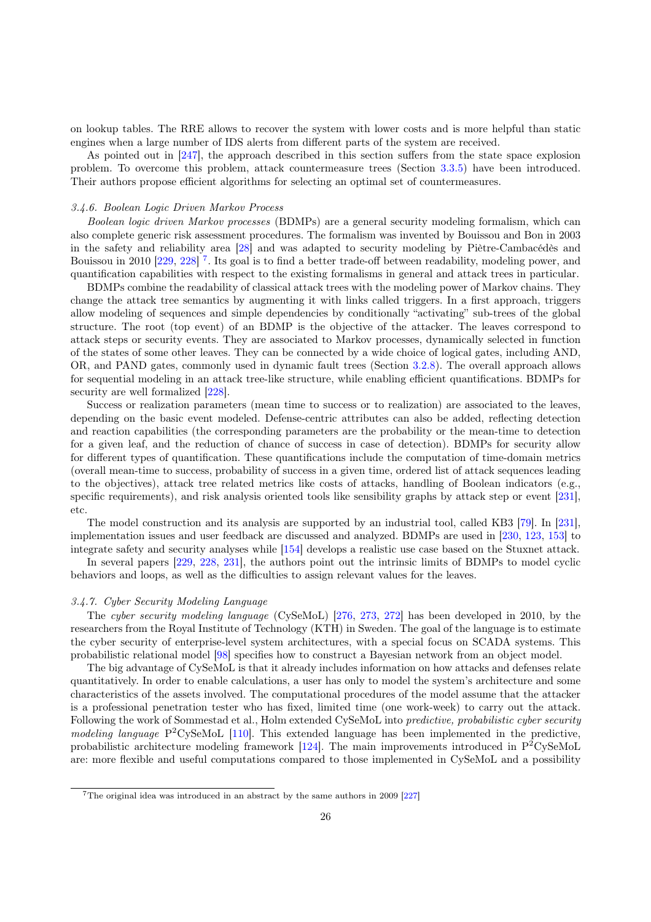on lookup tables. The RRE allows to recover the system with lower costs and is more helpful than static engines when a large number of IDS alerts from different parts of the system are received.

As pointed out in [\[247\]](#page-46-17), the approach described in this section suffers from the state space explosion problem. To overcome this problem, attack countermeasure trees (Section [3.3.5\)](#page-20-1) have been introduced. Their authors propose efficient algorithms for selecting an optimal set of countermeasures.

#### <span id="page-25-1"></span>*3.4.6. Boolean Logic Driven Markov Process*

*Boolean logic driven Markov processes* (BDMPs) are a general security modeling formalism, which can also complete generic risk assessment procedures. The formalism was invented by Bouissou and Bon in 2003 in the safety and reliability area [\[28](#page-38-24)] and was adapted to security modeling by Piètre-Cambacédès and Bouissou in 2010 [\[229,](#page-45-19) [228](#page-45-20)]<sup>[7](#page-25-0)</sup>. Its goal is to find a better trade-off between readability, modeling power, and quantification capabilities with respect to the existing formalisms in general and attack trees in particular.

BDMPs combine the readability of classical attack trees with the modeling power of Markov chains. They change the attack tree semantics by augmenting it with links called triggers. In a first approach, triggers allow modeling of sequences and simple dependencies by conditionally "activating" sub-trees of the global structure. The root (top event) of an BDMP is the objective of the attacker. The leaves correspond to attack steps or security events. They are associated to Markov processes, dynamically selected in function of the states of some other leaves. They can be connected by a wide choice of logical gates, including AND, OR, and PAND gates, commonly used in dynamic fault trees (Section [3.2.8\)](#page-16-1). The overall approach allows for sequential modeling in an attack tree-like structure, while enabling efficient quantifications. BDMPs for security are well formalized [\[228\]](#page-45-20).

Success or realization parameters (mean time to success or to realization) are associated to the leaves, depending on the basic event modeled. Defense-centric attributes can also be added, reflecting detection and reaction capabilities (the corresponding parameters are the probability or the mean-time to detection for a given leaf, and the reduction of chance of success in case of detection). BDMPs for security allow for different types of quantification. These quantifications include the computation of time-domain metrics (overall mean-time to success, probability of success in a given time, ordered list of attack sequences leading to the objectives), attack tree related metrics like costs of attacks, handling of Boolean indicators (e.g., specific requirements), and risk analysis oriented tools like sensibility graphs by attack step or event [\[231](#page-45-21)], etc.

The model construction and its analysis are supported by an industrial tool, called KB3 [\[79](#page-40-23)]. In [\[231](#page-45-21)], implementation issues and user feedback are discussed and analyzed. BDMPs are used in [\[230,](#page-45-22) [123,](#page-41-21) [153\]](#page-42-20) to integrate safety and security analyses while [\[154](#page-42-21)] develops a realistic use case based on the Stuxnet attack.

In several papers [\[229](#page-45-19), [228,](#page-45-20) [231](#page-45-21)], the authors point out the intrinsic limits of BDMPs to model cyclic behaviors and loops, as well as the difficulties to assign relevant values for the leaves.

#### <span id="page-25-2"></span>*3.4.7. Cyber Security Modeling Language*

The *cyber security modeling language* (CySeMoL) [\[276](#page-47-17), [273](#page-47-18), [272](#page-47-19)] has been developed in 2010, by the researchers from the Royal Institute of Technology (KTH) in Sweden. The goal of the language is to estimate the cyber security of enterprise-level system architectures, with a special focus on SCADA systems. This probabilistic relational model [\[98](#page-40-24)] specifies how to construct a Bayesian network from an object model.

The big advantage of CySeMoL is that it already includes information on how attacks and defenses relate quantitatively. In order to enable calculations, a user has only to model the system's architecture and some characteristics of the assets involved. The computational procedures of the model assume that the attacker is a professional penetration tester who has fixed, limited time (one work-week) to carry out the attack. Following the work of Sommestad et al., Holm extended CySeMoL into *predictive, probabilistic cyber security* modeling language P<sup>2</sup>CySeMoL [\[110](#page-41-22)]. This extended language has been implemented in the predictive, probabilistic architecture modeling framework  $[124]$ . The main improvements introduced in P<sup>2</sup>CySeMoL are: more flexible and useful computations compared to those implemented in CySeMoL and a possibility

<span id="page-25-0"></span><sup>&</sup>lt;sup>7</sup>The original idea was introduced in an abstract by the same authors in 2009 [\[227\]](#page-45-23)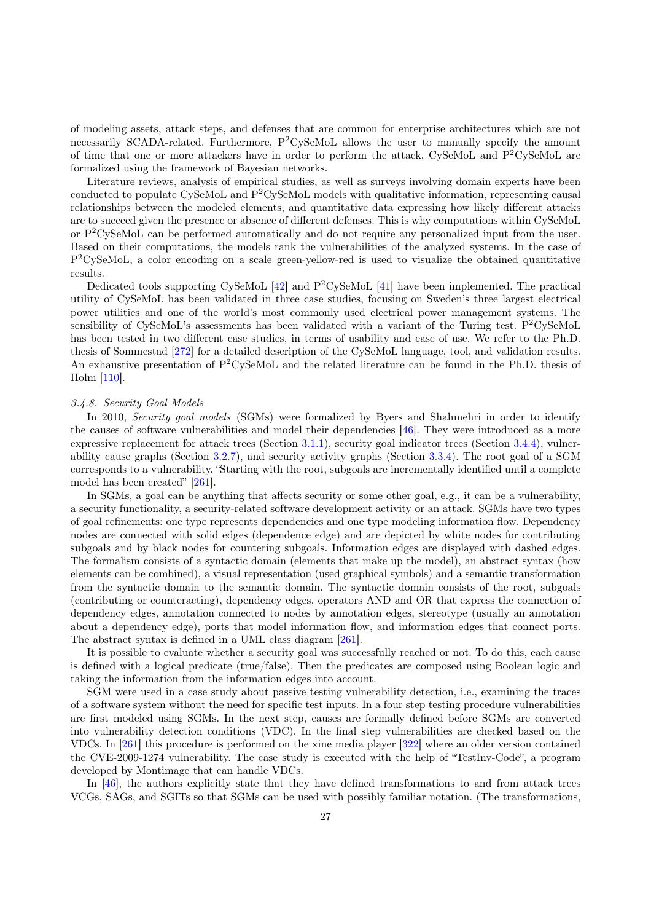of modeling assets, attack steps, and defenses that are common for enterprise architectures which are not necessarily SCADA-related. Furthermore, P<sup>2</sup>CySeMoL allows the user to manually specify the amount of time that one or more attackers have in order to perform the attack. CySeMoL and  $P^2CySeMoL$  are formalized using the framework of Bayesian networks.

Literature reviews, analysis of empirical studies, as well as surveys involving domain experts have been conducted to populate CySeMoL and P2CySeMoL models with qualitative information, representing causal relationships between the modeled elements, and quantitative data expressing how likely different attacks are to succeed given the presence or absence of different defenses. This is why computations within CySeMoL or P2CySeMoL can be performed automatically and do not require any personalized input from the user. Based on their computations, the models rank the vulnerabilities of the analyzed systems. In the case of P <sup>2</sup>CySeMoL, a color encoding on a scale green-yellow-red is used to visualize the obtained quantitative results.

Dedicated tools supporting CySeMoL [\[42\]](#page-38-25) and P<sup>2</sup>CySeMoL [\[41\]](#page-38-26) have been implemented. The practical utility of CySeMoL has been validated in three case studies, focusing on Sweden's three largest electrical power utilities and one of the world's most commonly used electrical power management systems. The sensibility of CySeMoL's assessments has been validated with a variant of the Turing test.  $P^2CySeMoL$ has been tested in two different case studies, in terms of usability and ease of use. We refer to the Ph.D. thesis of Sommestad [\[272](#page-47-19)] for a detailed description of the CySeMoL language, tool, and validation results. An exhaustive presentation of P2CySeMoL and the related literature can be found in the Ph.D. thesis of Holm [\[110](#page-41-22)].

# <span id="page-26-0"></span>*3.4.8. Security Goal Models*

In 2010, *Security goal models* (SGMs) were formalized by Byers and Shahmehri in order to identify the causes of software vulnerabilities and model their dependencies [\[46\]](#page-38-27). They were introduced as a more expressive replacement for attack trees (Section [3.1.1\)](#page-8-1), security goal indicator trees (Section [3.4.4\)](#page-24-2), vulnerability cause graphs (Section [3.2.7\)](#page-15-0), and security activity graphs (Section [3.3.4\)](#page-19-0). The root goal of a SGM corresponds to a vulnerability. "Starting with the root, subgoals are incrementally identified until a complete model has been created" [\[261](#page-46-19)].

In SGMs, a goal can be anything that affects security or some other goal, e.g., it can be a vulnerability, a security functionality, a security-related software development activity or an attack. SGMs have two types of goal refinements: one type represents dependencies and one type modeling information flow. Dependency nodes are connected with solid edges (dependence edge) and are depicted by white nodes for contributing subgoals and by black nodes for countering subgoals. Information edges are displayed with dashed edges. The formalism consists of a syntactic domain (elements that make up the model), an abstract syntax (how elements can be combined), a visual representation (used graphical symbols) and a semantic transformation from the syntactic domain to the semantic domain. The syntactic domain consists of the root, subgoals (contributing or counteracting), dependency edges, operators AND and OR that express the connection of dependency edges, annotation connected to nodes by annotation edges, stereotype (usually an annotation about a dependency edge), ports that model information flow, and information edges that connect ports. The abstract syntax is defined in a UML class diagram [\[261\]](#page-46-19).

It is possible to evaluate whether a security goal was successfully reached or not. To do this, each cause is defined with a logical predicate (true/false). Then the predicates are composed using Boolean logic and taking the information from the information edges into account.

SGM were used in a case study about passive testing vulnerability detection, i.e., examining the traces of a software system without the need for specific test inputs. In a four step testing procedure vulnerabilities are first modeled using SGMs. In the next step, causes are formally defined before SGMs are converted into vulnerability detection conditions (VDC). In the final step vulnerabilities are checked based on the VDCs. In [\[261](#page-46-19)] this procedure is performed on the xine media player [\[322\]](#page-49-8) where an older version contained the CVE-2009-1274 vulnerability. The case study is executed with the help of "TestInv-Code", a program developed by Montimage that can handle VDCs.

In [\[46\]](#page-38-27), the authors explicitly state that they have defined transformations to and from attack trees VCGs, SAGs, and SGITs so that SGMs can be used with possibly familiar notation. (The transformations,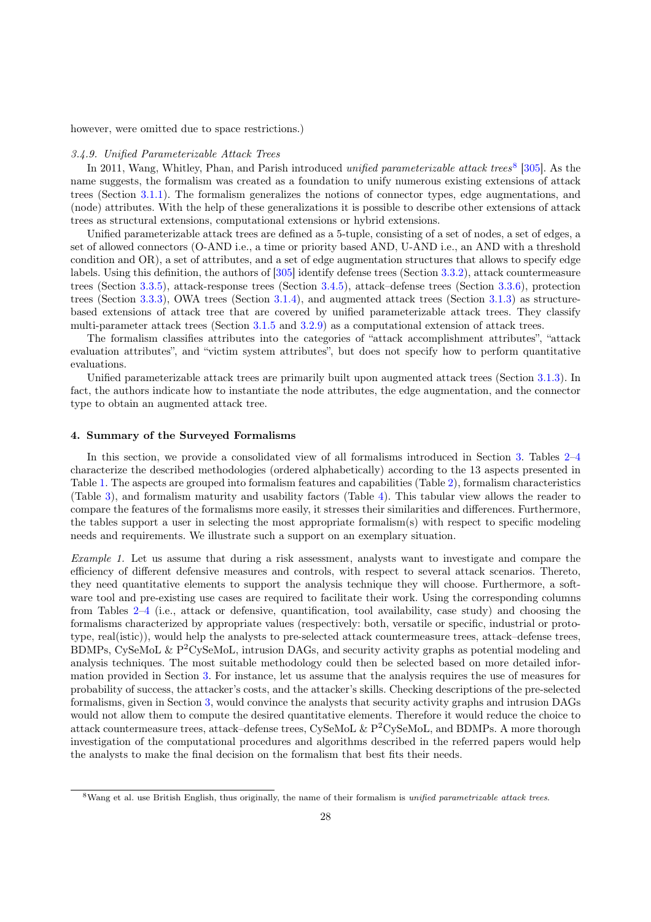<span id="page-27-2"></span>however, were omitted due to space restrictions.)

### *3.4.9. Unified Parameterizable Attack Trees*

In 2011, Wang, Whitley, Phan, and Parish introduced *unified parameterizable attack trees*<sup>[8](#page-27-1)</sup> [\[305\]](#page-48-5). As the name suggests, the formalism was created as a foundation to unify numerous existing extensions of attack trees (Section [3.1.1\)](#page-8-1). The formalism generalizes the notions of connector types, edge augmentations, and (node) attributes. With the help of these generalizations it is possible to describe other extensions of attack trees as structural extensions, computational extensions or hybrid extensions.

Unified parameterizable attack trees are defined as a 5-tuple, consisting of a set of nodes, a set of edges, a set of allowed connectors (O-AND i.e., a time or priority based AND, U-AND i.e., an AND with a threshold condition and OR), a set of attributes, and a set of edge augmentation structures that allows to specify edge labels. Using this definition, the authors of [\[305](#page-48-5)] identify defense trees (Section [3.3.2\)](#page-18-1), attack countermeasure trees (Section [3.3.5\)](#page-20-1), attack-response trees (Section [3.4.5\)](#page-24-0), attack–defense trees (Section [3.3.6\)](#page-20-0), protection trees (Section [3.3.3\)](#page-19-1), OWA trees (Section [3.1.4\)](#page-10-0), and augmented attack trees (Section [3.1.3\)](#page-9-1) as structurebased extensions of attack tree that are covered by unified parameterizable attack trees. They classify multi-parameter attack trees (Section [3.1.5](#page-11-0) and [3.2.9\)](#page-16-0) as a computational extension of attack trees.

The formalism classifies attributes into the categories of "attack accomplishment attributes", "attack evaluation attributes", and "victim system attributes", but does not specify how to perform quantitative evaluations.

Unified parameterizable attack trees are primarily built upon augmented attack trees (Section [3.1.3\)](#page-9-1). In fact, the authors indicate how to instantiate the node attributes, the edge augmentation, and the connector type to obtain an augmented attack tree.

# <span id="page-27-0"></span>4. Summary of the Surveyed Formalisms

In this section, we provide a consolidated view of all formalisms introduced in Section [3.](#page-8-0) Tables [2–](#page-28-0)[4](#page-31-0) characterize the described methodologies (ordered alphabetically) according to the 13 aspects presented in Table [1.](#page-4-0) The aspects are grouped into formalism features and capabilities (Table [2\)](#page-28-0), formalism characteristics (Table [3\)](#page-29-0), and formalism maturity and usability factors (Table [4\)](#page-31-0). This tabular view allows the reader to compare the features of the formalisms more easily, it stresses their similarities and differences. Furthermore, the tables support a user in selecting the most appropriate formalism(s) with respect to specific modeling needs and requirements. We illustrate such a support on an exemplary situation.

*Example 1.* Let us assume that during a risk assessment, analysts want to investigate and compare the efficiency of different defensive measures and controls, with respect to several attack scenarios. Thereto, they need quantitative elements to support the analysis technique they will choose. Furthermore, a software tool and pre-existing use cases are required to facilitate their work. Using the corresponding columns from Tables [2–](#page-28-0)[4](#page-31-0) (i.e., attack or defensive, quantification, tool availability, case study) and choosing the formalisms characterized by appropriate values (respectively: both, versatile or specific, industrial or prototype, real(istic)), would help the analysts to pre-selected attack countermeasure trees, attack–defense trees, BDMPs, CySeMoL &  $P^2C_y$ SeMoL, intrusion DAGs, and security activity graphs as potential modeling and analysis techniques. The most suitable methodology could then be selected based on more detailed information provided in Section [3.](#page-8-0) For instance, let us assume that the analysis requires the use of measures for probability of success, the attacker's costs, and the attacker's skills. Checking descriptions of the pre-selected formalisms, given in Section [3,](#page-8-0) would convince the analysts that security activity graphs and intrusion DAGs would not allow them to compute the desired quantitative elements. Therefore it would reduce the choice to attack countermeasure trees, attack–defense trees, CySeMoL & P<sup>2</sup>CySeMoL, and BDMPs. A more thorough investigation of the computational procedures and algorithms described in the referred papers would help the analysts to make the final decision on the formalism that best fits their needs.

<span id="page-27-1"></span><sup>&</sup>lt;sup>8</sup>Wang et al. use British English, thus originally, the name of their formalism is unified parametrizable attack trees.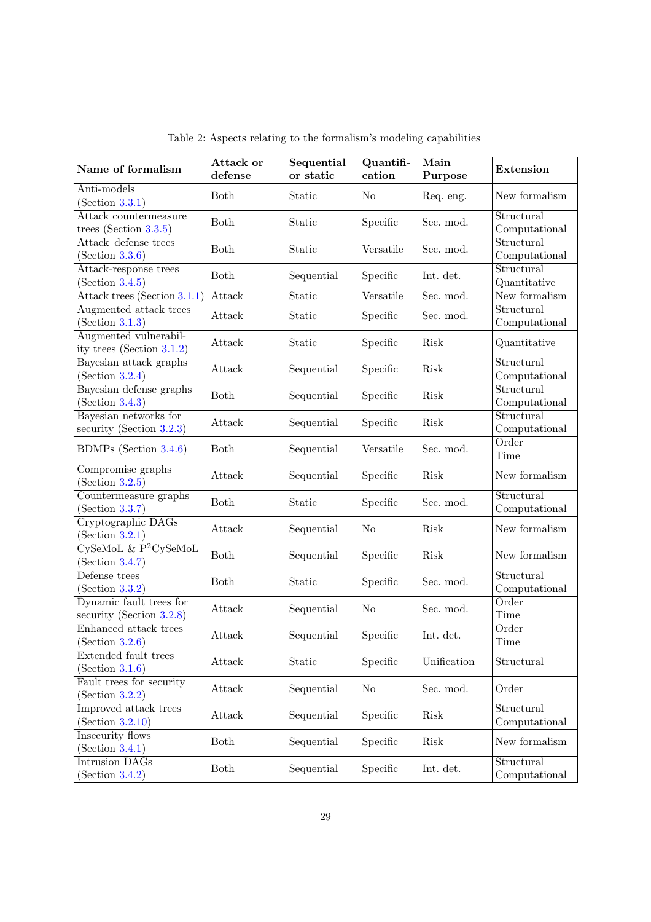<span id="page-28-0"></span>

| Name of formalism                                      | Attack or<br>defense | Sequential<br>or static | Quantifi-<br>cation | Main<br>Purpose | Extension                   |
|--------------------------------------------------------|----------------------|-------------------------|---------------------|-----------------|-----------------------------|
| Anti-models<br>(Section 3.3.1)                         | <b>Both</b>          | Static                  | N <sub>o</sub>      | Req. eng.       | New formalism               |
| Attack countermeasure<br>trees (Section $3.3.5$ )      | <b>Both</b>          | Static                  | Specific            | Sec. mod.       | Structural<br>Computational |
| Attack-defense trees<br>(Section 3.3.6)                | <b>Both</b>          | Static                  | Versatile           | Sec. mod.       | Structural<br>Computational |
| Attack-response trees<br>(Section 3.4.5)               | <b>Both</b>          | Sequential              | Specific            | Int. det.       | Structural<br>Quantitative  |
| Attack trees (Section 3.1.1)                           | Attack               | Static                  | Versatile           | Sec. mod.       | New formalism               |
| Augmented attack trees<br>(Section 3.1.3)              | Attack               | Static                  | Specific            | Sec. mod.       | Structural<br>Computational |
| Augmented vulnerabil-<br>ity trees (Section $3.1.2$ )  | Attack               | Static                  | Specific            | Risk            | Quantitative                |
| Bayesian attack graphs<br>(Section 3.2.4)              | Attack               | Sequential              | Specific            | Risk            | Structural<br>Computational |
| Bayesian defense graphs<br>(Section 3.4.3)             | <b>Both</b>          | Sequential              | Specific            | Risk            | Structural<br>Computational |
| Bayesian networks for<br>security (Section $3.2.3$ )   | Attack               | Sequential              | Specific            | Risk            | Structural<br>Computational |
| BDMPs (Section 3.4.6)                                  | <b>Both</b>          | Sequential              | Versatile           | Sec. mod.       | Order<br>Time               |
| Compromise graphs<br>(Section 3.2.5)                   | Attack               | Sequential              | Specific            | Risk            | New formalism               |
| Countermeasure graphs<br>(Section 3.3.7)               | Both                 | Static                  | Specific            | Sec. mod.       | Structural<br>Computational |
| Cryptographic DAGs<br>(Section 3.2.1)                  | Attack               | Sequential              | No                  | Risk            | New formalism               |
| $Cy$ SeMoL & $P^2Cy$ SeMoL<br>(Section 3.4.7)          | Both                 | Sequential              | Specific            | Risk            | New formalism               |
| Defense trees<br>(Section 3.3.2)                       | Both                 | Static                  | Specific            | Sec. mod.       | Structural<br>Computational |
| Dynamic fault trees for<br>security (Section $3.2.8$ ) | Attack               | Sequential              | N <sub>o</sub>      | Sec. mod.       | Order<br>Time               |
| Enhanced attack trees<br>(Section 3.2.6)               | Attack               | Sequential              | Specific            | Int. det.       | Order<br>Time               |
| Extended fault trees<br>(Section 3.1.6)                | Attack               | Static                  | Specific            | Unification     | Structural                  |
| Fault trees for security<br>(Section 3.2.2)            | Attack               | Sequential              | N <sub>o</sub>      | Sec. mod.       | Order                       |
| Improved attack trees<br>(Section 3.2.10)              | Attack               | Sequential              | Specific            | Risk            | Structural<br>Computational |
| Insecurity flows<br>(Section 3.4.1)                    | Both                 | Sequential              | Specific            | Risk            | New formalism               |
| Intrusion DAGs<br>(Section 3.4.2)                      | Both                 | Sequential              | Specific            | Int. det.       | Structural<br>Computational |

Table 2: Aspects relating to the formalism's modeling capabilities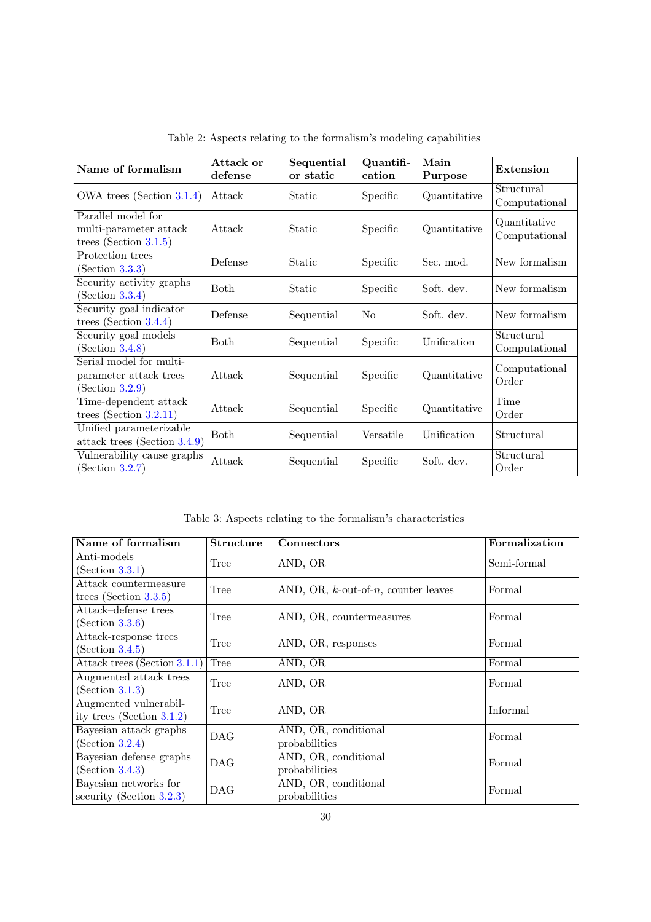| Name of formalism                                                        | Attack or<br>defense | Sequential<br>or static | Quantifi-<br>cation | Main<br>Purpose | Extension                     |
|--------------------------------------------------------------------------|----------------------|-------------------------|---------------------|-----------------|-------------------------------|
| OWA trees (Section 3.1.4)                                                | Attack               | Static                  | Specific            | Quantitative    | Structural<br>Computational   |
| Parallel model for<br>multi-parameter attack<br>trees (Section $3.1.5$ ) | Attack               | Static                  | Specific            | Quantitative    | Quantitative<br>Computational |
| Protection trees<br>(Section 3.3.3)                                      | Defense              | Static                  | Specific            | Sec. mod.       | New formalism                 |
| Security activity graphs<br>(Section 3.3.4)                              | Both                 | Static                  | Specific            | Soft, dev.      | New formalism                 |
| Security goal indicator<br>trees (Section $3.4.4$ )                      | Defense              | Sequential              | N <sub>o</sub>      | Soft. dev.      | New formalism                 |
| Security goal models<br>(Section 3.4.8)                                  | <b>Both</b>          | Sequential              | Specific            | Unification     | Structural<br>Computational   |
| Serial model for multi-<br>parameter attack trees<br>(Section 3.2.9)     | Attack               | Sequential              | Specific            | Quantitative    | Computational<br>Order        |
| Time-dependent attack<br>trees (Section $3.2.11$ )                       | Attack               | Sequential              | Specific            | Quantitative    | <b>Time</b><br>Order          |
| Unified parameterizable<br>attack trees (Section 3.4.9)                  | Both                 | Sequential              | Versatile           | Unification     | Structural                    |
| Vulnerability cause graphs<br>(Section 3.2.7)                            | $\text{Attack}$      | Sequential              | Specific            | Soft. dev.      | Structural<br>Order           |

Table 2: Aspects relating to the formalism's modeling capabilities

Table 3: Aspects relating to the formalism's characteristics

<span id="page-29-0"></span>

| Name of formalism                                     | <b>Structure</b> | Connectors                             | Formalization |
|-------------------------------------------------------|------------------|----------------------------------------|---------------|
| Anti-models<br>(Section 3.3.1)                        | Tree             | AND, OR                                | Semi-formal   |
| Attack countermeasure<br>trees (Section $3.3.5$ )     | Tree             | AND, OR, $k$ -out-of-n, counter leaves | Formal        |
| Attack-defense trees<br>(Section 3.3.6)               | Tree             | AND, OR, countermeasures               | Formal        |
| Attack-response trees<br>(Section 3.4.5)              | Tree             | AND, OR, responses                     | Formal        |
| Attack trees (Section 3.1.1)                          | Tree             | AND, OR                                | Formal        |
| Augmented attack trees<br>(Section 3.1.3)             | Tree             | AND, OR                                | Formal        |
| Augmented vulnerabil-<br>ity trees (Section $3.1.2$ ) | Tree             | AND, OR                                | Informal      |
| Bayesian attack graphs<br>(Section 3.2.4)             | <b>DAG</b>       | AND, OR, conditional<br>probabilities  | Formal        |
| Bayesian defense graphs<br>(Section 3.4.3)            | <b>DAG</b>       | AND, OR, conditional<br>probabilities  | Formal        |
| Bayesian networks for<br>security (Section $3.2.3$ )  | <b>DAG</b>       | AND, OR, conditional<br>probabilities  | Formal        |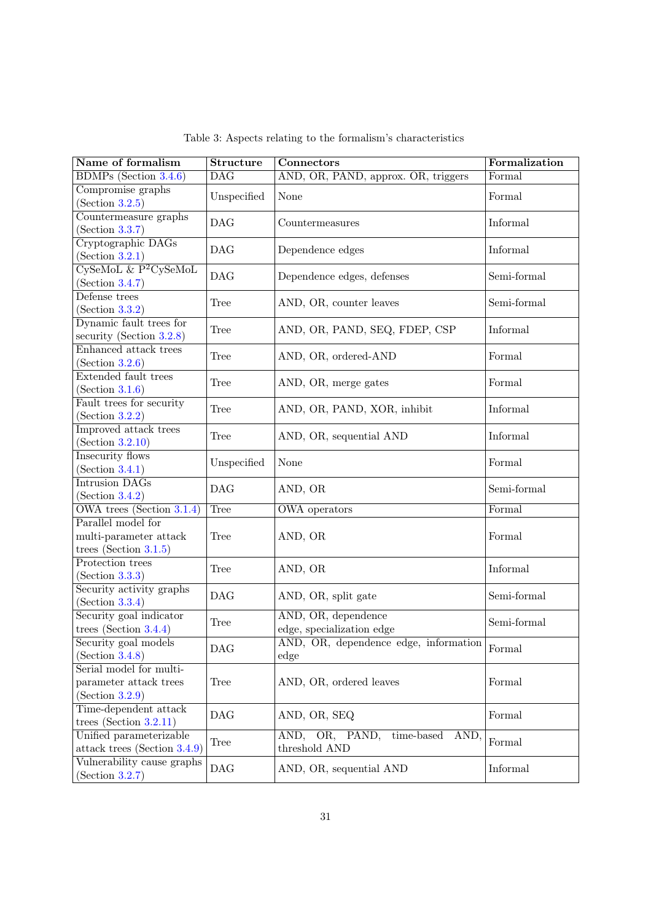| Name of formalism                                                        | Structure   | Connectors                                            | Formalization |
|--------------------------------------------------------------------------|-------------|-------------------------------------------------------|---------------|
| BDMPs (Section 3.4.6)                                                    | <b>DAG</b>  | AND, OR, PAND, approx. OR, triggers                   | Formal        |
| Compromise graphs<br>(Section 3.2.5)                                     | Unspecified | None                                                  | Formal        |
| Countermeasure graphs<br>(Section 3.3.7)                                 | <b>DAG</b>  | Countermeasures                                       | Informal      |
| Cryptographic DAGs<br>(Section 3.2.1)                                    | <b>DAG</b>  | Dependence edges                                      | Informal      |
| $Cy$ SeMoL & $P^2Cy$ SeMoL<br>(Section 3.4.7)                            | <b>DAG</b>  | Dependence edges, defenses                            | Semi-formal   |
| Defense trees<br>(Section 3.3.2)                                         | Tree        | AND, OR, counter leaves                               | Semi-formal   |
| Dynamic fault trees for<br>security (Section $3.2.8$ )                   | Tree        | AND, OR, PAND, SEQ, FDEP, CSP                         | Informal      |
| Enhanced attack trees<br>(Section 3.2.6)                                 | Tree        | AND, OR, ordered-AND                                  | Formal        |
| Extended fault trees<br>(Section 3.1.6)                                  | Tree        | AND, OR, merge gates                                  | Formal        |
| Fault trees for security<br>(Section 3.2.2)                              | Tree        | AND, OR, PAND, XOR, inhibit                           | Informal      |
| Improved attack trees<br>(Section 3.2.10)                                | Tree        | AND, OR, sequential AND                               | Informal      |
| Insecurity flows<br>(Section 3.4.1)                                      | Unspecified | None                                                  | Formal        |
| Intrusion DAGs<br>(Section 3.4.2)                                        | <b>DAG</b>  | AND, OR                                               | Semi-formal   |
| OWA trees (Section 3.1.4)                                                | <b>Tree</b> | OWA operators                                         | Formal        |
| Parallel model for<br>multi-parameter attack<br>trees (Section $3.1.5$ ) | Tree        | AND, OR                                               | Formal        |
| Protection trees<br>(Section 3.3.3)                                      | Tree        | AND, OR                                               | Informal      |
| Security activity graphs<br>(Section 3.3.4)                              | <b>DAG</b>  | AND, OR, split gate                                   | Semi-formal   |
| Security goal indicator<br>trees (Section $3.4.4$ )                      | Tree        | AND, OR, dependence<br>edge, specialization edge      | Semi-formal   |
| Security goal models<br>(Section 3.4.8)                                  | DAG         | AND, OR, dependence edge, information<br>edge         | Formal        |
| Serial model for multi-<br>parameter attack trees<br>(Section 3.2.9)     | Tree        | AND, OR, ordered leaves                               | Formal        |
| Time-dependent attack<br>trees (Section $3.2.11$ )                       | DAG         | AND, OR, SEQ                                          | Formal        |
| Unified parameterizable<br>attack trees (Section $3.4.9$ )               | Tree        | AND, OR, PAND,<br>time-based<br>AND,<br>threshold AND | Formal        |
| Vulnerability cause graphs<br>(Section 3.2.7)                            | $\rm DAG$   | AND, OR, sequential AND                               | Informal      |

Table 3: Aspects relating to the formalism's characteristics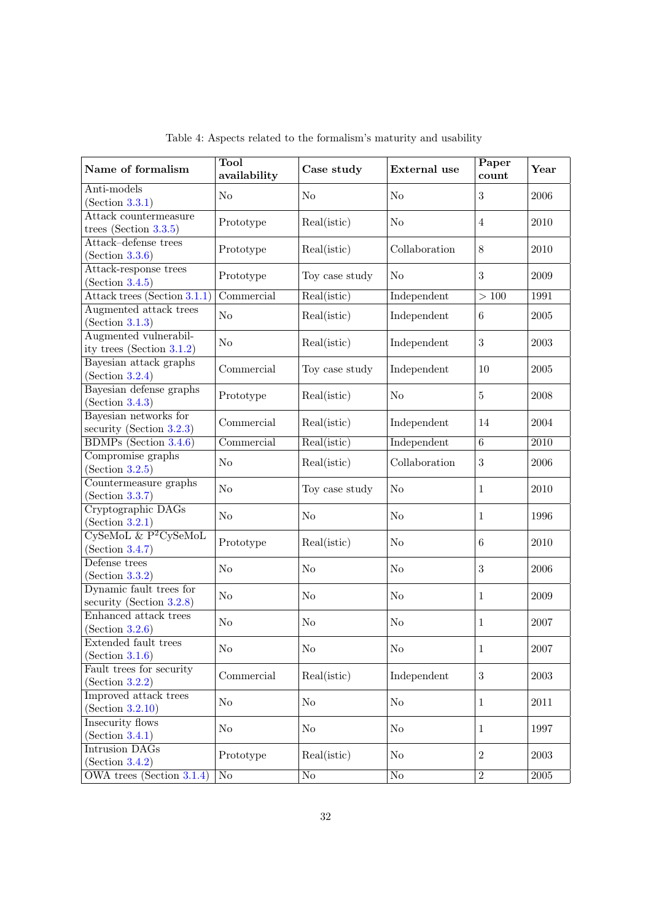<span id="page-31-0"></span>

| Name of formalism                                      | Tool<br>availability | Case study     | External use           | Paper<br>count | Year       |
|--------------------------------------------------------|----------------------|----------------|------------------------|----------------|------------|
| Anti-models                                            | N <sub>o</sub>       | N <sub>o</sub> | No                     | 3              | 2006       |
| (Section 3.3.1)                                        |                      |                |                        |                |            |
| Attack countermeasure<br>trees (Section $3.3.5$ )      | Prototype            | Real(istic)    | No                     | $\overline{4}$ | 2010       |
| Attack-defense trees<br>(Section 3.3.6)                | Prototype            | Real(istic)    | Collaboration          | 8              | 2010       |
| Attack-response trees<br>(Section 3.4.5)               | Prototype            | Toy case study | N <sub>o</sub>         | 3              | 2009       |
| Attack trees (Section 3.1.1)                           | Commercial           | Real(istic)    | Independent            | >100           | 1991       |
| Augmented attack trees<br>(Section 3.1.3)              | N <sub>o</sub>       | Real(istic)    | Independent            | 6              | $\,2005\,$ |
| Augmented vulnerabil-<br>ity trees (Section $3.1.2$ )  | N <sub>0</sub>       | Real(istic)    | Independent            | 3              | 2003       |
| Bayesian attack graphs<br>(Section 3.2.4)              | Commercial           | Toy case study | Independent            | 10             | 2005       |
| Bayesian defense graphs<br>(Section 3.4.3)             | Prototype            | Real(istic)    | No                     | $\overline{5}$ | 2008       |
| Bayesian networks for<br>security (Section $3.2.3$ )   | Commercial           | Real(istic)    | Independent            | 14             | 2004       |
| BDMPs (Section 3.4.6)                                  | Commercial           | Real(istic)    | Independent            | $\overline{6}$ | 2010       |
| Compromise graphs<br>(Section 3.2.5)                   | N <sub>o</sub>       | Real(istic)    | Collaboration          | 3              | 2006       |
| Countermeasure graphs<br>(Section 3.3.7)               | N <sub>o</sub>       | Toy case study | No                     | 1              | 2010       |
| Cryptographic DAGs<br>(Section 3.2.1)                  | N <sub>o</sub>       | N <sub>0</sub> | No                     | 1              | 1996       |
| $CySeMoL & P^2CySeMoL$<br>(Section 3.4.7)              | Prototype            | Real(istic)    | No                     | 6              | 2010       |
| Defense trees<br>(Section 3.3.2)                       | No                   | No             | No                     | 3              | 2006       |
| Dynamic fault trees for<br>security (Section $3.2.8$ ) | No                   | No             | $\rm No$               | $\mathbf{1}$   | 2009       |
| Enhanced attack trees<br>(Section 3.2.6)               | No                   | No             | $\rm No$               | 1              | $2007\,$   |
| Extended fault trees<br>(Section 3.1.6)                | $\rm No$             | $\rm No$       | $\rm No$               | 1              | $2007\,$   |
| Fault trees for security<br>(Section 3.2.2)            | Commercial           | Real(istic)    | Independent            | 3              | 2003       |
| Improved attack trees<br>(Section 3.2.10)              | No                   | No             | No                     | $\mathbf{1}$   | $2011\,$   |
| Insecurity flows<br>(Section 3.4.1)                    | No                   | No             | $\rm No$               | 1              | 1997       |
| Intrusion DAGs<br>(Section 3.4.2)                      | Prototype            | Real(istic)    | No                     | $\overline{2}$ | 2003       |
| $\overline{\text{OWA trees}}$ (Section 3.1.4)          | $\rm No$             | $\rm No$       | $\overline{\text{No}}$ | $\overline{2}$ | $\,2005\,$ |

Table 4: Aspects related to the formalism's maturity and usability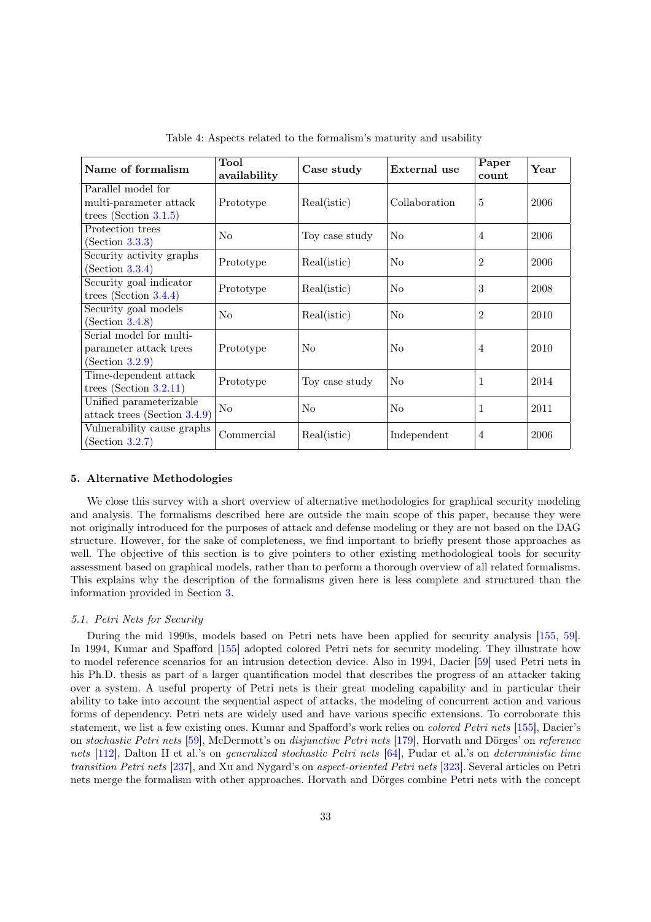| Name of formalism                                                        | Tool<br>availability | Case study     | External use   | Paper<br>count | Year |
|--------------------------------------------------------------------------|----------------------|----------------|----------------|----------------|------|
| Parallel model for<br>multi-parameter attack<br>trees (Section $3.1.5$ ) | Prototype            | Real(istic)    | Collaboration  | $\overline{5}$ | 2006 |
| Protection trees<br>(Section 3.3.3)                                      | N <sub>0</sub>       | Toy case study | No             | $\overline{4}$ | 2006 |
| Security activity graphs<br>(Section 3.3.4)                              | Prototype            | Real(istic)    | No             | $\overline{2}$ | 2006 |
| Security goal indicator<br>trees (Section $3.4.4$ )                      | Prototype            | Real(istic)    | N <sub>0</sub> | 3              | 2008 |
| Security goal models<br>(Section 3.4.8)                                  | $\rm No$             | Real(istic)    | No             | $\overline{2}$ | 2010 |
| Serial model for multi-<br>parameter attack trees<br>(Section 3.2.9)     | Prototype            | N <sub>0</sub> | No             | $\overline{4}$ | 2010 |
| Time-dependent attack<br>trees (Section $3.2.11$ )                       | Prototype            | Toy case study | N <sub>o</sub> | 1              | 2014 |
| Unified parameterizable<br>attack trees (Section 3.4.9)                  | N <sub>0</sub>       | N <sub>0</sub> | No             | 1              | 2011 |
| Vulnerability cause graphs<br>(Section 3.2.7)                            | Commercial           | Real(istic)    | Independent    | $\overline{4}$ | 2006 |

Table 4: Aspects related to the formalism's maturity and usability

### <span id="page-32-0"></span>5. Alternative Methodologies

We close this survey with a short overview of alternative methodologies for graphical security modeling and analysis. The formalisms described here are outside the main scope of this paper, because they were not originally introduced for the purposes of attack and defense modeling or they are not based on the DAG structure. However, for the sake of completeness, we find important to briefly present those approaches as well. The objective of this section is to give pointers to other existing methodological tools for security assessment based on graphical models, rather than to perform a thorough overview of all related formalisms. This explains why the description of the formalisms given here is less complete and structured than the information provided in Section [3.](#page-8-0)

### *5.1. Petri Nets for Security*

During the mid 1990s, models based on Petri nets have been applied for security analysis [\[155,](#page-42-22) [59](#page-39-19)]. In 1994, Kumar and Spafford [\[155\]](#page-42-22) adopted colored Petri nets for security modeling. They illustrate how to model reference scenarios for an intrusion detection device. Also in 1994, Dacier [\[59](#page-39-19)] used Petri nets in his Ph.D. thesis as part of a larger quantification model that describes the progress of an attacker taking over a system. A useful property of Petri nets is their great modeling capability and in particular their ability to take into account the sequential aspect of attacks, the modeling of concurrent action and various forms of dependency. Petri nets are widely used and have various specific extensions. To corroborate this statement, we list a few existing ones. Kumar and Spafford's work relies on *colored Petri nets* [\[155\]](#page-42-22), Dacier's on *stochastic Petri nets* [\[59\]](#page-39-19), McDermott's on *disjunctive Petri nets* [\[179\]](#page-43-20), Horvath and Dörges' on *reference nets* [\[112](#page-41-24)], Dalton II et al.'s on *generalized stochastic Petri nets* [\[64\]](#page-39-20), Pudar et al.'s on *deterministic time transition Petri nets* [\[237](#page-45-24)], and Xu and Nygard's on *aspect-oriented Petri nets* [\[323](#page-49-9)]. Several articles on Petri nets merge the formalism with other approaches. Horvath and Dörges combine Petri nets with the concept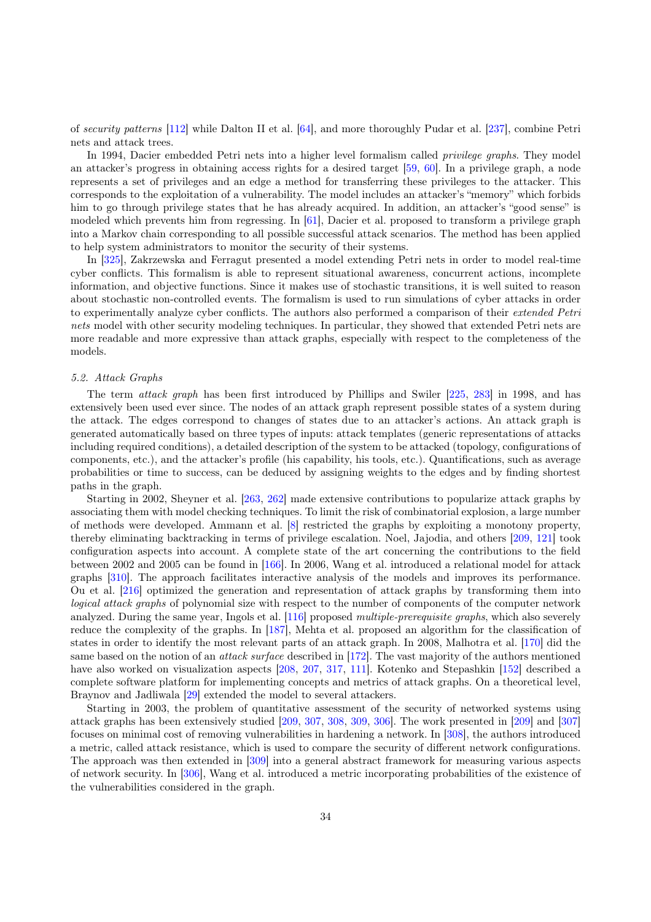of *security patterns* [\[112\]](#page-41-24) while Dalton II et al. [\[64](#page-39-20)], and more thoroughly Pudar et al. [\[237](#page-45-24)], combine Petri nets and attack trees.

In 1994, Dacier embedded Petri nets into a higher level formalism called *privilege graphs*. They model an attacker's progress in obtaining access rights for a desired target [\[59](#page-39-19), [60\]](#page-39-21). In a privilege graph, a node represents a set of privileges and an edge a method for transferring these privileges to the attacker. This corresponds to the exploitation of a vulnerability. The model includes an attacker's "memory" which forbids him to go through privilege states that he has already acquired. In addition, an attacker's "good sense" is modeled which prevents him from regressing. In [\[61](#page-39-22)], Dacier et al. proposed to transform a privilege graph into a Markov chain corresponding to all possible successful attack scenarios. The method has been applied to help system administrators to monitor the security of their systems.

In [\[325](#page-49-10)], Zakrzewska and Ferragut presented a model extending Petri nets in order to model real-time cyber conflicts. This formalism is able to represent situational awareness, concurrent actions, incomplete information, and objective functions. Since it makes use of stochastic transitions, it is well suited to reason about stochastic non-controlled events. The formalism is used to run simulations of cyber attacks in order to experimentally analyze cyber conflicts. The authors also performed a comparison of their *extended Petri nets* model with other security modeling techniques. In particular, they showed that extended Petri nets are more readable and more expressive than attack graphs, especially with respect to the completeness of the models.

# <span id="page-33-0"></span>*5.2. Attack Graphs*

The term *attack graph* has been first introduced by Phillips and Swiler [\[225,](#page-45-25) [283\]](#page-47-20) in 1998, and has extensively been used ever since. The nodes of an attack graph represent possible states of a system during the attack. The edges correspond to changes of states due to an attacker's actions. An attack graph is generated automatically based on three types of inputs: attack templates (generic representations of attacks including required conditions), a detailed description of the system to be attacked (topology, configurations of components, etc.), and the attacker's profile (his capability, his tools, etc.). Quantifications, such as average probabilities or time to success, can be deduced by assigning weights to the edges and by finding shortest paths in the graph.

Starting in 2002, Sheyner et al. [\[263](#page-46-20), [262](#page-46-21)] made extensive contributions to popularize attack graphs by associating them with model checking techniques. To limit the risk of combinatorial explosion, a large number of methods were developed. Ammann et al. [\[8](#page-37-13)] restricted the graphs by exploiting a monotony property, thereby eliminating backtracking in terms of privilege escalation. Noel, Jajodia, and others [\[209,](#page-44-20) [121](#page-41-17)] took configuration aspects into account. A complete state of the art concerning the contributions to the field between 2002 and 2005 can be found in [\[166\]](#page-43-21). In 2006, Wang et al. introduced a relational model for attack graphs [\[310\]](#page-48-20). The approach facilitates interactive analysis of the models and improves its performance. Ou et al. [\[216](#page-45-26)] optimized the generation and representation of attack graphs by transforming them into *logical attack graphs* of polynomial size with respect to the number of components of the computer network analyzed. During the same year, Ingols et al. [\[116\]](#page-41-25) proposed *multiple-prerequisite graphs*, which also severely reduce the complexity of the graphs. In [\[187\]](#page-44-21), Mehta et al. proposed an algorithm for the classification of states in order to identify the most relevant parts of an attack graph. In 2008, Malhotra et al. [\[170\]](#page-43-22) did the same based on the notion of an *attack surface* described in [\[172\]](#page-43-23). The vast majority of the authors mentioned have also worked on visualization aspects [\[208,](#page-44-22) [207,](#page-44-23) [317](#page-48-21), [111](#page-41-26)]. Kotenko and Stepashkin [\[152](#page-42-23)] described a complete software platform for implementing concepts and metrics of attack graphs. On a theoretical level, Braynov and Jadliwala [\[29](#page-38-28)] extended the model to several attackers.

Starting in 2003, the problem of quantitative assessment of the security of networked systems using attack graphs has been extensively studied [\[209](#page-44-20), [307](#page-48-22), [308,](#page-48-23) [309,](#page-48-24) [306\]](#page-48-14). The work presented in [\[209\]](#page-44-20) and [\[307\]](#page-48-22) focuses on minimal cost of removing vulnerabilities in hardening a network. In [\[308](#page-48-23)], the authors introduced a metric, called attack resistance, which is used to compare the security of different network configurations. The approach was then extended in [\[309](#page-48-24)] into a general abstract framework for measuring various aspects of network security. In [\[306\]](#page-48-14), Wang et al. introduced a metric incorporating probabilities of the existence of the vulnerabilities considered in the graph.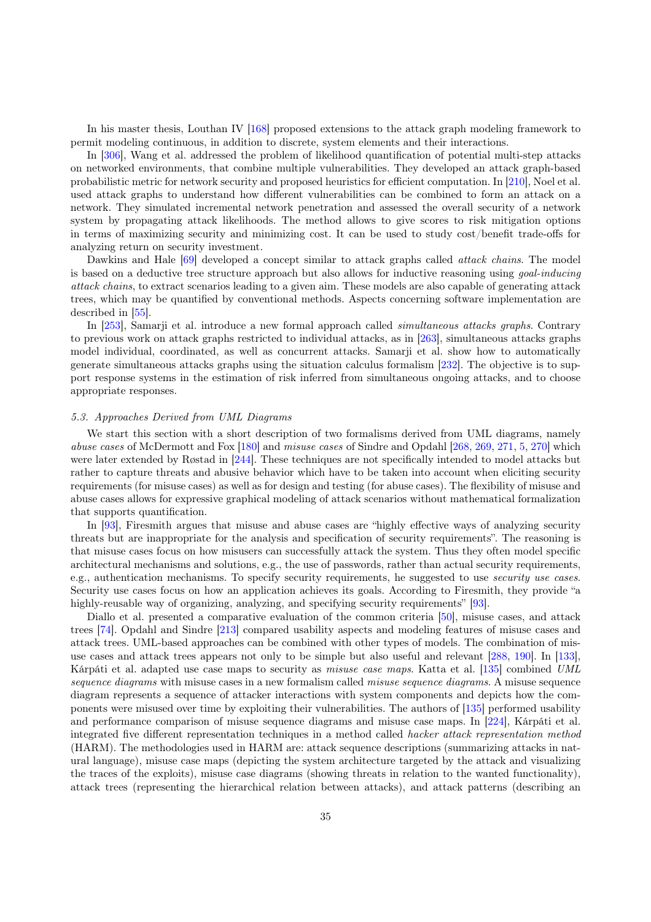In his master thesis, Louthan IV [\[168\]](#page-43-24) proposed extensions to the attack graph modeling framework to permit modeling continuous, in addition to discrete, system elements and their interactions.

In [\[306](#page-48-14)], Wang et al. addressed the problem of likelihood quantification of potential multi-step attacks on networked environments, that combine multiple vulnerabilities. They developed an attack graph-based probabilistic metric for network security and proposed heuristics for efficient computation. In [\[210\]](#page-44-13), Noel et al. used attack graphs to understand how different vulnerabilities can be combined to form an attack on a network. They simulated incremental network penetration and assessed the overall security of a network system by propagating attack likelihoods. The method allows to give scores to risk mitigation options in terms of maximizing security and minimizing cost. It can be used to study cost/benefit trade-offs for analyzing return on security investment.

Dawkins and Hale [\[69](#page-39-23)] developed a concept similar to attack graphs called *attack chains*. The model is based on a deductive tree structure approach but also allows for inductive reasoning using *goal-inducing attack chains*, to extract scenarios leading to a given aim. These models are also capable of generating attack trees, which may be quantified by conventional methods. Aspects concerning software implementation are described in [\[55\]](#page-39-24).

In [\[253](#page-46-22)], Samarji et al. introduce a new formal approach called *simultaneous attacks graphs*. Contrary to previous work on attack graphs restricted to individual attacks, as in [\[263](#page-46-20)], simultaneous attacks graphs model individual, coordinated, as well as concurrent attacks. Samarji et al. show how to automatically generate simultaneous attacks graphs using the situation calculus formalism [\[232](#page-45-27)]. The objective is to support response systems in the estimation of risk inferred from simultaneous ongoing attacks, and to choose appropriate responses.

# *5.3. Approaches Derived from UML Diagrams*

We start this section with a short description of two formalisms derived from UML diagrams, namely *abuse cases* of McDermott and Fox [\[180\]](#page-43-25) and *misuse cases* of Sindre and Opdahl [\[268,](#page-46-23) [269](#page-47-21), [271](#page-47-22), [5,](#page-37-16) [270](#page-47-23)] which were later extended by Røstad in [\[244](#page-46-24)]. These techniques are not specifically intended to model attacks but rather to capture threats and abusive behavior which have to be taken into account when eliciting security requirements (for misuse cases) as well as for design and testing (for abuse cases). The flexibility of misuse and abuse cases allows for expressive graphical modeling of attack scenarios without mathematical formalization that supports quantification.

In [\[93](#page-40-25)], Firesmith argues that misuse and abuse cases are "highly effective ways of analyzing security threats but are inappropriate for the analysis and specification of security requirements". The reasoning is that misuse cases focus on how misusers can successfully attack the system. Thus they often model specific architectural mechanisms and solutions, e.g., the use of passwords, rather than actual security requirements, e.g., authentication mechanisms. To specify security requirements, he suggested to use *security use cases*. Security use cases focus on how an application achieves its goals. According to Firesmith, they provide "a highly-reusable way of organizing, analyzing, and specifying security requirements" [\[93](#page-40-25)].

Diallo et al. presented a comparative evaluation of the common criteria [\[50](#page-39-25)], misuse cases, and attack trees [\[74\]](#page-40-26). Opdahl and Sindre [\[213\]](#page-45-28) compared usability aspects and modeling features of misuse cases and attack trees. UML-based approaches can be combined with other types of models. The combination of misuse cases and attack trees appears not only to be simple but also useful and relevant [\[288,](#page-47-24) [190](#page-44-24)]. In [\[133](#page-42-24)], Kárpáti et al. adapted use case maps to security as *misuse case maps*. Katta et al. [\[135](#page-42-25)] combined *UML sequence diagrams* with misuse cases in a new formalism called *misuse sequence diagrams*. A misuse sequence diagram represents a sequence of attacker interactions with system components and depicts how the components were misused over time by exploiting their vulnerabilities. The authors of [\[135](#page-42-25)] performed usability and performance comparison of misuse sequence diagrams and misuse case maps. In [\[224\]](#page-45-29), Kárpáti et al. integrated five different representation techniques in a method called *hacker attack representation method* (HARM). The methodologies used in HARM are: attack sequence descriptions (summarizing attacks in natural language), misuse case maps (depicting the system architecture targeted by the attack and visualizing the traces of the exploits), misuse case diagrams (showing threats in relation to the wanted functionality), attack trees (representing the hierarchical relation between attacks), and attack patterns (describing an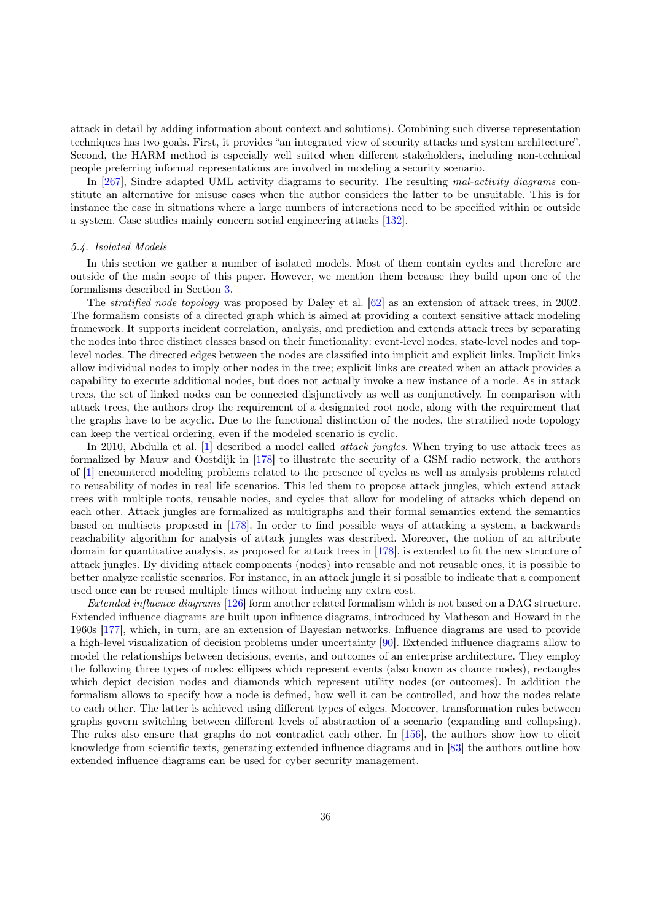attack in detail by adding information about context and solutions). Combining such diverse representation techniques has two goals. First, it provides "an integrated view of security attacks and system architecture". Second, the HARM method is especially well suited when different stakeholders, including non-technical people preferring informal representations are involved in modeling a security scenario.

In [\[267](#page-46-25)], Sindre adapted UML activity diagrams to security. The resulting *mal-activity diagrams* constitute an alternative for misuse cases when the author considers the latter to be unsuitable. This is for instance the case in situations where a large numbers of interactions need to be specified within or outside a system. Case studies mainly concern social engineering attacks [\[132](#page-42-26)].

# <span id="page-35-0"></span>*5.4. Isolated Models*

In this section we gather a number of isolated models. Most of them contain cycles and therefore are outside of the main scope of this paper. However, we mention them because they build upon one of the formalisms described in Section [3.](#page-8-0)

The *stratified node topology* was proposed by Daley et al. [\[62\]](#page-39-26) as an extension of attack trees, in 2002. The formalism consists of a directed graph which is aimed at providing a context sensitive attack modeling framework. It supports incident correlation, analysis, and prediction and extends attack trees by separating the nodes into three distinct classes based on their functionality: event-level nodes, state-level nodes and toplevel nodes. The directed edges between the nodes are classified into implicit and explicit links. Implicit links allow individual nodes to imply other nodes in the tree; explicit links are created when an attack provides a capability to execute additional nodes, but does not actually invoke a new instance of a node. As in attack trees, the set of linked nodes can be connected disjunctively as well as conjunctively. In comparison with attack trees, the authors drop the requirement of a designated root node, along with the requirement that the graphs have to be acyclic. Due to the functional distinction of the nodes, the stratified node topology can keep the vertical ordering, even if the modeled scenario is cyclic.

In 2010, Abdulla et al. [\[1\]](#page-37-4) described a model called *attack jungles*. When trying to use attack trees as formalized by Mauw and Oostdijk in [\[178\]](#page-43-1) to illustrate the security of a GSM radio network, the authors of [\[1\]](#page-37-4) encountered modeling problems related to the presence of cycles as well as analysis problems related to reusability of nodes in real life scenarios. This led them to propose attack jungles, which extend attack trees with multiple roots, reusable nodes, and cycles that allow for modeling of attacks which depend on each other. Attack jungles are formalized as multigraphs and their formal semantics extend the semantics based on multisets proposed in [\[178](#page-43-1)]. In order to find possible ways of attacking a system, a backwards reachability algorithm for analysis of attack jungles was described. Moreover, the notion of an attribute domain for quantitative analysis, as proposed for attack trees in [\[178](#page-43-1)], is extended to fit the new structure of attack jungles. By dividing attack components (nodes) into reusable and not reusable ones, it is possible to better analyze realistic scenarios. For instance, in an attack jungle it si possible to indicate that a component used once can be reused multiple times without inducing any extra cost.

*Extended influence diagrams* [\[126](#page-41-27)] form another related formalism which is not based on a DAG structure. Extended influence diagrams are built upon influence diagrams, introduced by Matheson and Howard in the 1960s [\[177\]](#page-43-26), which, in turn, are an extension of Bayesian networks. Influence diagrams are used to provide a high-level visualization of decision problems under uncertainty [\[90](#page-40-27)]. Extended influence diagrams allow to model the relationships between decisions, events, and outcomes of an enterprise architecture. They employ the following three types of nodes: ellipses which represent events (also known as chance nodes), rectangles which depict decision nodes and diamonds which represent utility nodes (or outcomes). In addition the formalism allows to specify how a node is defined, how well it can be controlled, and how the nodes relate to each other. The latter is achieved using different types of edges. Moreover, transformation rules between graphs govern switching between different levels of abstraction of a scenario (expanding and collapsing). The rules also ensure that graphs do not contradict each other. In [\[156\]](#page-42-27), the authors show how to elicit knowledge from scientific texts, generating extended influence diagrams and in [\[83\]](#page-40-22) the authors outline how extended influence diagrams can be used for cyber security management.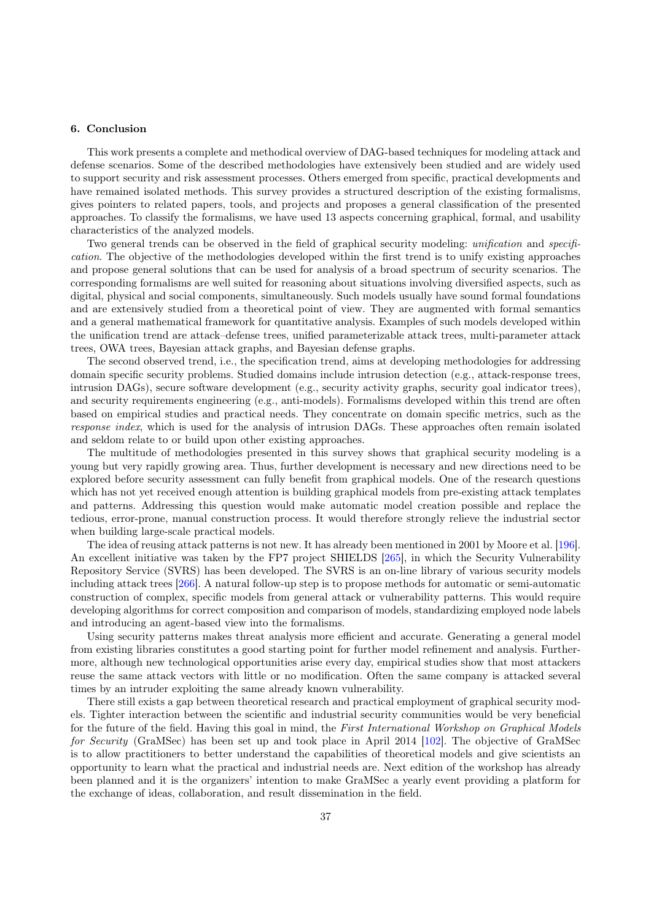# 6. Conclusion

This work presents a complete and methodical overview of DAG-based techniques for modeling attack and defense scenarios. Some of the described methodologies have extensively been studied and are widely used to support security and risk assessment processes. Others emerged from specific, practical developments and have remained isolated methods. This survey provides a structured description of the existing formalisms, gives pointers to related papers, tools, and projects and proposes a general classification of the presented approaches. To classify the formalisms, we have used 13 aspects concerning graphical, formal, and usability characteristics of the analyzed models.

Two general trends can be observed in the field of graphical security modeling: *unification* and *specification*. The objective of the methodologies developed within the first trend is to unify existing approaches and propose general solutions that can be used for analysis of a broad spectrum of security scenarios. The corresponding formalisms are well suited for reasoning about situations involving diversified aspects, such as digital, physical and social components, simultaneously. Such models usually have sound formal foundations and are extensively studied from a theoretical point of view. They are augmented with formal semantics and a general mathematical framework for quantitative analysis. Examples of such models developed within the unification trend are attack–defense trees, unified parameterizable attack trees, multi-parameter attack trees, OWA trees, Bayesian attack graphs, and Bayesian defense graphs.

The second observed trend, i.e., the specification trend, aims at developing methodologies for addressing domain specific security problems. Studied domains include intrusion detection (e.g., attack-response trees, intrusion DAGs), secure software development (e.g., security activity graphs, security goal indicator trees), and security requirements engineering (e.g., anti-models). Formalisms developed within this trend are often based on empirical studies and practical needs. They concentrate on domain specific metrics, such as the *response index*, which is used for the analysis of intrusion DAGs. These approaches often remain isolated and seldom relate to or build upon other existing approaches.

The multitude of methodologies presented in this survey shows that graphical security modeling is a young but very rapidly growing area. Thus, further development is necessary and new directions need to be explored before security assessment can fully benefit from graphical models. One of the research questions which has not yet received enough attention is building graphical models from pre-existing attack templates and patterns. Addressing this question would make automatic model creation possible and replace the tedious, error-prone, manual construction process. It would therefore strongly relieve the industrial sector when building large-scale practical models.

The idea of reusing attack patterns is not new. It has already been mentioned in 2001 by Moore et al. [\[196](#page-44-0)]. An excellent initiative was taken by the FP7 project SHIELDS [\[265](#page-46-0)], in which the Security Vulnerability Repository Service (SVRS) has been developed. The SVRS is an on-line library of various security models including attack trees [\[266](#page-46-26)]. A natural follow-up step is to propose methods for automatic or semi-automatic construction of complex, specific models from general attack or vulnerability patterns. This would require developing algorithms for correct composition and comparison of models, standardizing employed node labels and introducing an agent-based view into the formalisms.

Using security patterns makes threat analysis more efficient and accurate. Generating a general model from existing libraries constitutes a good starting point for further model refinement and analysis. Furthermore, although new technological opportunities arise every day, empirical studies show that most attackers reuse the same attack vectors with little or no modification. Often the same company is attacked several times by an intruder exploiting the same already known vulnerability.

There still exists a gap between theoretical research and practical employment of graphical security models. Tighter interaction between the scientific and industrial security communities would be very beneficial for the future of the field. Having this goal in mind, the *First International Workshop on Graphical Models for Security* (GraMSec) has been set up and took place in April 2014 [\[102\]](#page-40-28). The objective of GraMSec is to allow practitioners to better understand the capabilities of theoretical models and give scientists an opportunity to learn what the practical and industrial needs are. Next edition of the workshop has already been planned and it is the organizers' intention to make GraMSec a yearly event providing a platform for the exchange of ideas, collaboration, and result dissemination in the field.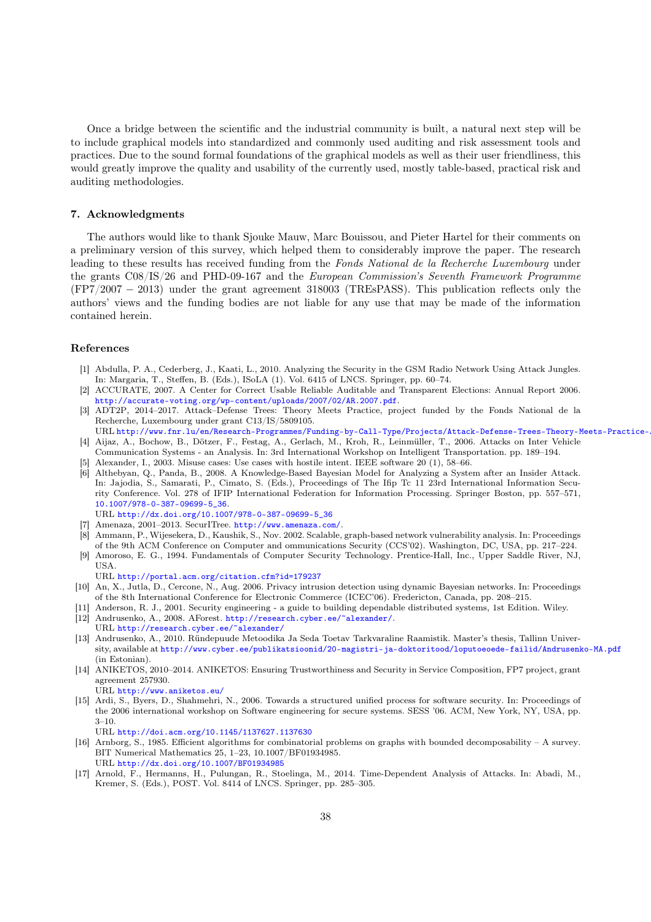Once a bridge between the scientific and the industrial community is built, a natural next step will be to include graphical models into standardized and commonly used auditing and risk assessment tools and practices. Due to the sound formal foundations of the graphical models as well as their user friendliness, this would greatly improve the quality and usability of the currently used, mostly table-based, practical risk and auditing methodologies.

#### 7. Acknowledgments

The authors would like to thank Sjouke Mauw, Marc Bouissou, and Pieter Hartel for their comments on a preliminary version of this survey, which helped them to considerably improve the paper. The research leading to these results has received funding from the *Fonds National de la Recherche Luxembourg* under the grants C08/IS/26 and PHD-09-167 and the *European Commission's Seventh Framework Programme* (FP7/2007 − 2013) under the grant agreement 318003 (TREsPASS). This publication reflects only the authors' views and the funding bodies are not liable for any use that may be made of the information contained herein.

#### References

- <span id="page-37-4"></span>[1] Abdulla, P. A., Cederberg, J., Kaati, L., 2010. Analyzing the Security in the GSM Radio Network Using Attack Jungles. In: Margaria, T., Steffen, B. (Eds.), ISoLA (1). Vol. 6415 of LNCS. Springer, pp. 60–74.
- <span id="page-37-6"></span>[2] ACCURATE, 2007. A Center for Correct Usable Reliable Auditable and Transparent Elections: Annual Report 2006. <http://accurate-voting.org/wp-content/uploads/2007/02/AR.2007.pdf>.
- <span id="page-37-1"></span>[3] ADT2P, 2014–2017. Attack–Defense Trees: Theory Meets Practice, project funded by the Fonds National de la Recherche, Luxembourg under grant C13/IS/5809105.
- $\rm URL~http://www.fnr.lu/en/Research-Programmes/Funding-by-Call-Type/Projects/Attack-Defense-Trees-Theory-Meets-Practice-AC, and the following way for the following way to use the following property.$ [4] Aijaz, A., Bochow, B., Dötzer, F., Festag, A., Gerlach, M., Kroh, R., Leinmüller, T., 2006. Attacks on Inter Vehicle
- <span id="page-37-2"></span>Communication Systems - an Analysis. In: 3rd International Workshop on Intelligent Transportation. pp. 189–194. [5] Alexander, I., 2003. Misuse cases: Use cases with hostile intent. IEEE software 20 (1), 58–66.
- <span id="page-37-16"></span><span id="page-37-11"></span>[6] Althebyan, Q., Panda, B., 2008. A Knowledge-Based Bayesian Model for Analyzing a System after an Insider Attack. In: Jajodia, S., Samarati, P., Cimato, S. (Eds.), Proceedings of The Ifip Tc 11 23rd International Information Security Conference. Vol. 278 of IFIP International Federation for Information Processing. Springer Boston, pp. 557–571, [10.1007/978-0-387-09699-5\\_36](10.1007/978-0-387-09699-5_36). URL [http://dx.doi.org/10.1007/978-0-387-09699-5\\_36](http://dx.doi.org/10.1007/978-0-387-09699-5_36)
- <span id="page-37-5"></span>[7] Amenaza, 2001–2013. SecurITree. <http://www.amenaza.com/>.
- 
- <span id="page-37-13"></span>[8] Ammann, P., Wijesekera, D., Kaushik, S., Nov. 2002. Scalable, graph-based network vulnerability analysis. In: Proceedings of the 9th ACM Conference on Computer and ommunications Security (CCS'02). Washington, DC, USA, pp. 217–224.
- <span id="page-37-3"></span>[9] Amoroso, E. G., 1994. Fundamentals of Computer Security Technology. Prentice-Hall, Inc., Upper Saddle River, NJ, USA.
- URL <http://portal.acm.org/citation.cfm?id=179237>
- <span id="page-37-10"></span>[10] An, X., Jutla, D., Cercone, N., Aug. 2006. Privacy intrusion detection using dynamic Bayesian networks. In: Proceedings of the 8th International Conference for Electronic Commerce (ICEC'06). Fredericton, Canada, pp. 208–215.
- <span id="page-37-8"></span><span id="page-37-7"></span>[11] Anderson, R. J., 2001. Security engineering - a guide to building dependable distributed systems, 1st Edition. Wiley. [12] Andrusenko, A., 2008. AForest. <http://research.cyber.ee/~alexander/>.
- <span id="page-37-9"></span>URL <http://research.cyber.ee/~alexander/> [13] Andrusenko, A., 2010. Ründepuude Metoodika Ja Seda Toetav Tarkvaraline Raamistik. Master's thesis, Tallinn University, available at <http://www.cyber.ee/publikatsioonid/20-magistri-ja-doktoritood/loputoeoede-failid/Andrusenko-MA.pdf> (in Estonian).
- <span id="page-37-0"></span>[14] ANIKETOS, 2010–2014. ANIKETOS: Ensuring Trustworthiness and Security in Service Composition, FP7 project, grant agreement 257930.
- <span id="page-37-14"></span>URL <http://www.aniketos.eu/> [15] Ardi, S., Byers, D., Shahmehri, N., 2006. Towards a structured unified process for software security. In: Proceedings of the 2006 international workshop on Software engineering for secure systems. SESS '06. ACM, New York, NY, USA, pp.  $3 - 10$ .
- URL <http://doi.acm.org/10.1145/1137627.1137630>
- <span id="page-37-12"></span>[16] Arnborg, S., 1985. Efficient algorithms for combinatorial problems on graphs with bounded decomposability – A survey. BIT Numerical Mathematics 25, 1–23, 10.1007/BF01934985. URL <http://dx.doi.org/10.1007/BF01934985>
- <span id="page-37-15"></span>[17] Arnold, F., Hermanns, H., Pulungan, R., Stoelinga, M., 2014. Time-Dependent Analysis of Attacks. In: Abadi, M., Kremer, S. (Eds.), POST. Vol. 8414 of LNCS. Springer, pp. 285–305.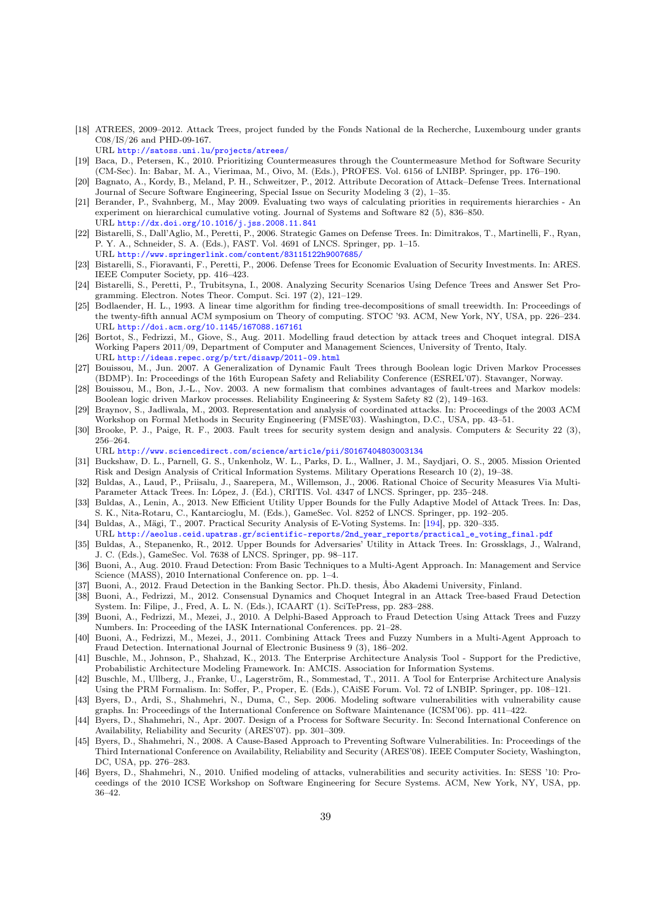- <span id="page-38-0"></span>[18] ATREES, 2009–2012. Attack Trees, project funded by the Fonds National de la Recherche, Luxembourg under grants C08/IS/26 and PHD-09-167.
- URL <http://satoss.uni.lu/projects/atrees/>
- <span id="page-38-4"></span>[19] Baca, D., Petersen, K., 2010. Prioritizing Countermeasures through the Countermeasure Method for Software Security (CM-Sec). In: Babar, M. A., Vierimaa, M., Oivo, M. (Eds.), PROFES. Vol. 6156 of LNIBP. Springer, pp. 176–190.
- <span id="page-38-2"></span>[20] Bagnato, A., Kordy, B., Meland, P. H., Schweitzer, P., 2012. Attribute Decoration of Attack–Defense Trees. International Journal of Secure Software Engineering, Special Issue on Security Modeling 3 (2), 1–35.
- <span id="page-38-23"></span>[21] Berander, P., Svahnberg, M., May 2009. Evaluating two ways of calculating priorities in requirements hierarchies - An experiment on hierarchical cumulative voting. Journal of Systems and Software 82 (5), 836–850. URL <http://dx.doi.org/10.1016/j.jss.2008.11.841>
- <span id="page-38-3"></span>[22] Bistarelli, S., Dall'Aglio, M., Peretti, P., 2006. Strategic Games on Defense Trees. In: Dimitrakos, T., Martinelli, F., Ryan, P. Y. A., Schneider, S. A. (Eds.), FAST. Vol. 4691 of LNCS. Springer, pp. 1–15. URL <http://www.springerlink.com/content/83115122h9007685/>
- <span id="page-38-20"></span>[23] Bistarelli, S., Fioravanti, F., Peretti, P., 2006. Defense Trees for Economic Evaluation of Security Investments. In: ARES. IEEE Computer Society, pp. 416–423.
- <span id="page-38-21"></span>[24] Bistarelli, S., Peretti, P., Trubitsyna, I., 2008. Analyzing Security Scenarios Using Defence Trees and Answer Set Programming. Electron. Notes Theor. Comput. Sci. 197 (2), 121–129.
- <span id="page-38-15"></span>[25] Bodlaender, H. L., 1993. A linear time algorithm for finding tree-decompositions of small treewidth. In: Proceedings of the twenty-fifth annual ACM symposium on Theory of computing. STOC '93. ACM, New York, NY, USA, pp. 226–234. URL <http://doi.acm.org/10.1145/167088.167161>
- <span id="page-38-9"></span>[26] Bortot, S., Fedrizzi, M., Giove, S., Aug. 2011. Modelling fraud detection by attack trees and Choquet integral. DISA Working Papers 2011/09, Department of Computer and Management Sciences, University of Trento, Italy. URL <http://ideas.repec.org/p/trt/disawp/2011-09.html>
- <span id="page-38-18"></span>[27] Bouissou, M., Jun. 2007. A Generalization of Dynamic Fault Trees through Boolean logic Driven Markov Processes (BDMP). In: Proceedings of the 16th European Safety and Reliability Conference (ESREL'07). Stavanger, Norway.
- <span id="page-38-24"></span>[28] Bouissou, M., Bon, J.-L., Nov. 2003. A new formalism that combines advantages of fault-trees and Markov models: Boolean logic driven Markov processes. Reliability Engineering & System Safety 82 (2), 149–163.
- <span id="page-38-28"></span>[29] Braynov, S., Jadliwala, M., 2003. Representation and analysis of coordinated attacks. In: Proceedings of the 2003 ACM Workshop on Formal Methods in Security Engineering (FMSE'03). Washington, D.C., USA, pp. 43–51.
- <span id="page-38-14"></span>[30] Brooke, P. J., Paige, R. F., 2003. Fault trees for security system design and analysis. Computers & Security 22 (3), 256–264.
	- URL <http://www.sciencedirect.com/science/article/pii/S0167404803003134>
- <span id="page-38-11"></span>[31] Buckshaw, D. L., Parnell, G. S., Unkenholz, W. L., Parks, D. L., Wallner, J. M., Saydjari, O. S., 2005. Mission Oriented Risk and Design Analysis of Critical Information Systems. Military Operations Research 10 (2), 19–38.
- <span id="page-38-5"></span>[32] Buldas, A., Laud, P., Priisalu, J., Saarepera, M., Willemson, J., 2006. Rational Choice of Security Measures Via Multi-Parameter Attack Trees. In: López, J. (Ed.), CRITIS. Vol. 4347 of LNCS. Springer, pp. 235–248.
- <span id="page-38-13"></span>[33] Buldas, A., Lenin, A., 2013. New Efficient Utility Upper Bounds for the Fully Adaptive Model of Attack Trees. In: Das, S. K., Nita-Rotaru, C., Kantarcioglu, M. (Eds.), GameSec. Vol. 8252 of LNCS. Springer, pp. 192–205.
- <span id="page-38-1"></span>[34] Buldas, A., Mägi, T., 2007. Practical Security Analysis of E-Voting Systems. In: [\[194](#page-44-25)], pp. 320–335. URL [http://aeolus.ceid.upatras.gr/scientific-reports/2nd\\_year\\_reports/practical\\_e\\_voting\\_final.pdf](http://aeolus.ceid.upatras.gr/scientific-reports/2nd_year_reports/practical_e_voting_final.pdf)
- <span id="page-38-19"></span>[35] Buldas, A., Stepanenko, R., 2012. Upper Bounds for Adversaries' Utility in Attack Trees. In: Grossklags, J., Walrand, J. C. (Eds.), GameSec. Vol. 7638 of LNCS. Springer, pp. 98–117.
- <span id="page-38-6"></span>[36] Buoni, A., Aug. 2010. Fraud Detection: From Basic Techniques to a Multi-Agent Approach. In: Management and Service Science (MASS), 2010 International Conference on. pp. 1–4.
- <span id="page-38-12"></span>[37] Buoni, A., 2012. Fraud Detection in the Banking Sector. Ph.D. thesis, Åbo Akademi University, Finland.
- <span id="page-38-10"></span>[38] Buoni, A., Fedrizzi, M., 2012. Consensual Dynamics and Choquet Integral in an Attack Tree-based Fraud Detection System. In: Filipe, J., Fred, A. L. N. (Eds.), ICAART (1). SciTePress, pp. 283–288.
- <span id="page-38-7"></span>[39] Buoni, A., Fedrizzi, M., Mezei, J., 2010. A Delphi-Based Approach to Fraud Detection Using Attack Trees and Fuzzy Numbers. In: Proceeding of the IASK International Conferences. pp. 21–28.
- <span id="page-38-8"></span>[40] Buoni, A., Fedrizzi, M., Mezei, J., 2011. Combining Attack Trees and Fuzzy Numbers in a Multi-Agent Approach to Fraud Detection. International Journal of Electronic Business 9 (3), 186–202.
- <span id="page-38-26"></span>[41] Buschle, M., Johnson, P., Shahzad, K., 2013. The Enterprise Architecture Analysis Tool - Support for the Predictive, Probabilistic Architecture Modeling Framework. In: AMCIS. Association for Information Systems.
- <span id="page-38-25"></span>[42] Buschle, M., Ullberg, J., Franke, U., Lagerström, R., Sommestad, T., 2011. A Tool for Enterprise Architecture Analysis Using the PRM Formalism. In: Soffer, P., Proper, E. (Eds.), CAiSE Forum. Vol. 72 of LNBIP. Springer, pp. 108–121.
- <span id="page-38-16"></span>[43] Byers, D., Ardi, S., Shahmehri, N., Duma, C., Sep. 2006. Modeling software vulnerabilities with vulnerability cause graphs. In: Proceedings of the International Conference on Software Maintenance (ICSM'06). pp. 411–422.
- <span id="page-38-17"></span>[44] Byers, D., Shahmehri, N., Apr. 2007. Design of a Process for Software Security. In: Second International Conference on Availability, Reliability and Security (ARES'07). pp. 301–309.
- <span id="page-38-22"></span>[45] Byers, D., Shahmehri, N., 2008. A Cause-Based Approach to Preventing Software Vulnerabilities. In: Proceedings of the Third International Conference on Availability, Reliability and Security (ARES'08). IEEE Computer Society, Washington, DC, USA, pp. 276–283.
- <span id="page-38-27"></span>[46] Byers, D., Shahmehri, N., 2010. Unified modeling of attacks, vulnerabilities and security activities. In: SESS '10: Proceedings of the 2010 ICSE Workshop on Software Engineering for Secure Systems. ACM, New York, NY, USA, pp. 36–42.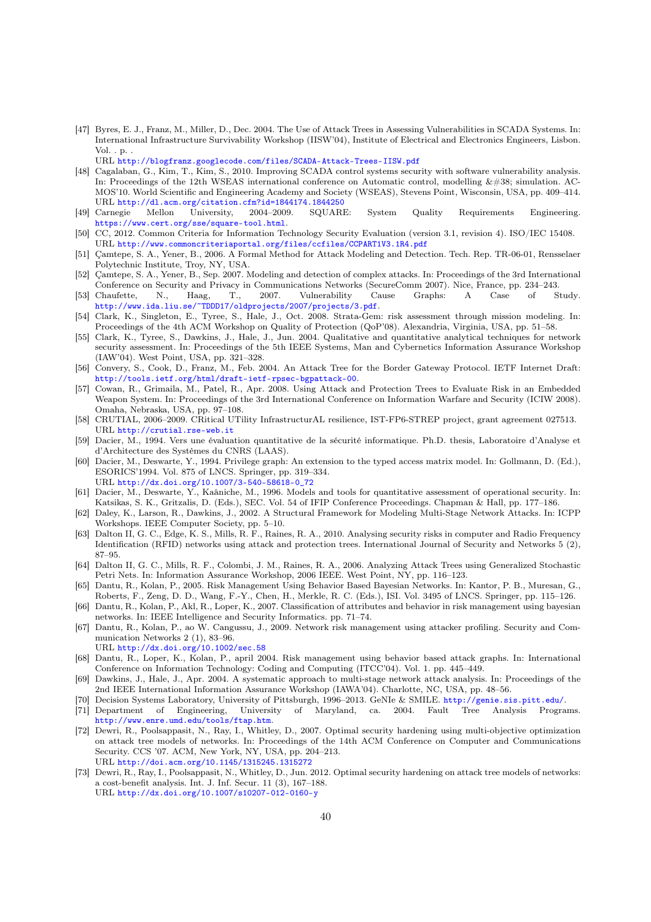<span id="page-39-1"></span>[47] Byres, E. J., Franz, M., Miller, D., Dec. 2004. The Use of Attack Trees in Assessing Vulnerabilities in SCADA Systems. In: International Infrastructure Survivability Workshop (IISW'04), Institute of Electrical and Electronics Engineers, Lisbon. Vol. . p. .

URL <http://blogfranz.googlecode.com/files/SCADA-Attack-Trees-IISW.pdf>

- <span id="page-39-5"></span>[48] Cagalaban, G., Kim, T., Kim, S., 2010. Improving SCADA control systems security with software vulnerability analysis. In: Proceedings of the 12th WSEAS international conference on Automatic control, modelling  $\&\#38$ ; simulation. AC-MOS'10. World Scientific and Engineering Academy and Society (WSEAS), Stevens Point, Wisconsin, USA, pp. 409–414. URL <http://dl.acm.org/citation.cfm?id=1844174.1844250>
- <span id="page-39-2"></span>[49] Carnegie Mellon University, 2004–2009. SQUARE: System Quality Requirements Engineering. <https://www.cert.org/sse/square-tool.html>.
- <span id="page-39-25"></span>[50] CC, 2012. Common Criteria for Information Technology Security Evaluation (version 3.1, revision 4). ISO/IEC 15408. URL <http://www.commoncriteriaportal.org/files/ccfiles/CCPART1V3.1R4.pdf>
- <span id="page-39-14"></span>[51] Çamtepe, S. A., Yener, B., 2006. A Formal Method for Attack Modeling and Detection. Tech. Rep. TR-06-01, Rensselaer Polytechnic Institute, Troy, NY, USA.
- <span id="page-39-15"></span>[52] Çamtepe, S. A., Yener, B., Sep. 2007. Modeling and detection of complex attacks. In: Proceedings of the 3rd International Conference on Security and Privacy in Communications Networks (SecureComm 2007). Nice, France, pp. 234–243.<br>Chaufette, N., Haag, T., 2007. Vulnerability Cause Graphs: A Case of S
- <span id="page-39-16"></span>[53] Chaufette, N., Haag, T., 2007. Vulnerability Cause Graphs: A Case of Study. <http://www.ida.liu.se/~TDDD17/oldprojects/2007/projects/3.pdf>.
- <span id="page-39-4"></span>[54] Clark, K., Singleton, E., Tyree, S., Hale, J., Oct. 2008. Strata-Gem: risk assessment through mission modeling. In: Proceedings of the 4th ACM Workshop on Quality of Protection (QoP'08). Alexandria, Virginia, USA, pp. 51–58.
- <span id="page-39-24"></span>[55] Clark, K., Tyree, S., Dawkins, J., Hale, J., Jun. 2004. Qualitative and quantitative analytical techniques for network security assessment. In: Proceedings of the 5th IEEE Systems, Man and Cybernetics Information Assurance Workshop (IAW'04). West Point, USA, pp. 321–328.
- <span id="page-39-3"></span>[56] Convery, S., Cook, D., Franz, M., Feb. 2004. An Attack Tree for the Border Gateway Protocol. IETF Internet Draft: <http://tools.ietf.org/html/draft-ietf-rpsec-bgpattack-00>.
- <span id="page-39-18"></span>[57] Cowan, R., Grimaila, M., Patel, R., Apr. 2008. Using Attack and Protection Trees to Evaluate Risk in an Embedded Weapon System. In: Proceedings of the 3rd International Conference on Information Warfare and Security (ICIW 2008). Omaha, Nebraska, USA, pp. 97–108.
- <span id="page-39-0"></span>[58] CRUTIAL, 2006–2009. CRitical UTility InfrastructurAL resilience, IST-FP6-STREP project, grant agreement 027513. URL <http://crutial.rse-web.it>
- <span id="page-39-19"></span>[59] Dacier, M., 1994. Vers une évaluation quantitative de la sécurité informatique. Ph.D. thesis, Laboratoire d'Analyse et d'Architecture des Systèmes du CNRS (LAAS).
- <span id="page-39-21"></span>[60] Dacier, M., Deswarte, Y., 1994. Privilege graph: An extension to the typed access matrix model. In: Gollmann, D. (Ed.), ESORICS'1994. Vol. 875 of LNCS. Springer, pp. 319–334. URL [http://dx.doi.org/10.1007/3-540-58618-0\\_72](http://dx.doi.org/10.1007/3-540-58618-0_72)
- <span id="page-39-22"></span>[61] Dacier, M., Deswarte, Y., Kaâniche, M., 1996. Models and tools for quantitative assessment of operational security. In: Katsikas, S. K., Gritzalis, D. (Eds.), SEC. Vol. 54 of IFIP Conference Proceedings. Chapman & Hall, pp. 177–186.
- <span id="page-39-26"></span>[62] Daley, K., Larson, R., Dawkins, J., 2002. A Structural Framework for Modeling Multi-Stage Network Attacks. In: ICPP Workshops. IEEE Computer Society, pp. 5–10.
- <span id="page-39-17"></span>[63] Dalton II, G. C., Edge, K. S., Mills, R. F., Raines, R. A., 2010. Analysing security risks in computer and Radio Frequency Identification (RFID) networks using attack and protection trees. International Journal of Security and Networks 5 (2), 87–95.
- <span id="page-39-20"></span>[64] Dalton II, G. C., Mills, R. F., Colombi, J. M., Raines, R. A., 2006. Analyzing Attack Trees using Generalized Stochastic Petri Nets. In: Information Assurance Workshop, 2006 IEEE. West Point, NY, pp. 116–123.
- <span id="page-39-10"></span>[65] Dantu, R., Kolan, P., 2005. Risk Management Using Behavior Based Bayesian Networks. In: Kantor, P. B., Muresan, G., Roberts, F., Zeng, D. D., Wang, F.-Y., Chen, H., Merkle, R. C. (Eds.), ISI. Vol. 3495 of LNCS. Springer, pp. 115–126.
- <span id="page-39-11"></span>[66] Dantu, R., Kolan, P., Akl, R., Loper, K., 2007. Classification of attributes and behavior in risk management using bayesian networks. In: IEEE Intelligence and Security Informatics. pp. 71–74.
- <span id="page-39-12"></span>[67] Dantu, R., Kolan, P., ao W. Cangussu, J., 2009. Network risk management using attacker profiling. Security and Communication Networks 2 (1), 83–96.
- URL <http://dx.doi.org/10.1002/sec.58>
- <span id="page-39-9"></span>[68] Dantu, R., Loper, K., Kolan, P., april 2004. Risk management using behavior based attack graphs. In: International Conference on Information Technology: Coding and Computing (ITCC'04). Vol. 1. pp. 445–449.
- <span id="page-39-23"></span>[69] Dawkins, J., Hale, J., Apr. 2004. A systematic approach to multi-stage network attack analysis. In: Proceedings of the 2nd IEEE International Information Assurance Workshop (IAWA'04). Charlotte, NC, USA, pp. 48–56.
- <span id="page-39-13"></span>[70] Decision Systems Laboratory, University of Pittsburgh, 1996–2013. GeNIe & SMILE. <http://genie.sis.pitt.edu/>.
- <span id="page-39-8"></span>[71] Department of Engineering, University of Maryland, ca. 2004. Fault Tree Analysis Programs. <http://www.enre.umd.edu/tools/ftap.htm>.
- <span id="page-39-6"></span>[72] Dewri, R., Poolsappasit, N., Ray, I., Whitley, D., 2007. Optimal security hardening using multi-objective optimization on attack tree models of networks. In: Proceedings of the 14th ACM Conference on Computer and Communications Security. CCS '07. ACM, New York, NY, USA, pp. 204–213. URL <http://doi.acm.org/10.1145/1315245.1315272>
- <span id="page-39-7"></span>[73] Dewri, R., Ray, I., Poolsappasit, N., Whitley, D., Jun. 2012. Optimal security hardening on attack tree models of networks: a cost-benefit analysis. Int. J. Inf. Secur. 11 (3), 167–188. URL <http://dx.doi.org/10.1007/s10207-012-0160-y>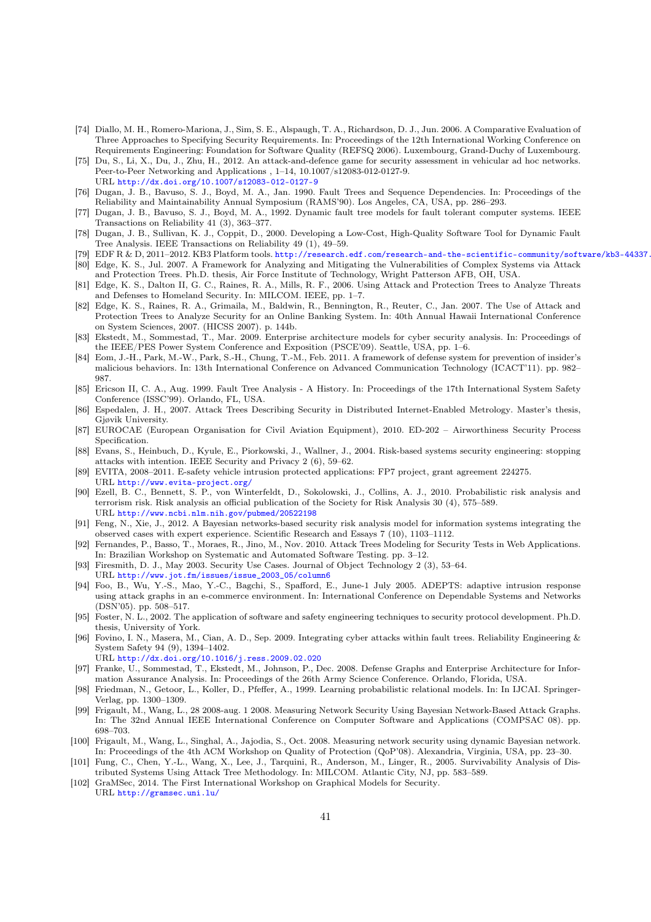- <span id="page-40-26"></span>[74] Diallo, M. H., Romero-Mariona, J., Sim, S. E., Alspaugh, T. A., Richardson, D. J., Jun. 2006. A Comparative Evaluation of Three Approaches to Specifying Security Requirements. In: Proceedings of the 12th International Working Conference on Requirements Engineering: Foundation for Software Quality (REFSQ 2006). Luxembourg, Grand-Duchy of Luxembourg.
- <span id="page-40-20"></span>[75] Du, S., Li, X., Du, J., Zhu, H., 2012. An attack-and-defence game for security assessment in vehicular ad hoc networks. Peer-to-Peer Networking and Applications , 1–14, 10.1007/s12083-012-0127-9. URL <http://dx.doi.org/10.1007/s12083-012-0127-9>
- <span id="page-40-16"></span>[76] Dugan, J. B., Bavuso, S. J., Boyd, M. A., Jan. 1990. Fault Trees and Sequence Dependencies. In: Proceedings of the Reliability and Maintainability Annual Symposium (RAMS'90). Los Angeles, CA, USA, pp. 286–293.
- <span id="page-40-17"></span>[77] Dugan, J. B., Bavuso, S. J., Boyd, M. A., 1992. Dynamic fault tree models for fault tolerant computer systems. IEEE Transactions on Reliability 41 (3), 363–377.
- <span id="page-40-18"></span>[78] Dugan, J. B., Sullivan, K. J., Coppit, D., 2000. Developing a Low-Cost, High-Quality Software Tool for Dynamic Fault Tree Analysis. IEEE Transactions on Reliability 49 (1), 49–59.
- <span id="page-40-23"></span>[79] EDF R & D, 2011–2012. KB3 Platform tools. http://research.edf.com/research-and-the-scientific-community/software/kb3-44337.
- <span id="page-40-7"></span>[80] Edge, K. S., Jul. 2007. A Framework for Analyzing and Mitigating the Vulnerabilities of Complex Systems via Attack and Protection Trees. Ph.D. thesis, Air Force Institute of Technology, Wright Patterson AFB, OH, USA.
- <span id="page-40-2"></span>[81] Edge, K. S., Dalton II, G. C., Raines, R. A., Mills, R. F., 2006. Using Attack and Protection Trees to Analyze Threats and Defenses to Homeland Security. In: MILCOM. IEEE, pp. 1–7.
- <span id="page-40-19"></span>[82] Edge, K. S., Raines, R. A., Grimaila, M., Baldwin, R., Bennington, R., Reuter, C., Jan. 2007. The Use of Attack and Protection Trees to Analyze Security for an Online Banking System. In: 40th Annual Hawaii International Conference on System Sciences, 2007. (HICSS 2007). p. 144b.
- <span id="page-40-22"></span>[83] Ekstedt, M., Sommestad, T., Mar. 2009. Enterprise architecture models for cyber security analysis. In: Proceedings of the IEEE/PES Power System Conference and Exposition (PSCE'09). Seattle, USA, pp. 1–6.
- <span id="page-40-0"></span>[84] Eom, J.-H., Park, M.-W., Park, S.-H., Chung, T.-M., Feb. 2011. A framework of defense system for prevention of insider's malicious behaviors. In: 13th International Conference on Advanced Communication Technology (ICACT'11). pp. 982– 987.
- <span id="page-40-11"></span>[85] Ericson II, C. A., Aug. 1999. Fault Tree Analysis - A History. In: Proceedings of the 17th International System Safety Conference (ISSC'99). Orlando, FL, USA.
- <span id="page-40-8"></span>[86] Espedalen, J. H., 2007. Attack Trees Describing Security in Distributed Internet-Enabled Metrology. Master's thesis, Gjøvik University.
- <span id="page-40-9"></span>[87] EUROCAE (European Organisation for Civil Aviation Equipment), 2010. ED-202 – Airworthiness Security Process Specification.
- <span id="page-40-3"></span>[88] Evans, S., Heinbuch, D., Kyule, E., Piorkowski, J., Wallner, J., 2004. Risk-based systems security engineering: stopping attacks with intention. IEEE Security and Privacy 2 (6), 59–62.
- <span id="page-40-5"></span>[89] EVITA, 2008–2011. E-safety vehicle intrusion protected applications: FP7 project, grant agreement 224275. URL <http://www.evita-project.org/>
- <span id="page-40-27"></span>[90] Ezell, B. C., Bennett, S. P., von Winterfeldt, D., Sokolowski, J., Collins, A. J., 2010. Probabilistic risk analysis and terrorism risk. Risk analysis an official publication of the Society for Risk Analysis 30 (4), 575–589. URL <http://www.ncbi.nlm.nih.gov/pubmed/20522198>
- <span id="page-40-13"></span>[91] Feng, N., Xie, J., 2012. A Bayesian networks-based security risk analysis model for information systems integrating the observed cases with expert experience. Scientific Research and Essays 7 (10), 1103–1112.
- <span id="page-40-4"></span>[92] Fernandes, P., Basso, T., Moraes, R., Jino, M., Nov. 2010. Attack Trees Modeling for Security Tests in Web Applications. In: Brazilian Workshop on Systematic and Automated Software Testing. pp. 3–12.
- <span id="page-40-25"></span>[93] Firesmith, D. J., May 2003. Security Use Cases. Journal of Object Technology 2 (3), 53–64.
- URL [http://www.jot.fm/issues/issue\\_2003\\_05/column6](http://www.jot.fm/issues/issue_2003_05/column6)
- <span id="page-40-21"></span>[94] Foo, B., Wu, Y.-S., Mao, Y.-C., Bagchi, S., Spafford, E., June-1 July 2005. ADEPTS: adaptive intrusion response using attack graphs in an e-commerce environment. In: International Conference on Dependable Systems and Networks (DSN'05). pp. 508–517.
- <span id="page-40-6"></span>[95] Foster, N. L., 2002. The application of software and safety engineering techniques to security protocol development. Ph.D. thesis, University of York.
- <span id="page-40-10"></span>[96] Fovino, I. N., Masera, M., Cian, A. D., Sep. 2009. Integrating cyber attacks within fault trees. Reliability Engineering & System Safety 94 (9), 1394–1402.
- URL <http://dx.doi.org/10.1016/j.ress.2009.02.020>
- <span id="page-40-12"></span>[97] Franke, U., Sommestad, T., Ekstedt, M., Johnson, P., Dec. 2008. Defense Graphs and Enterprise Architecture for Information Assurance Analysis. In: Proceedings of the 26th Army Science Conference. Orlando, Florida, USA.
- <span id="page-40-24"></span>[98] Friedman, N., Getoor, L., Koller, D., Pfeffer, A., 1999. Learning probabilistic relational models. In: In IJCAI. Springer-Verlag, pp. 1300–1309.
- <span id="page-40-14"></span>[99] Frigault, M., Wang, L., 28 2008-aug. 1 2008. Measuring Network Security Using Bayesian Network-Based Attack Graphs. In: The 32nd Annual IEEE International Conference on Computer Software and Applications (COMPSAC 08). pp. 698–703.
- <span id="page-40-15"></span>[100] Frigault, M., Wang, L., Singhal, A., Jajodia, S., Oct. 2008. Measuring network security using dynamic Bayesian network. In: Proceedings of the 4th ACM Workshop on Quality of Protection (QoP'08). Alexandria, Virginia, USA, pp. 23–30.
- <span id="page-40-1"></span>[101] Fung, C., Chen, Y.-L., Wang, X., Lee, J., Tarquini, R., Anderson, M., Linger, R., 2005. Survivability Analysis of Distributed Systems Using Attack Tree Methodology. In: MILCOM. Atlantic City, NJ, pp. 583–589.
- <span id="page-40-28"></span>[102] GraMSec, 2014. The First International Workshop on Graphical Models for Security. URL <http://gramsec.uni.lu/>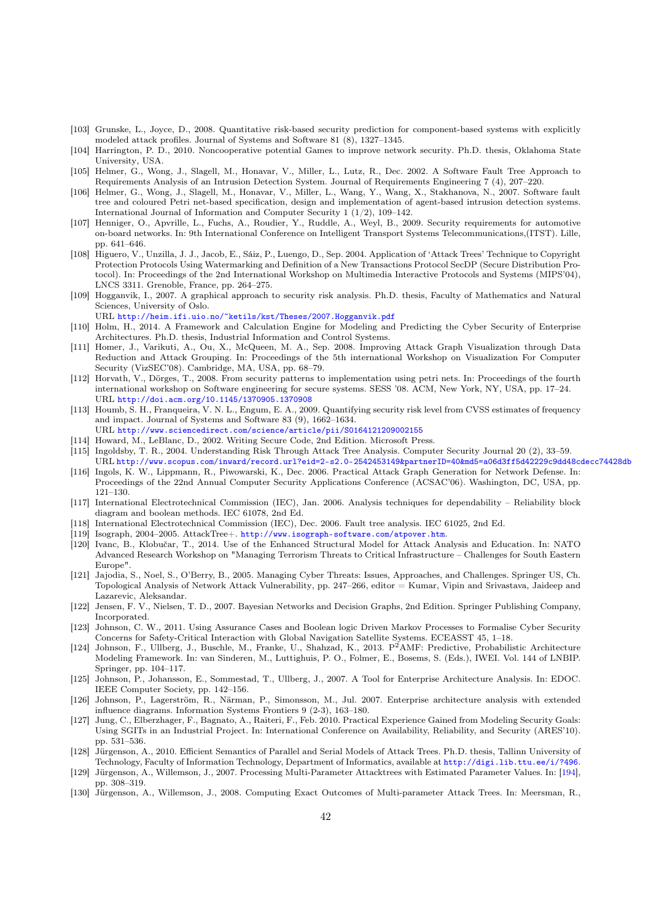- <span id="page-41-6"></span>[103] Grunske, L., Joyce, D., 2008. Quantitative risk-based security prediction for component-based systems with explicitly modeled attack profiles. Journal of Systems and Software 81 (8), 1327–1345.
- <span id="page-41-8"></span>[104] Harrington, P. D., 2010. Noncooperative potential Games to improve network security. Ph.D. thesis, Oklahoma State University, USA.
- <span id="page-41-13"></span>[105] Helmer, G., Wong, J., Slagell, M., Honavar, V., Miller, L., Lutz, R., Dec. 2002. A Software Fault Tree Approach to Requirements Analysis of an Intrusion Detection System. Journal of Requirements Engineering 7 (4), 207–220.
- <span id="page-41-14"></span>[106] Helmer, G., Wong, J., Slagell, M., Honavar, V., Miller, L., Wang, Y., Wang, X., Stakhanova, N., 2007. Software fault tree and coloured Petri net-based specification, design and implementation of agent-based intrusion detection systems. International Journal of Information and Computer Security 1 (1/2), 109–142.
- <span id="page-41-0"></span>[107] Henniger, O., Apvrille, L., Fuchs, A., Roudier, Y., Ruddle, A., Weyl, B., 2009. Security requirements for automotive on-board networks. In: 9th International Conference on Intelligent Transport Systems Telecommunications,(ITST). Lille, pp. 641–646.
- <span id="page-41-3"></span>[108] Higuero, V., Unzilla, J. J., Jacob, E., Sáiz, P., Luengo, D., Sep. 2004. Application of 'Attack Trees' Technique to Copyright Protection Protocols Using Watermarking and Definition of a New Transactions Protocol SecDP (Secure Distribution Protocol). In: Proceedings of the 2nd International Workshop on Multimedia Interactive Protocols and Systems (MIPS'04), LNCS 3311. Grenoble, France, pp. 264–275.
- <span id="page-41-7"></span>[109] Hogganvik, I., 2007. A graphical approach to security risk analysis. Ph.D. thesis, Faculty of Mathematics and Natural Sciences, University of Oslo.
- URL <http://heim.ifi.uio.no/~ketils/kst/Theses/2007.Hogganvik.pdf>
- <span id="page-41-22"></span>[110] Holm, H., 2014. A Framework and Calculation Engine for Modeling and Predicting the Cyber Security of Enterprise Architectures. Ph.D. thesis, Industrial Information and Control Systems.
- <span id="page-41-26"></span>[111] Homer, J., Varikuti, A., Ou, X., McQueen, M. A., Sep. 2008. Improving Attack Graph Visualization through Data Reduction and Attack Grouping. In: Proceedings of the 5th international Workshop on Visualization For Computer Security (VizSEC'08). Cambridge, MA, USA, pp. 68–79.
- <span id="page-41-24"></span>[112] Horvath, V., Dörges, T., 2008. From security patterns to implementation using petri nets. In: Proceedings of the fourth international workshop on Software engineering for secure systems. SESS '08. ACM, New York, NY, USA, pp. 17–24. URL <http://doi.acm.org/10.1145/1370905.1370908>
- <span id="page-41-16"></span>[113] Houmb, S. H., Franqueira, V. N. L., Engum, E. A., 2009. Quantifying security risk level from CVSS estimates of frequency and impact. Journal of Systems and Software 83 (9), 1662–1634.
- URL <http://www.sciencedirect.com/science/article/pii/S0164121209002155>
- <span id="page-41-2"></span>[114] Howard, M., LeBlanc, D., 2002. Writing Secure Code, 2nd Edition. Microsoft Press.
- <span id="page-41-10"></span>[115] Ingoldsby, T. R., 2004. Understanding Risk Through Attack Tree Analysis. Computer Security Journal 20 (2), 33–59.
- <span id="page-41-25"></span>URL [http://www.scopus.com/inward/record.url?eid=2-s2.0-2542453149&partnerID=40&md5=a06d3ff5d42229c9dd48cdecc74428db](http://www.scopus.com/inward/record.url?eid=2-s2.0-2542453149&partnerID=40 &md5=a06d3ff5d42229c9dd48cdecc74428db) [116] Ingols, K. W., Lippmann, R., Piwowarski, K., Dec. 2006. Practical Attack Graph Generation for Network Defense. In: Proceedings of the 22nd Annual Computer Security Applications Conference (ACSAC'06). Washington, DC, USA, pp.
- <span id="page-41-19"></span>121–130. [117] International Electrotechnical Commission (IEC), Jan. 2006. Analysis techniques for dependability – Reliability block diagram and boolean methods. IEC 61078, 2nd Ed.
- <span id="page-41-12"></span>[118] International Electrotechnical Commission (IEC), Dec. 2006. Fault tree analysis. IEC 61025, 2nd Ed.
- <span id="page-41-5"></span>[119] Isograph, 2004–2005. AttackTree+. <http://www.isograph-software.com/atpover.htm>.
- <span id="page-41-18"></span>[120] Ivanc, B., Klobučar, T., 2014. Use of the Enhanced Structural Model for Attack Analysis and Education. In: NATO Advanced Research Workshop on "Managing Terrorism Threats to Critical Infrastructure – Challenges for South Eastern Europe".
- <span id="page-41-17"></span>[121] Jajodia, S., Noel, S., O'Berry, B., 2005. Managing Cyber Threats: Issues, Approaches, and Challenges. Springer US, Ch. Topological Analysis of Network Attack Vulnerability, pp. 247–266, editor = Kumar, Vipin and Srivastava, Jaideep and Lazarevic, Aleksandar.
- <span id="page-41-15"></span>[122] Jensen, F. V., Nielsen, T. D., 2007. Bayesian Networks and Decision Graphs, 2nd Edition. Springer Publishing Company, Incorporated.
- <span id="page-41-21"></span>[123] Johnson, C. W., 2011. Using Assurance Cases and Boolean logic Driven Markov Processes to Formalise Cyber Security Concerns for Safety-Critical Interaction with Global Navigation Satellite Systems. ECEASST 45, 1–18.
- <span id="page-41-23"></span>[124] Johnson, F., Ullberg, J., Buschle, M., Franke, U., Shahzad, K., 2013. P2AMF: Predictive, Probabilistic Architecture Modeling Framework. In: van Sinderen, M., Luttighuis, P. O., Folmer, E., Bosems, S. (Eds.), IWEI. Vol. 144 of LNBIP. Springer, pp. 104–117.
- <span id="page-41-20"></span>[125] Johnson, P., Johansson, E., Sommestad, T., Ullberg, J., 2007. A Tool for Enterprise Architecture Analysis. In: EDOC. IEEE Computer Society, pp. 142–156.
- <span id="page-41-27"></span>[126] Johnson, P., Lagerström, R., Närman, P., Simonsson, M., Jul. 2007. Enterprise architecture analysis with extended influence diagrams. Information Systems Frontiers 9 (2-3), 163–180.
- <span id="page-41-1"></span>[127] Jung, C., Elberzhager, F., Bagnato, A., Raiteri, F., Feb. 2010. Practical Experience Gained from Modeling Security Goals: Using SGITs in an Industrial Project. In: International Conference on Availability, Reliability, and Security (ARES'10). pp. 531–536.
- <span id="page-41-9"></span>[128] Jürgenson, A., 2010. Efficient Semantics of Parallel and Serial Models of Attack Trees. Ph.D. thesis, Tallinn University of Technology, Faculty of Information Technology, Department of Informatics, available at <http://digi.lib.ttu.ee/i/?496>.
- <span id="page-41-11"></span>[129] Jürgenson, A., Willemson, J., 2007. Processing Multi-Parameter Attacktrees with Estimated Parameter Values. In: [\[194](#page-44-25)], pp. 308–319.
- <span id="page-41-4"></span>[130] Jürgenson, A., Willemson, J., 2008. Computing Exact Outcomes of Multi-parameter Attack Trees. In: Meersman, R.,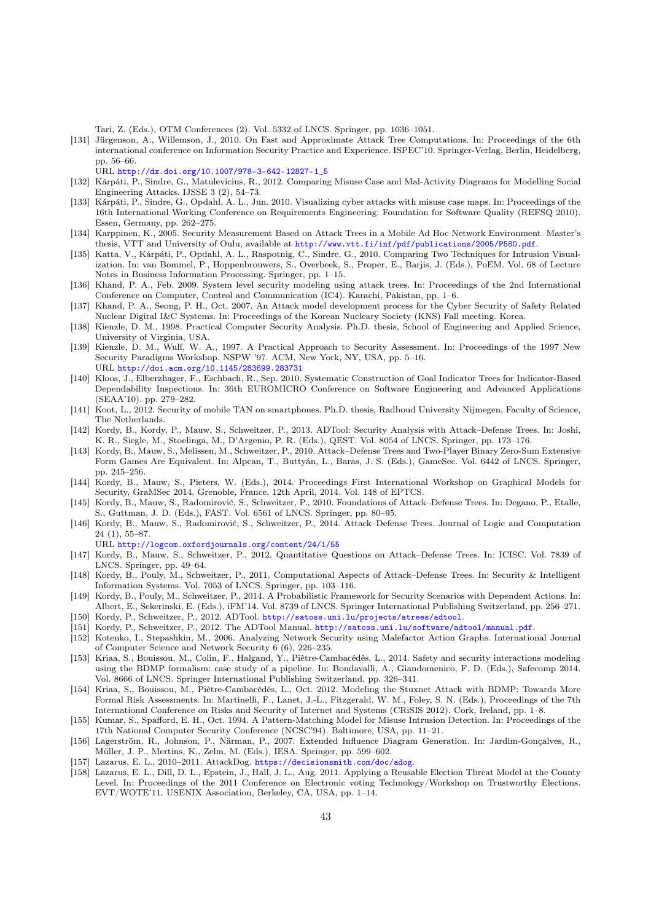Tari, Z. (Eds.), OTM Conferences (2). Vol. 5332 of LNCS. Springer, pp. 1036–1051.

<span id="page-42-8"></span>[131] Jürgenson, A., Willemson, J., 2010. On Fast and Approximate Attack Tree Computations. In: Proceedings of the 6th international conference on Information Security Practice and Experience. ISPEC'10. Springer-Verlag, Berlin, Heidelberg, pp. 56–66.

URL [http://dx.doi.org/10.1007/978-3-642-12827-1\\_5](http://dx.doi.org/10.1007/978-3-642-12827-1_5)

- <span id="page-42-26"></span>[132] Kárpáti, P., Sindre, G., Matulevicius, R., 2012. Comparing Misuse Case and Mal-Activity Diagrams for Modelling Social Engineering Attacks. IJSSE 3 (2), 54–73.
- <span id="page-42-24"></span>[133] Kárpáti, P., Sindre, G., Opdahl, A. L., Jun. 2010. Visualizing cyber attacks with misuse case maps. In: Proceedings of the 16th International Working Conference on Requirements Engineering: Foundation for Software Quality (REFSQ 2010). Essen, Germany, pp. 262–275.
- <span id="page-42-6"></span>[134] Karppinen, K., 2005. Security Measurement Based on Attack Trees in a Mobile Ad Hoc Network Environment. Master's thesis, VTT and University of Oulu, available at <http://www.vtt.fi/inf/pdf/publications/2005/P580.pdf>.
- <span id="page-42-25"></span>[135] Katta, V., Kárpáti, P., Opdahl, A. L., Raspotnig, C., Sindre, G., 2010. Comparing Two Techniques for Intrusion Visualization. In: van Bommel, P., Hoppenbrouwers, S., Overbeek, S., Proper, E., Barjis, J. (Eds.), PoEM. Vol. 68 of Lecture Notes in Business Information Processing. Springer, pp. 1–15.
- <span id="page-42-9"></span>[136] Khand, P. A., Feb. 2009. System level security modeling using attack trees. In: Proceedings of the 2nd International Conference on Computer, Control and Communication (IC4). Karachi, Pakistan, pp. 1–6.
- <span id="page-42-4"></span>[137] Khand, P. A., Seong, P. H., Oct. 2007. An Attack model development process for the Cyber Security of Safety Related Nuclear Digital I&C Systems. In: Proceedings of the Korean Nucleary Society (KNS) Fall meeting. Korea.
- <span id="page-42-5"></span>[138] Kienzle, D. M., 1998. Practical Computer Security Analysis. Ph.D. thesis, School of Engineering and Applied Science, University of Virginia, USA.
- <span id="page-42-2"></span>[139] Kienzle, D. M., Wulf, W. A., 1997. A Practical Approach to Security Assessment. In: Proceedings of the 1997 New Security Paradigms Workshop. NSPW '97. ACM, New York, NY, USA, pp. 5–16. URL <http://doi.acm.org/10.1145/283699.283731>
- <span id="page-42-19"></span>[140] Kloos, J., Elberzhager, F., Eschbach, R., Sep. 2010. Systematic Construction of Goal Indicator Trees for Indicator-Based Dependability Inspections. In: 36th EUROMICRO Conference on Software Engineering and Advanced Applications (SEAA'10). pp. 279–282.
- <span id="page-42-7"></span>[141] Koot, L., 2012. Security of mobile TAN on smartphones. Ph.D. thesis, Radboud University Nijmegen, Faculty of Science, The Netherlands.
- <span id="page-42-18"></span>[142] Kordy, B., Kordy, P., Mauw, S., Schweitzer, P., 2013. ADTool: Security Analysis with Attack–Defense Trees. In: Joshi, K. R., Siegle, M., Stoelinga, M., D'Argenio, P. R. (Eds.), QEST. Vol. 8054 of LNCS. Springer, pp. 173–176.
- <span id="page-42-13"></span>[143] Kordy, B., Mauw, S., Melissen, M., Schweitzer, P., 2010. Attack–Defense Trees and Two-Player Binary Zero-Sum Extensive Form Games Are Equivalent. In: Alpcan, T., Buttyán, L., Baras, J. S. (Eds.), GameSec. Vol. 6442 of LNCS. Springer, pp. 245–256.
- <span id="page-42-0"></span>[144] Kordy, B., Mauw, S., Pieters, W. (Eds.), 2014. Proceedings First International Workshop on Graphical Models for Security, GraMSec 2014, Grenoble, France, 12th April, 2014. Vol. 148 of EPTCS.
- <span id="page-42-10"></span>[145] Kordy, B., Mauw, S., Radomirović, S., Schweitzer, P., 2010. Foundations of Attack–Defense Trees. In: Degano, P., Etalle, S., Guttman, J. D. (Eds.), FAST. Vol. 6561 of LNCS. Springer, pp. 80–95.
- <span id="page-42-11"></span>[146] Kordy, B., Mauw, S., Radomirović, S., Schweitzer, P., 2014. Attack–Defense Trees. Journal of Logic and Computation 24 (1), 55–87.

URL <http://logcom.oxfordjournals.org/content/24/1/55>

- <span id="page-42-14"></span>[147] Kordy, B., Mauw, S., Schweitzer, P., 2012. Quantitative Questions on Attack–Defense Trees. In: ICISC. Vol. 7839 of LNCS. Springer, pp. 49–64.
- <span id="page-42-12"></span>[148] Kordy, B., Pouly, M., Schweitzer, P., 2011. Computational Aspects of Attack–Defense Trees. In: Security & Intelligent Information Systems. Vol. 7053 of LNCS. Springer, pp. 103–116.
- <span id="page-42-15"></span>[149] Kordy, B., Pouly, M., Schweitzer, P., 2014. A Probabilistic Framework for Security Scenarios with Dependent Actions. In: Albert, E., Sekerinski, E. (Eds.), iFM'14. Vol. 8739 of LNCS. Springer International Publishing Switzerland, pp. 256–271.
- <span id="page-42-16"></span>[150] Kordy, P., Schweitzer, P., 2012. ADTool. <http://satoss.uni.lu/projects/atrees/adtool>.
- <span id="page-42-17"></span>[151] Kordy, P., Schweitzer, P., 2012. The ADTool Manual. <http://satoss.uni.lu/software/adtool/manual.pdf>.
- <span id="page-42-23"></span>[152] Kotenko, I., Stepashkin, M., 2006. Analyzing Network Security using Malefactor Action Graphs. International Journal of Computer Science and Network Security 6 (6), 226–235.
- <span id="page-42-20"></span>[153] Kriaa, S., Bouissou, M., Colin, F., Halgand, Y., Piètre-Cambacédès, L., 2014. Safety and security interactions modeling using the BDMP formalism: case study of a pipeline. In: Bondavalli, A., Giandomenico, F. D. (Eds.), Safecomp 2014. Vol. 8666 of LNCS. Springer International Publishing Switzerland, pp. 326–341.
- <span id="page-42-21"></span>[154] Kriaa, S., Bouissou, M., Piètre-Cambacédès, L., Oct. 2012. Modeling the Stuxnet Attack with BDMP: Towards More Formal Risk Assessments. In: Martinelli, F., Lanet, J.-L., Fitzgerald, W. M., Foley, S. N. (Eds.), Proceedings of the 7th International Conference on Risks and Security of Internet and Systems (CRiSIS 2012). Cork, Ireland, pp. 1–8.
- <span id="page-42-22"></span>[155] Kumar, S., Spafford, E. H., Oct. 1994. A Pattern-Matching Model for Misuse Intrusion Detection. In: Proceedings of the 17th National Computer Security Conference (NCSC'94). Baltimore, USA, pp. 11–21.
- <span id="page-42-27"></span>[156] Lagerström, R., Johnson, P., Närman, P., 2007. Extended Influence Diagram Generation. In: Jardim-Gonçalves, R., Müller, J. P., Mertins, K., Zelm, M. (Eds.), IESA. Springer, pp. 599–602.
- <span id="page-42-3"></span>[157] Lazarus, E. L., 2010–2011. AttackDog. <https://decisionsmith.com/doc/adog>.
- <span id="page-42-1"></span>[158] Lazarus, E. L., Dill, D. L., Epstein, J., Hall, J. L., Aug. 2011. Applying a Reusable Election Threat Model at the County Level. In: Proceedings of the 2011 Conference on Electronic voting Technology/Workshop on Trustworthy Elections. EVT/WOTE'11. USENIX Association, Berkeley, CA, USA, pp. 1–14.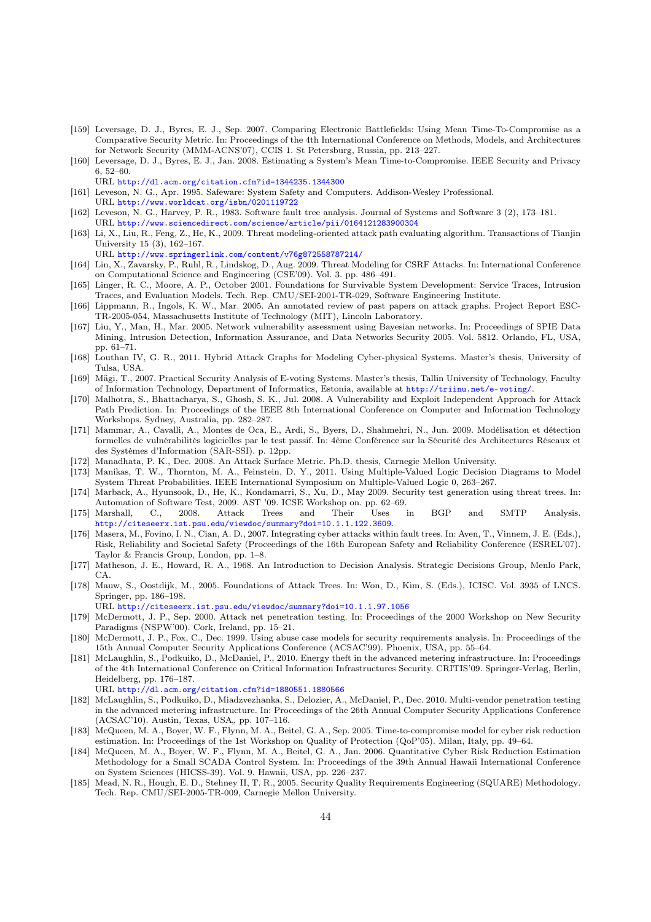- <span id="page-43-18"></span>[159] Leversage, D. J., Byres, E. J., Sep. 2007. Comparing Electronic Battlefields: Using Mean Time-To-Compromise as a Comparative Security Metric. In: Proceedings of the 4th International Conference on Methods, Models, and Architectures for Network Security (MMM-ACNS'07), CCIS 1. St Petersburg, Russia, pp. 213–227.
- <span id="page-43-17"></span>[160] Leversage, D. J., Byres, E. J., Jan. 2008. Estimating a System's Mean Time-to-Compromise. IEEE Security and Privacy 6, 52–60.
	- URL <http://dl.acm.org/citation.cfm?id=1344235.1344300>
- <span id="page-43-13"></span>[161] Leveson, N. G., Apr. 1995. Safeware: System Safety and Computers. Addison-Wesley Professional. URL <http://www.worldcat.org/isbn/0201119722>
- <span id="page-43-12"></span>[162] Leveson, N. G., Harvey, P. R., 1983. Software fault tree analysis. Journal of Systems and Software 3 (2), 173–181. URL <http://www.sciencedirect.com/science/article/pii/0164121283900304>
- <span id="page-43-4"></span>[163] Li, X., Liu, R., Feng, Z., He, K., 2009. Threat modeling-oriented attack path evaluating algorithm. Transactions of Tianjin University 15 (3), 162–167. URL <http://www.springerlink.com/content/v76g872558787214/>
- <span id="page-43-0"></span>[164] Lin, X., Zavarsky, P., Ruhl, R., Lindskog, D., Aug. 2009. Threat Modeling for CSRF Attacks. In: International Conference on Computational Science and Engineering (CSE'09). Vol. 3. pp. 486–491.
- <span id="page-43-3"></span>[165] Linger, R. C., Moore, A. P., October 2001. Foundations for Survivable System Development: Service Traces, Intrusion Traces, and Evaluation Models. Tech. Rep. CMU/SEI-2001-TR-029, Software Engineering Institute.
- <span id="page-43-21"></span>[166] Lippmann, R., Ingols, K. W., Mar. 2005. An annotated review of past papers on attack graphs. Project Report ESC-TR-2005-054, Massachusetts Institute of Technology (MIT), Lincoln Laboratory.
- <span id="page-43-14"></span>[167] Liu, Y., Man, H., Mar. 2005. Network vulnerability assessment using Bayesian networks. In: Proceedings of SPIE Data Mining, Intrusion Detection, Information Assurance, and Data Networks Security 2005. Vol. 5812. Orlando, FL, USA, pp. 61–71.
- <span id="page-43-24"></span>[168] Louthan IV, G. R., 2011. Hybrid Attack Graphs for Modeling Cyber-physical Systems. Master's thesis, University of Tulsa, USA.
- <span id="page-43-10"></span>[169] Mägi, T., 2007. Practical Security Analysis of E-voting Systems. Master's thesis, Tallin University of Technology, Faculty of Information Technology, Department of Informatics, Estonia, available at <http://triinu.net/e-voting/>.
- <span id="page-43-22"></span>[170] Malhotra, S., Bhattacharya, S., Ghosh, S. K., Jul. 2008. A Vulnerability and Exploit Independent Approach for Attack Path Prediction. In: Proceedings of the IEEE 8th International Conference on Computer and Information Technology Workshops. Sydney, Australia, pp. 282–287.
- <span id="page-43-19"></span>[171] Mammar, A., Cavalli, A., Montes de Oca, E., Ardi, S., Byers, D., Shahmehri, N., Jun. 2009. Modélisation et détection formelles de vulnérabilités logicielles par le test passif. In: 4ème Conférence sur la Sécurité des Architectures Réseaux et des Systèmes d'Information (SAR-SSI). p. 12pp.
- <span id="page-43-23"></span>[172] Manadhata, P. K., Dec. 2008. An Attack Surface Metric. Ph.D. thesis, Carnegie Mellon University.
- <span id="page-43-5"></span>[173] Manikas, T. W., Thornton, M. A., Feinstein, D. Y., 2011. Using Multiple-Valued Logic Decision Diagrams to Model System Threat Probabilities. IEEE International Symposium on Multiple-Valued Logic 0, 263–267.
- <span id="page-43-2"></span>[174] Marback, A., Hyunsook, D., He, K., Kondamarri, S., Xu, D., May 2009. Security test generation using threat trees. In: Automation of Software Test, 2009. AST '09. ICSE Workshop on. pp. 62–69.
- <span id="page-43-7"></span>[175] Marshall, C., 2008. Attack Trees and Their Uses in BGP and SMTP Analysis. <http://citeseerx.ist.psu.edu/viewdoc/summary?doi=10.1.1.122.3609>.
- <span id="page-43-11"></span>[176] Masera, M., Fovino, I. N., Cian, A. D., 2007. Integrating cyber attacks within fault trees. In: Aven, T., Vinnem, J. E. (Eds.), Risk, Reliability and Societal Safety (Proceedings of the 16th European Safety and Reliability Conference (ESREL'07). Taylor & Francis Group, London, pp. 1–8.
- <span id="page-43-26"></span>[177] Matheson, J. E., Howard, R. A., 1968. An Introduction to Decision Analysis. Strategic Decisions Group, Menlo Park, CA.
- <span id="page-43-1"></span>[178] Mauw, S., Oostdijk, M., 2005. Foundations of Attack Trees. In: Won, D., Kim, S. (Eds.), ICISC. Vol. 3935 of LNCS. Springer, pp. 186–198.
	- URL <http://citeseerx.ist.psu.edu/viewdoc/summary?doi=10.1.1.97.1056>
- <span id="page-43-20"></span>[179] McDermott, J. P., Sep. 2000. Attack net penetration testing. In: Proceedings of the 2000 Workshop on New Security Paradigms (NSPW'00). Cork, Ireland, pp. 15–21.
- <span id="page-43-25"></span>[180] McDermott, J. P., Fox, C., Dec. 1999. Using abuse case models for security requirements analysis. In: Proceedings of the 15th Annual Computer Security Applications Conference (ACSAC'99). Phoenix, USA, pp. 55–64.
- <span id="page-43-8"></span>[181] McLaughlin, S., Podkuiko, D., McDaniel, P., 2010. Energy theft in the advanced metering infrastructure. In: Proceedings of the 4th International Conference on Critical Information Infrastructures Security. CRITIS'09. Springer-Verlag, Berlin, Heidelberg, pp. 176–187.

URL <http://dl.acm.org/citation.cfm?id=1880551.1880566>

- <span id="page-43-9"></span>[182] McLaughlin, S., Podkuiko, D., Miadzvezhanka, S., Delozier, A., McDaniel, P., Dec. 2010. Multi-vendor penetration testing in the advanced metering infrastructure. In: Proceedings of the 26th Annual Computer Security Applications Conference (ACSAC'10). Austin, Texas, USA,, pp. 107-116.
- <span id="page-43-16"></span>[183] McQueen, M. A., Boyer, W. F., Flynn, M. A., Beitel, G. A., Sep. 2005. Time-to-compromise model for cyber risk reduction estimation. In: Proceedings of the 1st Workshop on Quality of Protection (QoP'05). Milan, Italy, pp. 49–64.
- <span id="page-43-15"></span>[184] McQueen, M. A., Boyer, W. F., Flynn, M. A., Beitel, G. A., Jan. 2006. Quantitative Cyber Risk Reduction Estimation Methodology for a Small SCADA Control System. In: Proceedings of the 39th Annual Hawaii International Conference on System Sciences (HICSS-39). Vol. 9. Hawaii, USA, pp. 226–237.
- <span id="page-43-6"></span>[185] Mead, N. R., Hough, E. D., Stehney II, T. R., 2005. Security Quality Requirements Engineering (SQUARE) Methodology. Tech. Rep. CMU/SEI-2005-TR-009, Carnegie Mellon University.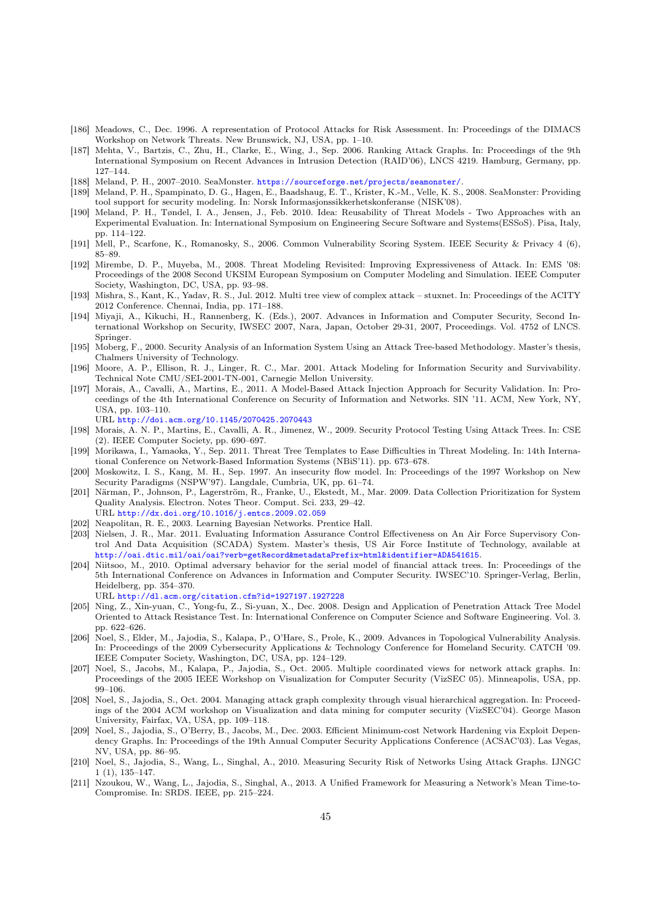- <span id="page-44-10"></span>[186] Meadows, C., Dec. 1996. A representation of Protocol Attacks for Risk Assessment. In: Proceedings of the DIMACS Workshop on Network Threats. New Brunswick, NJ, USA, pp. 1–10.
- <span id="page-44-21"></span>[187] Mehta, V., Bartzis, C., Zhu, H., Clarke, E., Wing, J., Sep. 2006. Ranking Attack Graphs. In: Proceedings of the 9th International Symposium on Recent Advances in Intrusion Detection (RAID'06), LNCS 4219. Hamburg, Germany, pp. 127–144.
- <span id="page-44-1"></span>[188] Meland, P. H., 2007–2010. SeaMonster. <https://sourceforge.net/projects/seamonster/>.
- <span id="page-44-18"></span>[189] Meland, P. H., Spampinato, D. G., Hagen, E., Baadshaug, E. T., Krister, K.-M., Velle, K. S., 2008. SeaMonster: Providing tool support for security modeling. In: Norsk Informasjonssikkerhetskonferanse (NISK'08).
- <span id="page-44-24"></span>[190] Meland, P. H., Tøndel, I. A., Jensen, J., Feb. 2010. Idea: Reusability of Threat Models - Two Approaches with an Experimental Evaluation. In: International Symposium on Engineering Secure Software and Systems(ESSoS). Pisa, Italy, pp. 114–122.
- <span id="page-44-16"></span>[191] Mell, P., Scarfone, K., Romanosky, S., 2006. Common Vulnerability Scoring System. IEEE Security & Privacy 4 (6), 85–89.
- <span id="page-44-8"></span>[192] Mirembe, D. P., Muyeba, M., 2008. Threat Modeling Revisited: Improving Expressiveness of Attack. In: EMS '08: Proceedings of the 2008 Second UKSIM European Symposium on Computer Modeling and Simulation. IEEE Computer Society, Washington, DC, USA, pp. 93–98.
- <span id="page-44-17"></span>[193] Mishra, S., Kant, K., Yadav, R. S., Jul. 2012. Multi tree view of complex attack – stuxnet. In: Proceedings of the ACITY 2012 Conference. Chennai, India, pp. 171–188.
- <span id="page-44-25"></span>[194] Miyaji, A., Kikuchi, H., Rannenberg, K. (Eds.), 2007. Advances in Information and Computer Security, Second International Workshop on Security, IWSEC 2007, Nara, Japan, October 29-31, 2007, Proceedings. Vol. 4752 of LNCS. Springer.
- <span id="page-44-5"></span>[195] Moberg, F., 2000. Security Analysis of an Information System Using an Attack Tree-based Methodology. Master's thesis, Chalmers University of Technology.
- <span id="page-44-0"></span>[196] Moore, A. P., Ellison, R. J., Linger, R. C., Mar. 2001. Attack Modeling for Information Security and Survivability. Technical Note CMU/SEI-2001-TN-001, Carnegie Mellon University.
- <span id="page-44-4"></span>[197] Morais, A., Cavalli, A., Martins, E., 2011. A Model-Based Attack Injection Approach for Security Validation. In: Proceedings of the 4th International Conference on Security of Information and Networks. SIN '11. ACM, New York, NY, USA, pp. 103–110. URL <http://doi.acm.org/10.1145/2070425.2070443>
- <span id="page-44-3"></span>[198] Morais, A. N. P., Martins, E., Cavalli, A. R., Jimenez, W., 2009. Security Protocol Testing Using Attack Trees. In: CSE (2). IEEE Computer Society, pp. 690–697.
- <span id="page-44-7"></span>[199] Morikawa, I., Yamaoka, Y., Sep. 2011. Threat Tree Templates to Ease Difficulties in Threat Modeling. In: 14th International Conference on Network-Based Information Systems (NBiS'11). pp. 673–678.
- <span id="page-44-19"></span>[200] Moskowitz, I. S., Kang, M. H., Sep. 1997. An insecurity flow model. In: Proceedings of the 1997 Workshop on New Security Paradigms (NSPW'97). Langdale, Cumbria, UK, pp. 61–74.
- <span id="page-44-12"></span>[201] Närman, P., Johnson, P., Lagerström, R., Franke, U., Ekstedt, M., Mar. 2009. Data Collection Prioritization for System Quality Analysis. Electron. Notes Theor. Comput. Sci. 233, 29–42.
- URL <http://dx.doi.org/10.1016/j.entcs.2009.02.059>
- <span id="page-44-11"></span>[202] Neapolitan, R. E., 2003. Learning Bayesian Networks. Prentice Hall.
- <span id="page-44-6"></span>[203] Nielsen, J. R., Mar. 2011. Evaluating Information Assurance Control Effectiveness on An Air Force Supervisory Control And Data Acquisition (SCADA) System. Master's thesis, US Air Force Institute of Technology, available at [http://oai.dtic.mil/oai/oai?verb=getRecord&metadataPrefix=html&identifier=ADA541615]( http://oai.dtic.mil/oai/oai?verb=getRecord&metadataPrefix=html&identifier=ADA541615).
- <span id="page-44-9"></span>[204] Niitsoo, M., 2010. Optimal adversary behavior for the serial model of financial attack trees. In: Proceedings of the 5th International Conference on Advances in Information and Computer Security. IWSEC'10. Springer-Verlag, Berlin, Heidelberg, pp. 354–370. URL <http://dl.acm.org/citation.cfm?id=1927197.1927228>
- <span id="page-44-2"></span>[205] Ning, Z., Xin-yuan, C., Yong-fu, Z., Si-yuan, X., Dec. 2008. Design and Application of Penetration Attack Tree Model Oriented to Attack Resistance Test. In: International Conference on Computer Science and Software Engineering. Vol. 3. pp. 622–626.
- <span id="page-44-14"></span>[206] Noel, S., Elder, M., Jajodia, S., Kalapa, P., O'Hare, S., Prole, K., 2009. Advances in Topological Vulnerability Analysis. In: Proceedings of the 2009 Cybersecurity Applications & Technology Conference for Homeland Security. CATCH '09. IEEE Computer Society, Washington, DC, USA, pp. 124–129.
- <span id="page-44-23"></span>[207] Noel, S., Jacobs, M., Kalapa, P., Jajodia, S., Oct. 2005. Multiple coordinated views for network attack graphs. In: Proceedings of the 2005 IEEE Workshop on Visualization for Computer Security (VizSEC 05). Minneapolis, USA, pp. 99–106.
- <span id="page-44-22"></span>[208] Noel, S., Jajodia, S., Oct. 2004. Managing attack graph complexity through visual hierarchical aggregation. In: Proceedings of the 2004 ACM workshop on Visualization and data mining for computer security (VizSEC'04). George Mason University, Fairfax, VA, USA, pp. 109–118.
- <span id="page-44-20"></span>[209] Noel, S., Jajodia, S., O'Berry, B., Jacobs, M., Dec. 2003. Efficient Minimum-cost Network Hardening via Exploit Dependency Graphs. In: Proceedings of the 19th Annual Computer Security Applications Conference (ACSAC'03). Las Vegas, NV, USA, pp. 86–95.
- <span id="page-44-13"></span>[210] Noel, S., Jajodia, S., Wang, L., Singhal, A., 2010. Measuring Security Risk of Networks Using Attack Graphs. IJNGC 1 (1), 135–147.
- <span id="page-44-15"></span>[211] Nzoukou, W., Wang, L., Jajodia, S., Singhal, A., 2013. A Unified Framework for Measuring a Network's Mean Time-to-Compromise. In: SRDS. IEEE, pp. 215–224.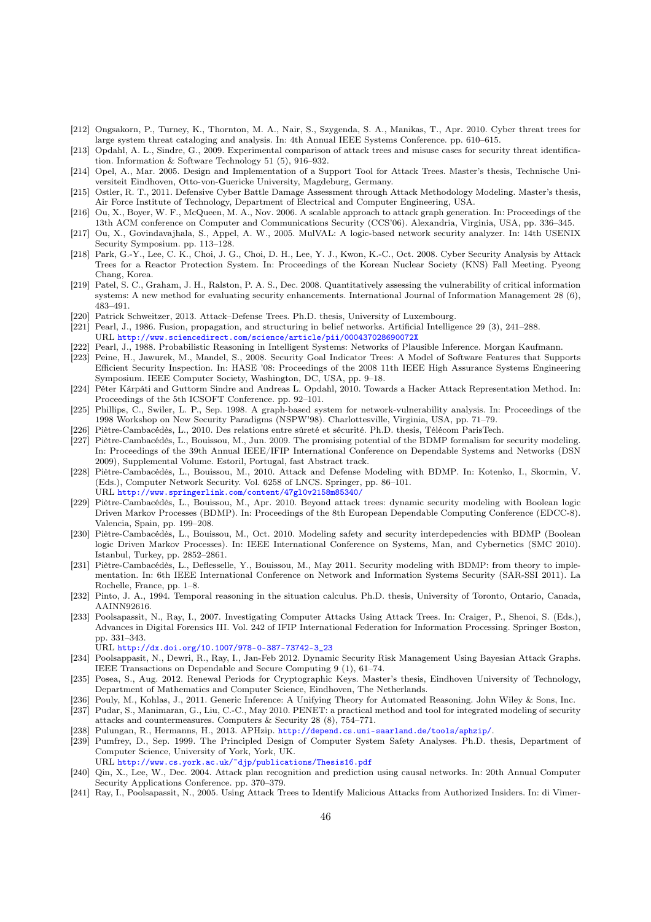- <span id="page-45-1"></span>[212] Ongsakorn, P., Turney, K., Thornton, M. A., Nair, S., Szygenda, S. A., Manikas, T., Apr. 2010. Cyber threat trees for large system threat cataloging and analysis. In: 4th Annual IEEE Systems Conference. pp. 610–615.
- <span id="page-45-28"></span>[213] Opdahl, A. L., Sindre, G., 2009. Experimental comparison of attack trees and misuse cases for security threat identification. Information & Software Technology 51 (5), 916–932.
- <span id="page-45-5"></span>[214] Opel, A., Mar. 2005. Design and Implementation of a Support Tool for Attack Trees. Master's thesis, Technische Universiteit Eindhoven, Otto-von-Guericke University, Magdeburg, Germany.
- <span id="page-45-7"></span>[215] Ostler, R. T., 2011. Defensive Cyber Battle Damage Assessment through Attack Methodology Modeling. Master's thesis, Air Force Institute of Technology, Department of Electrical and Computer Engineering, USA.
- <span id="page-45-26"></span>[216] Ou, X., Boyer, W. F., McQueen, M. A., Nov. 2006. A scalable approach to attack graph generation. In: Proceedings of the 13th ACM conference on Computer and Communications Security (CCS'06). Alexandria, Virginia, USA, pp. 336–345.
- <span id="page-45-16"></span>[217] Ou, X., Govindavajhala, S., Appel, A. W., 2005. MulVAL: A logic-based network security analyzer. In: 14th USENIX Security Symposium. pp. 113–128.
- <span id="page-45-3"></span>[218] Park, G.-Y., Lee, C. K., Choi, J. G., Choi, D. H., Lee, Y. J., Kwon, K.-C., Oct. 2008. Cyber Security Analysis by Attack Trees for a Reactor Protection System. In: Proceedings of the Korean Nuclear Society (KNS) Fall Meeting. Pyeong Chang, Korea.
- <span id="page-45-10"></span>[219] Patel, S. C., Graham, J. H., Ralston, P. A. S., Dec. 2008. Quantitatively assessing the vulnerability of critical information systems: A new method for evaluating security enhancements. International Journal of Information Management 28 (6), 483–491.
- <span id="page-45-9"></span>[220] Patrick Schweitzer, 2013. Attack–Defense Trees. Ph.D. thesis, University of Luxembourg.
- <span id="page-45-13"></span>[221] Pearl, J., 1986. Fusion, propagation, and structuring in belief networks. Artificial Intelligence 29 (3), 241–288. URL <http://www.sciencedirect.com/science/article/pii/000437028690072X>
- <span id="page-45-14"></span>[222] Pearl, J., 1988. Probabilistic Reasoning in Intelligent Systems: Networks of Plausible Inference. Morgan Kaufmann.
- <span id="page-45-18"></span>[223] Peine, H., Jawurek, M., Mandel, S., 2008. Security Goal Indicator Trees: A Model of Software Features that Supports Efficient Security Inspection. In: HASE '08: Proceedings of the 2008 11th IEEE High Assurance Systems Engineering Symposium. IEEE Computer Society, Washington, DC, USA, pp. 9–18.
- <span id="page-45-29"></span>[224] Péter Kárpáti and Guttorm Sindre and Andreas L. Opdahl, 2010. Towards a Hacker Attack Representation Method. In: Proceedings of the 5th ICSOFT Conference. pp. 92–101.
- <span id="page-45-25"></span>[225] Phillips, C., Swiler, L. P., Sep. 1998. A graph-based system for network-vulnerability analysis. In: Proceedings of the 1998 Workshop on New Security Paradigms (NSPW'98). Charlottesville, Virginia, USA, pp. 71–79.
- <span id="page-45-6"></span>[226] Piètre-Cambacédès, L., 2010. Des relations entre sûreté et sécurité. Ph.D. thesis, Télécom ParisTech.
- <span id="page-45-23"></span>[227] Piètre-Cambacédès, L., Bouissou, M., Jun. 2009. The promising potential of the BDMP formalism for security modeling. In: Proceedings of the 39th Annual IEEE/IFIP International Conference on Dependable Systems and Networks (DSN 2009), Supplemental Volume. Estoril, Portugal, fast Abstract track.
- <span id="page-45-20"></span>[228] Piètre-Cambacédès, L., Bouissou, M., 2010. Attack and Defense Modeling with BDMP. In: Kotenko, I., Skormin, V. (Eds.), Computer Network Security. Vol. 6258 of LNCS. Springer, pp. 86–101. URL <http://www.springerlink.com/content/47gl0v2158m85340/>
- <span id="page-45-19"></span>[229] Piètre-Cambacédès, L., Bouissou, M., Apr. 2010. Beyond attack trees: dynamic security modeling with Boolean logic Driven Markov Processes (BDMP). In: Proceedings of the 8th European Dependable Computing Conference (EDCC-8). Valencia, Spain, pp. 199–208.
- <span id="page-45-22"></span>[230] Piètre-Cambacédès, L., Bouissou, M., Oct. 2010. Modeling safety and security interdepedencies with BDMP (Boolean logic Driven Markov Processes). In: IEEE International Conference on Systems, Man, and Cybernetics (SMC 2010). Istanbul, Turkey, pp. 2852–2861.
- <span id="page-45-21"></span>[231] Piètre-Cambacédès, L., Deflesselle, Y., Bouissou, M., May 2011. Security modeling with BDMP: from theory to implementation. In: 6th IEEE International Conference on Network and Information Systems Security (SAR-SSI 2011). La Rochelle, France, pp. 1–8.
- <span id="page-45-27"></span>[232] Pinto, J. A., 1994. Temporal reasoning in the situation calculus. Ph.D. thesis, University of Toronto, Ontario, Canada, AAINN92616.
- <span id="page-45-12"></span>[233] Poolsapassit, N., Ray, I., 2007. Investigating Computer Attacks Using Attack Trees. In: Craiger, P., Shenoi, S. (Eds.), Advances in Digital Forensics III. Vol. 242 of IFIP International Federation for Information Processing. Springer Boston, pp. 331–343.

URL [http://dx.doi.org/10.1007/978-0-387-73742-3\\_23](http://dx.doi.org/10.1007/978-0-387-73742-3_23)

- <span id="page-45-0"></span>[234] Poolsappasit, N., Dewri, R., Ray, I., Jan-Feb 2012. Dynamic Security Risk Management Using Bayesian Attack Graphs. IEEE Transactions on Dependable and Secure Computing 9 (1), 61–74.
- <span id="page-45-8"></span>[235] Posea, S., Aug. 2012. Renewal Periods for Cryptographic Keys. Master's thesis, Eindhoven University of Technology, Department of Mathematics and Computer Science, Eindhoven, The Netherlands.
- <span id="page-45-15"></span>[236] Pouly, M., Kohlas, J., 2011. Generic Inference: A Unifying Theory for Automated Reasoning. John Wiley & Sons, Inc.
- <span id="page-45-24"></span>[237] Pudar, S., Manimaran, G., Liu, C.-C., May 2010. PENET: a practical method and tool for integrated modeling of security attacks and countermeasures. Computers & Security 28 (8), 754–771.
- <span id="page-45-17"></span>[238] Pulungan, R., Hermanns, H., 2013. APHzip. <http://depend.cs.uni-saarland.de/tools/aphzip/>.
- <span id="page-45-4"></span>[239] Pumfrey, D., Sep. 1999. The Principled Design of Computer System Safety Analyses. Ph.D. thesis, Department of Computer Science, University of York, York, UK.
- <span id="page-45-2"></span>URL <http://www.cs.york.ac.uk/~djp/publications/Thesis16.pdf> [240] Qin, X., Lee, W., Dec. 2004. Attack plan recognition and prediction using causal networks. In: 20th Annual Computer Security Applications Conference. pp. 370–379.
- <span id="page-45-11"></span>[241] Ray, I., Poolsapassit, N., 2005. Using Attack Trees to Identify Malicious Attacks from Authorized Insiders. In: di Vimer-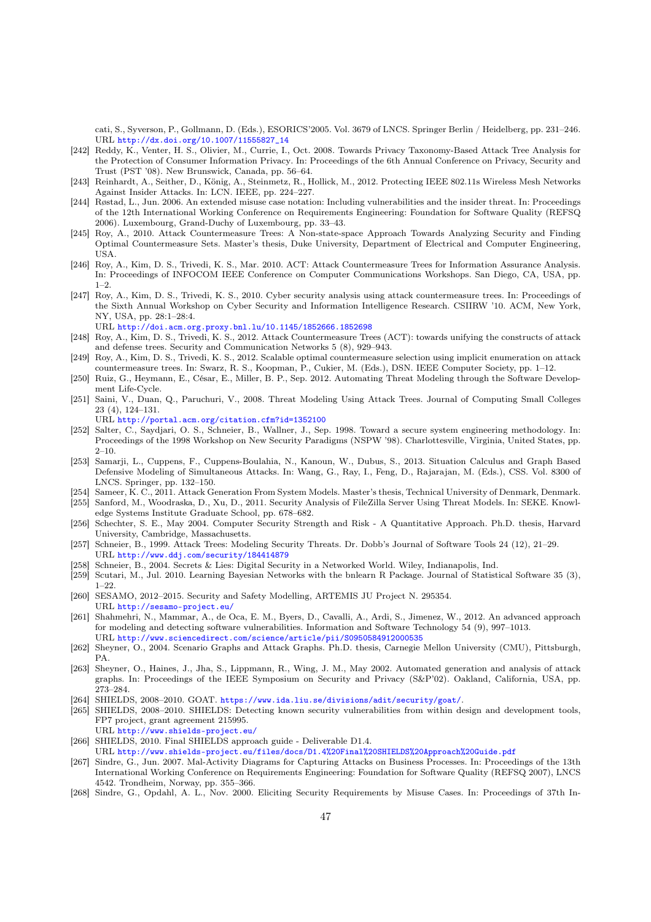cati, S., Syverson, P., Gollmann, D. (Eds.), ESORICS'2005. Vol. 3679 of LNCS. Springer Berlin / Heidelberg, pp. 231–246. URL [http://dx.doi.org/10.1007/11555827\\_14](http://dx.doi.org/10.1007/11555827_14)

- <span id="page-46-2"></span>[242] Reddy, K., Venter, H. S., Olivier, M., Currie, I., Oct. 2008. Towards Privacy Taxonomy-Based Attack Tree Analysis for the Protection of Consumer Information Privacy. In: Proceedings of the 6th Annual Conference on Privacy, Security and Trust (PST '08). New Brunswick, Canada, pp. 56–64.
- <span id="page-46-7"></span>[243] Reinhardt, A., Seither, D., König, A., Steinmetz, R., Hollick, M., 2012. Protecting IEEE 802.11s Wireless Mesh Networks Against Insider Attacks. In: LCN. IEEE, pp. 224–227.
- <span id="page-46-24"></span>[244] Røstad, L., Jun. 2006. An extended misuse case notation: Including vulnerabilities and the insider threat. In: Proceedings of the 12th International Working Conference on Requirements Engineering: Foundation for Software Quality (REFSQ 2006). Luxembourg, Grand-Duchy of Luxembourg, pp. 33–43.
- <span id="page-46-11"></span>[245] Roy, A., 2010. Attack Countermeasure Trees: A Non-state-space Approach Towards Analyzing Security and Finding Optimal Countermeasure Sets. Master's thesis, Duke University, Department of Electrical and Computer Engineering, USA.
- <span id="page-46-16"></span>[246] Roy, A., Kim, D. S., Trivedi, K. S., Mar. 2010. ACT: Attack Countermeasure Trees for Information Assurance Analysis. In: Proceedings of INFOCOM IEEE Conference on Computer Communications Workshops. San Diego, CA, USA, pp.  $1-2.$
- <span id="page-46-17"></span>[247] Roy, A., Kim, D. S., Trivedi, K. S., 2010. Cyber security analysis using attack countermeasure trees. In: Proceedings of the Sixth Annual Workshop on Cyber Security and Information Intelligence Research. CSIIRW '10. ACM, New York, NY, USA, pp. 28:1–28:4.
- URL <http://doi.acm.org.proxy.bnl.lu/10.1145/1852666.1852698>
- <span id="page-46-8"></span>[248] Roy, A., Kim, D. S., Trivedi, K. S., 2012. Attack Countermeasure Trees (ACT): towards unifying the constructs of attack and defense trees. Security and Communication Networks 5 (8), 929–943.
- <span id="page-46-18"></span>[249] Roy, A., Kim, D. S., Trivedi, K. S., 2012. Scalable optimal countermeasure selection using implicit enumeration on attack countermeasure trees. In: Swarz, R. S., Koopman, P., Cukier, M. (Eds.), DSN. IEEE Computer Society, pp. 1–12.
- <span id="page-46-15"></span>[250] Ruiz, G., Heymann, E., César, E., Miller, B. P., Sep. 2012. Automating Threat Modeling through the Software Development Life-Cycle.
- <span id="page-46-6"></span>[251] Saini, V., Duan, Q., Paruchuri, V., 2008. Threat Modeling Using Attack Trees. Journal of Computing Small Colleges 23 (4), 124–131.
- URL <http://portal.acm.org/citation.cfm?id=1352100>
- <span id="page-46-3"></span>[252] Salter, C., Saydjari, O. S., Schneier, B., Wallner, J., Sep. 1998. Toward a secure system engineering methodology. In: Proceedings of the 1998 Workshop on New Security Paradigms (NSPW '98). Charlottesville, Virginia, United States, pp. 2–10.
- <span id="page-46-22"></span>[253] Samarji, L., Cuppens, F., Cuppens-Boulahia, N., Kanoun, W., Dubus, S., 2013. Situation Calculus and Graph Based Defensive Modeling of Simultaneous Attacks. In: Wang, G., Ray, I., Feng, D., Rajarajan, M. (Eds.), CSS. Vol. 8300 of LNCS. Springer, pp. 132–150.
- <span id="page-46-12"></span>[254] Sameer, K. C., 2011. Attack Generation From System Models. Master's thesis, Technical University of Denmark, Denmark.
- <span id="page-46-9"></span>[255] Sanford, M., Woodraska, D., Xu, D., 2011. Security Analysis of FileZilla Server Using Threat Models. In: SEKE. Knowledge Systems Institute Graduate School, pp. 678–682.
- <span id="page-46-10"></span>[256] Schechter, S. E., May 2004. Computer Security Strength and Risk - A Quantitative Approach. Ph.D. thesis, Harvard University, Cambridge, Massachusetts.
- <span id="page-46-4"></span>[257] Schneier, B., 1999. Attack Trees: Modeling Security Threats. Dr. Dobb's Journal of Software Tools 24 (12), 21–29. URL <http://www.ddj.com/security/184414879>
- <span id="page-46-5"></span>[258] Schneier, B., 2004. Secrets & Lies: Digital Security in a Networked World. Wiley, Indianapolis, Ind.
- <span id="page-46-13"></span>[259] Scutari, M., Jul. 2010. Learning Bayesian Networks with the bnlearn R Package. Journal of Statistical Software 35 (3),  $1 - 22$
- <span id="page-46-1"></span>[260] SESAMO, 2012–2015. Security and Safety Modelling, ARTEMIS JU Project N. 295354. URL <http://sesamo-project.eu/>
- <span id="page-46-19"></span>[261] Shahmehri, N., Mammar, A., de Oca, E. M., Byers, D., Cavalli, A., Ardi, S., Jimenez, W., 2012. An advanced approach for modeling and detecting software vulnerabilities. Information and Software Technology 54 (9), 997–1013. URL <http://www.sciencedirect.com/science/article/pii/S0950584912000535>
- <span id="page-46-21"></span>[262] Sheyner, O., 2004. Scenario Graphs and Attack Graphs. Ph.D. thesis, Carnegie Mellon University (CMU), Pittsburgh, PA.
- <span id="page-46-20"></span>[263] Sheyner, O., Haines, J., Jha, S., Lippmann, R., Wing, J. M., May 2002. Automated generation and analysis of attack graphs. In: Proceedings of the IEEE Symposium on Security and Privacy (S&P'02). Oakland, California, USA, pp. 273–284.
- <span id="page-46-14"></span>[264] SHIELDS, 2008–2010. GOAT. <https://www.ida.liu.se/divisions/adit/security/goat/>.
- <span id="page-46-0"></span>[265] SHIELDS, 2008–2010. SHIELDS: Detecting known security vulnerabilities from within design and development tools, FP7 project, grant agreement 215995.
- URL <http://www.shields-project.eu/> [266] SHIELDS, 2010. Final SHIELDS approach guide - Deliverable D1.4.
- <span id="page-46-26"></span>URL <http://www.shields-project.eu/files/docs/D1.4%20Final%20SHIELDS%20Approach%20Guide.pdf>
- <span id="page-46-25"></span>[267] Sindre, G., Jun. 2007. Mal-Activity Diagrams for Capturing Attacks on Business Processes. In: Proceedings of the 13th International Working Conference on Requirements Engineering: Foundation for Software Quality (REFSQ 2007), LNCS 4542. Trondheim, Norway, pp. 355–366.
- <span id="page-46-23"></span>[268] Sindre, G., Opdahl, A. L., Nov. 2000. Eliciting Security Requirements by Misuse Cases. In: Proceedings of 37th In-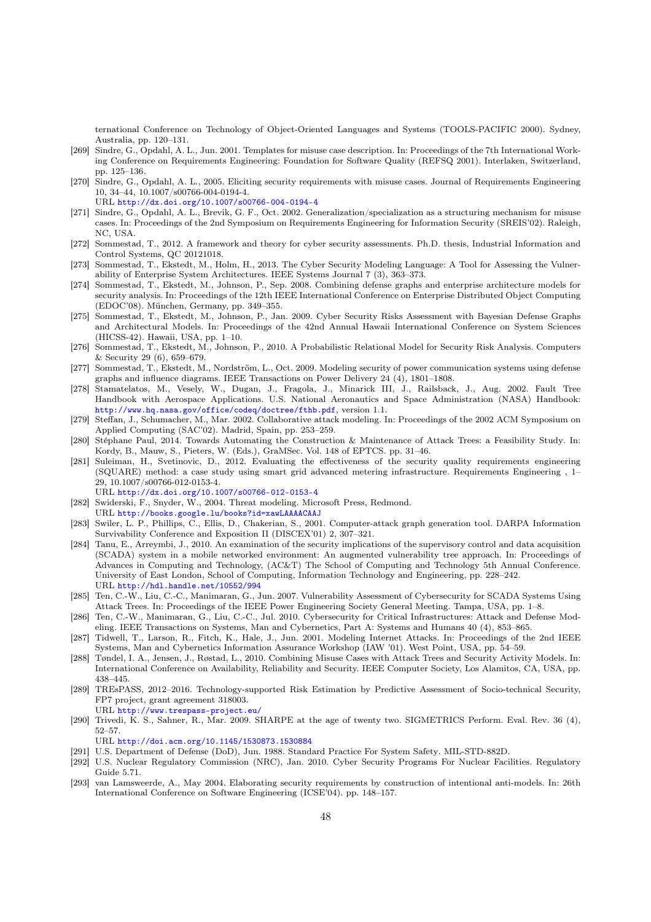ternational Conference on Technology of Object-Oriented Languages and Systems (TOOLS-PACIFIC 2000). Sydney, Australia, pp. 120–131.

- <span id="page-47-21"></span>[269] Sindre, G., Opdahl, A. L., Jun. 2001. Templates for misuse case description. In: Proceedings of the 7th International Working Conference on Requirements Engineering: Foundation for Software Quality (REFSQ 2001). Interlaken, Switzerland, pp. 125–136.
- <span id="page-47-23"></span>[270] Sindre, G., Opdahl, A. L., 2005. Eliciting security requirements with misuse cases. Journal of Requirements Engineering 10, 34–44, 10.1007/s00766-004-0194-4.

URL <http://dx.doi.org/10.1007/s00766-004-0194-4>

- <span id="page-47-22"></span>[271] Sindre, G., Opdahl, A. L., Brevik, G. F., Oct. 2002. Generalization/specialization as a structuring mechanism for misuse cases. In: Proceedings of the 2nd Symposium on Requirements Engineering for Information Security (SREIS'02). Raleigh, NC, USA.
- <span id="page-47-19"></span>[272] Sommestad, T., 2012. A framework and theory for cyber security assessments. Ph.D. thesis, Industrial Information and Control Systems, QC 20121018.
- <span id="page-47-18"></span>[273] Sommestad, T., Ekstedt, M., Holm, H., 2013. The Cyber Security Modeling Language: A Tool for Assessing the Vulnerability of Enterprise System Architectures. IEEE Systems Journal 7 (3), 363–373.
- <span id="page-47-15"></span>[274] Sommestad, T., Ekstedt, M., Johnson, P., Sep. 2008. Combining defense graphs and enterprise architecture models for security analysis. In: Proceedings of the 12th IEEE International Conference on Enterprise Distributed Object Computing (EDOC'08). München, Germany, pp. 349–355.
- <span id="page-47-16"></span>[275] Sommestad, T., Ekstedt, M., Johnson, P., Jan. 2009. Cyber Security Risks Assessment with Bayesian Defense Graphs and Architectural Models. In: Proceedings of the 42nd Annual Hawaii International Conference on System Sciences (HICSS-42). Hawaii, USA, pp. 1–10.
- <span id="page-47-17"></span>[276] Sommestad, T., Ekstedt, M., Johnson, P., 2010. A Probabilistic Relational Model for Security Risk Analysis. Computers & Security 29 (6), 659–679.
- <span id="page-47-12"></span>[277] Sommestad, T., Ekstedt, M., Nordström, L., Oct. 2009. Modeling security of power communication systems using defense graphs and influence diagrams. IEEE Transactions on Power Delivery 24 (4), 1801–1808.
- <span id="page-47-13"></span>[278] Stamatelatos, M., Vesely, W., Dugan, J., Fragola, J., Minarick III, J., Railsback, J., Aug. 2002. Fault Tree Handbook with Aerospace Applications. U.S. National Aeronautics and Space Administration (NASA) Handbook: <http://www.hq.nasa.gov/office/codeq/doctree/fthb.pdf>, version 1.1.
- <span id="page-47-6"></span>[279] Steffan, J., Schumacher, M., Mar. 2002. Collaborative attack modeling. In: Proceedings of the 2002 ACM Symposium on Applied Computing (SAC'02). Madrid, Spain, pp. 253–259.
- <span id="page-47-7"></span>[280] Stéphane Paul, 2014. Towards Automating the Construction & Maintenance of Attack Trees: a Feasibility Study. In: Kordy, B., Mauw, S., Pieters, W. (Eds.), GraMSec. Vol. 148 of EPTCS. pp. 31–46.
- <span id="page-47-9"></span>[281] Suleiman, H., Svetinovic, D., 2012. Evaluating the effectiveness of the security quality requirements engineering (SQUARE) method: a case study using smart grid advanced metering infrastructure. Requirements Engineering , 1– 29, 10.1007/s00766-012-0153-4.
	- URL <http://dx.doi.org/10.1007/s00766-012-0153-4>
- <span id="page-47-4"></span>[282] Swiderski, F., Snyder, W., 2004. Threat modeling. Microsoft Press, Redmond. URL <http://books.google.lu/books?id=xawLAAAACAAJ>
- <span id="page-47-20"></span>[283] Swiler, L. P., Phillips, C., Ellis, D., Chakerian, S., 2001. Computer-attack graph generation tool. DARPA Information Survivability Conference and Exposition II (DISCEX'01) 2, 307–321.
- <span id="page-47-2"></span>[284] Tanu, E., Arreymbi, J., 2010. An examination of the security implications of the supervisory control and data acquisition (SCADA) system in a mobile networked environment: An augmented vulnerability tree approach. In: Proceedings of Advances in Computing and Technology, (AC&T) The School of Computing and Technology 5th Annual Conference. University of East London, School of Computing, Information Technology and Engineering, pp. 228–242. URL <http://hdl.handle.net/10552/994>
- <span id="page-47-1"></span>[285] Ten, C.-W., Liu, C.-C., Manimaran, G., Jun. 2007. Vulnerability Assessment of Cybersecurity for SCADA Systems Using Attack Trees. In: Proceedings of the IEEE Power Engineering Society General Meeting. Tampa, USA, pp. 1–8.
- <span id="page-47-8"></span>[286] Ten, C.-W., Manimaran, G., Liu, C.-C., Jul. 2010. Cybersecurity for Critical Infrastructures: Attack and Defense Modeling. IEEE Transactions on Systems, Man and Cybernetics, Part A: Systems and Humans 40 (4), 853–865.
- <span id="page-47-3"></span>[287] Tidwell, T., Larson, R., Fitch, K., Hale, J., Jun. 2001. Modeling Internet Attacks. In: Proceedings of the 2nd IEEE Systems, Man and Cybernetics Information Assurance Workshop (IAW '01). West Point, USA, pp. 54–59.
- <span id="page-47-24"></span>[288] Tøndel, I. A., Jensen, J., Røstad, L., 2010. Combining Misuse Cases with Attack Trees and Security Activity Models. In: International Conference on Availability, Reliability and Security. IEEE Computer Society, Los Alamitos, CA, USA, pp. 438–445.
- <span id="page-47-0"></span>[289] TREsPASS, 2012–2016. Technology-supported Risk Estimation by Predictive Assessment of Socio-technical Security, FP7 project, grant agreement 318003. URL <http://www.trespass-project.eu/>
- <span id="page-47-14"></span>[290] Trivedi, K. S., Sahner, R., Mar. 2009. SHARPE at the age of twenty two. SIGMETRICS Perform. Eval. Rev. 36 (4), 52–57.

URL <http://doi.acm.org/10.1145/1530873.1530884>

- <span id="page-47-5"></span>[291] U.S. Department of Defense (DoD), Jun. 1988. Standard Practice For System Safety. MIL-STD-882D.
- <span id="page-47-10"></span>[292] U.S. Nuclear Regulatory Commission (NRC), Jan. 2010. Cyber Security Programs For Nuclear Facilities. Regulatory Guide 5.71.
- <span id="page-47-11"></span>[293] van Lamsweerde, A., May 2004. Elaborating security requirements by construction of intentional anti-models. In: 26th International Conference on Software Engineering (ICSE'04). pp. 148–157.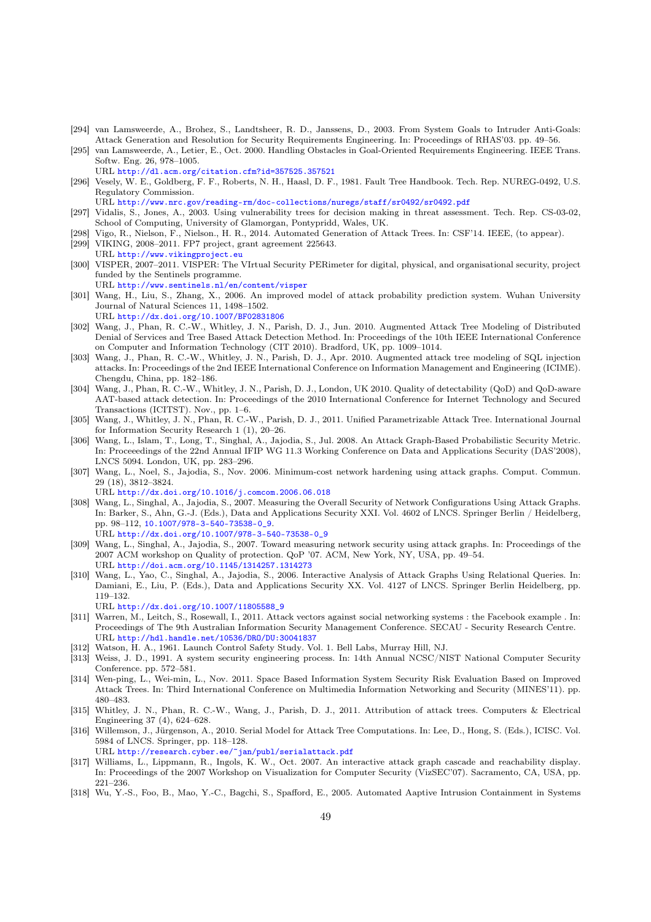- <span id="page-48-16"></span>[294] van Lamsweerde, A., Brohez, S., Landtsheer, R. D., Janssens, D., 2003. From System Goals to Intruder Anti-Goals: Attack Generation and Resolution for Security Requirements Engineering. In: Proceedings of RHAS'03. pp. 49–56.
- <span id="page-48-17"></span>[295] van Lamsweerde, A., Letier, E., Oct. 2000. Handling Obstacles in Goal-Oriented Requirements Engineering. IEEE Trans. Softw. Eng. 26, 978–1005. URL <http://dl.acm.org/citation.cfm?id=357525.357521>
- <span id="page-48-2"></span>[296] Vesely, W. E., Goldberg, F. F., Roberts, N. H., Haasl, D. F., 1981. Fault Tree Handbook. Tech. Rep. NUREG-0492, U.S. Regulatory Commission.

URL <http://www.nrc.gov/reading-rm/doc-collections/nuregs/staff/sr0492/sr0492.pdf>

- <span id="page-48-7"></span>[297] Vidalis, S., Jones, A., 2003. Using vulnerability trees for decision making in threat assessment. Tech. Rep. CS-03-02, School of Computing, University of Glamorgan, Pontypridd, Wales, UK.
- <span id="page-48-3"></span>[298] Vigo, R., Nielson, F., Nielson., H. R., 2014. Automated Generation of Attack Trees. In: CSF'14. IEEE, (to appear).
- <span id="page-48-19"></span>[299] VIKING, 2008–2011. FP7 project, grant agreement 225643. URL <http://www.vikingproject.eu>
- <span id="page-48-0"></span>[300] VISPER, 2007–2011. VISPER: The VIrtual Security PERimeter for digital, physical, and organisational security, project funded by the Sentinels programme. URL <http://www.sentinels.nl/en/content/visper>
- <span id="page-48-8"></span>[301] Wang, H., Liu, S., Zhang, X., 2006. An improved model of attack probability prediction system. Wuhan University Journal of Natural Sciences 11, 1498–1502. URL <http://dx.doi.org/10.1007/BF02831806>
- <span id="page-48-10"></span>[302] Wang, J., Phan, R. C.-W., Whitley, J. N., Parish, D. J., Jun. 2010. Augmented Attack Tree Modeling of Distributed Denial of Services and Tree Based Attack Detection Method. In: Proceedings of the 10th IEEE International Conference on Computer and Information Technology (CIT 2010). Bradford, UK, pp. 1009–1014.
- <span id="page-48-9"></span>[303] Wang, J., Phan, R. C.-W., Whitley, J. N., Parish, D. J., Apr. 2010. Augmented attack tree modeling of SQL injection attacks. In: Proceedings of the 2nd IEEE International Conference on Information Management and Engineering (ICIME). Chengdu, China, pp. 182–186.
- <span id="page-48-11"></span>[304] Wang, J., Phan, R. C.-W., Whitley, J. N., Parish, D. J., London, UK 2010. Quality of detectability (QoD) and QoD-aware AAT-based attack detection. In: Proceedings of the 2010 International Conference for Internet Technology and Secured Transactions (ICITST). Nov., pp. 1–6.
- <span id="page-48-5"></span>[305] Wang, J., Whitley, J. N., Phan, R. C.-W., Parish, D. J., 2011. Unified Parametrizable Attack Tree. International Journal for Information Security Research 1 (1), 20–26.
- <span id="page-48-14"></span>[306] Wang, L., Islam, T., Long, T., Singhal, A., Jajodia, S., Jul. 2008. An Attack Graph-Based Probabilistic Security Metric. In: Proceeedings of the 22nd Annual IFIP WG 11.3 Working Conference on Data and Applications Security (DAS'2008), LNCS 5094. London, UK, pp. 283–296.
- <span id="page-48-22"></span>[307] Wang, L., Noel, S., Jajodia, S., Nov. 2006. Minimum-cost network hardening using attack graphs. Comput. Commun. 29 (18), 3812–3824.

URL <http://dx.doi.org/10.1016/j.comcom.2006.06.018>

- <span id="page-48-23"></span>[308] Wang, L., Singhal, A., Jajodia, S., 2007. Measuring the Overall Security of Network Configurations Using Attack Graphs. In: Barker, S., Ahn, G.-J. (Eds.), Data and Applications Security XXI. Vol. 4602 of LNCS. Springer Berlin / Heidelberg, pp. 98–112, [10.1007/978-3-540-73538-0\\_9](10.1007/978-3-540-73538-0_9). URL [http://dx.doi.org/10.1007/978-3-540-73538-0\\_9](http://dx.doi.org/10.1007/978-3-540-73538-0_9)
- <span id="page-48-24"></span>[309] Wang, L., Singhal, A., Jajodia, S., 2007. Toward measuring network security using attack graphs. In: Proceedings of the 2007 ACM workshop on Quality of protection. QoP '07. ACM, New York, NY, USA, pp. 49–54. URL <http://doi.acm.org/10.1145/1314257.1314273>
- <span id="page-48-20"></span>[310] Wang, L., Yao, C., Singhal, A., Jajodia, S., 2006. Interactive Analysis of Attack Graphs Using Relational Queries. In: Damiani, E., Liu, P. (Eds.), Data and Applications Security XX. Vol. 4127 of LNCS. Springer Berlin Heidelberg, pp. 119–132. URL [http://dx.doi.org/10.1007/11805588\\_9](http://dx.doi.org/10.1007/11805588_9)
- <span id="page-48-6"></span>[311] Warren, M., Leitch, S., Rosewall, I., 2011. Attack vectors against social networking systems : the Facebook example . In: Proceedings of The 9th Australian Information Security Management Conference. SECAU - Security Research Centre. URL <http://hdl.handle.net/10536/DRO/DU:30041837>
- <span id="page-48-13"></span>[312] Watson, H. A., 1961. Launch Control Safety Study. Vol. 1. Bell Labs, Murray Hill, NJ.
- <span id="page-48-1"></span>[313] Weiss, J. D., 1991. A system security engineering process. In: 14th Annual NCSC/NIST National Computer Security Conference. pp. 572–581.
- <span id="page-48-15"></span>[314] Wen-ping, L., Wei-min, L., Nov. 2011. Space Based Information System Security Risk Evaluation Based on Improved Attack Trees. In: Third International Conference on Multimedia Information Networking and Security (MINES'11). pp. 480–483.
- <span id="page-48-4"></span>[315] Whitley, J. N., Phan, R. C.-W., Wang, J., Parish, D. J., 2011. Attribution of attack trees. Computers & Electrical Engineering 37 (4), 624–628.
- <span id="page-48-12"></span>[316] Willemson, J., Jürgenson, A., 2010. Serial Model for Attack Tree Computations. In: Lee, D., Hong, S. (Eds.), ICISC. Vol. 5984 of LNCS. Springer, pp. 118–128. URL <http://research.cyber.ee/~jan/publ/serialattack.pdf>
- <span id="page-48-21"></span>[317] Williams, L., Lippmann, R., Ingols, K. W., Oct. 2007. An interactive attack graph cascade and reachability display. In: Proceedings of the 2007 Workshop on Visualization for Computer Security (VizSEC'07). Sacramento, CA, USA, pp. 221–236.
- <span id="page-48-18"></span>[318] Wu, Y.-S., Foo, B., Mao, Y.-C., Bagchi, S., Spafford, E., 2005. Automated Aaptive Intrusion Containment in Systems